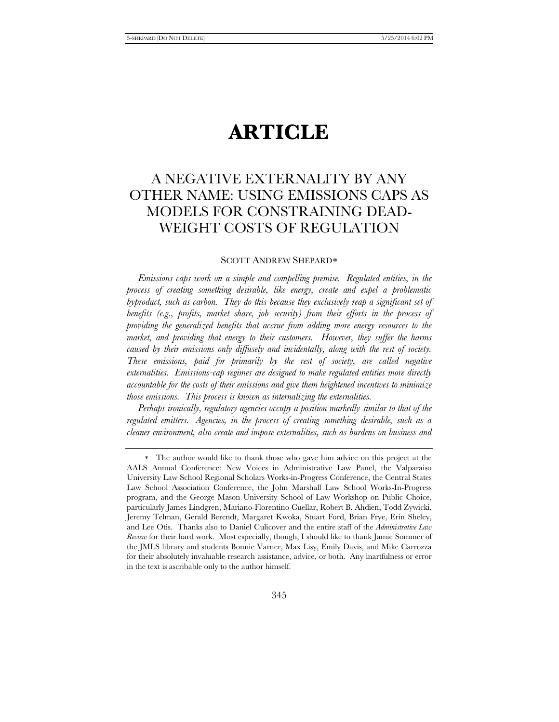# **ARTICLE**

## A NEGATIVE EXTERNALITY BY ANY OTHER NAME: USING EMISSIONS CAPS AS MODELS FOR CONSTRAINING DEAD-WEIGHT COSTS OF REGULATION

#### SCOTT ANDREW SHEPARD[∗](#page-0-0)

*Emissions caps work on a simple and compelling premise. Regulated entities, in the process of creating something desirable, like energy, create and expel a problematic byproduct, such as carbon. They do this because they exclusively reap a significant set of benefits (e.g., profits, market share, job security) from their efforts in the process of providing the generalized benefits that accrue from adding more energy resources to the market, and providing that energy to their customers. However, they suffer the harms caused by their emissions only diffusely and incidentally, along with the rest of society. These emissions, paid for primarily by the rest of society, are called negative externalities. Emissions-cap regimes are designed to make regulated entities more directly accountable for the costs of their emissions and give them heightened incentives to minimize those emissions. This process is known as internalizing the externalities.*

*Perhaps ironically, regulatory agencies occupy a position markedly similar to that of the regulated emitters. Agencies, in the process of creating something desirable, such as a cleaner environment, also create and impose externalities, such as burdens on business and* 

<span id="page-0-0"></span><sup>∗</sup> The author would like to thank those who gave him advice on this project at the AALS Annual Conference: New Voices in Administrative Law Panel, the Valparaiso University Law School Regional Scholars Works-in-Progress Conference, the Central States Law School Association Conference, the John Marshall Law School Works-In-Progress program, and the George Mason University School of Law Workshop on Public Choice, particularly James Lindgren, Mariano-Florentino Cuellar, Robert B. Ahdien, Todd Zywicki, Jeremy Telman, Gerald Berendt, Margaret Kwoka, Stuart Ford, Brian Frye, Erin Sheley, and Lee Otis. Thanks also to Daniel Culicover and the entire staff of the *Administrative Law Review* for their hard work. Most especially, though, I should like to thank Jamie Sommer of the JMLS library and students Bonnie Varner, Max Lisy, Emily Davis, and Mike Carrozza for their absolutely invaluable research assistance, advice, or both. Any inartfulness or error in the text is ascribable only to the author himself.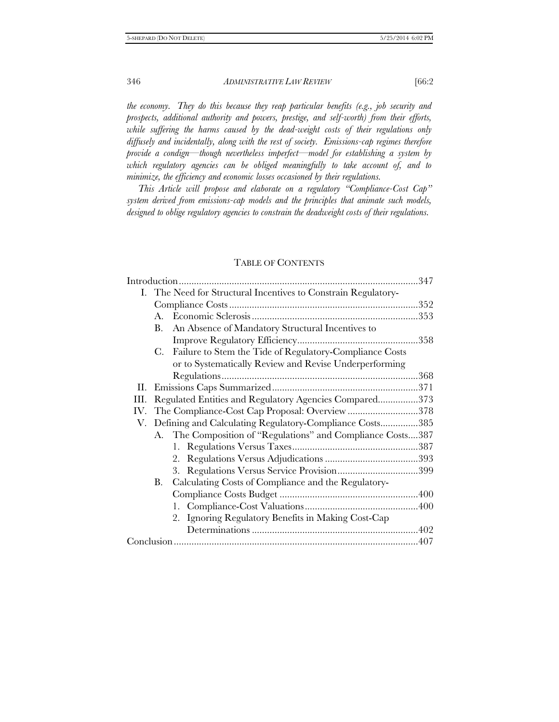*the economy. They do this because they reap particular benefits (e.g., job security and prospects, additional authority and powers, prestige, and self-worth) from their efforts,*  while suffering the harms caused by the dead-weight costs of their regulations only *diffusely and incidentally, along with the rest of society. Emissions-cap regimes therefore provide a condign—though nevertheless imperfect—model for establishing a system by which regulatory agencies can be obliged meaningfully to take account of, and to minimize, the efficiency and economic losses occasioned by their regulations.*

*This Article will propose and elaborate on a regulatory "Compliance-Cost Cap" system derived from emissions-cap models and the principles that animate such models, designed to oblige regulatory agencies to constrain the deadweight costs of their regulations.*

#### TABLE OF CONTENTS

|     | I. The Need for Structural Incentives to Constrain Regulatory- |                                                             |  |
|-----|----------------------------------------------------------------|-------------------------------------------------------------|--|
|     |                                                                |                                                             |  |
|     | $A_{\cdot}$                                                    |                                                             |  |
|     | В.                                                             | An Absence of Mandatory Structural Incentives to            |  |
|     |                                                                |                                                             |  |
|     | C.                                                             | Failure to Stem the Tide of Regulatory-Compliance Costs     |  |
|     |                                                                | or to Systematically Review and Revise Underperforming      |  |
|     |                                                                |                                                             |  |
| П.  |                                                                |                                                             |  |
| Ш.  | Regulated Entities and Regulatory Agencies Compared373         |                                                             |  |
| IV. |                                                                | The Compliance-Cost Cap Proposal: Overview 378              |  |
| V.  | Defining and Calculating Regulatory-Compliance Costs385        |                                                             |  |
|     |                                                                | A. The Composition of "Regulations" and Compliance Costs387 |  |
|     |                                                                |                                                             |  |
|     |                                                                |                                                             |  |
|     |                                                                | 3.                                                          |  |
|     | В.                                                             | Calculating Costs of Compliance and the Regulatory-         |  |
|     |                                                                |                                                             |  |
|     |                                                                |                                                             |  |
|     |                                                                | 2. Ignoring Regulatory Benefits in Making Cost-Cap          |  |
|     |                                                                |                                                             |  |
|     |                                                                |                                                             |  |
|     |                                                                |                                                             |  |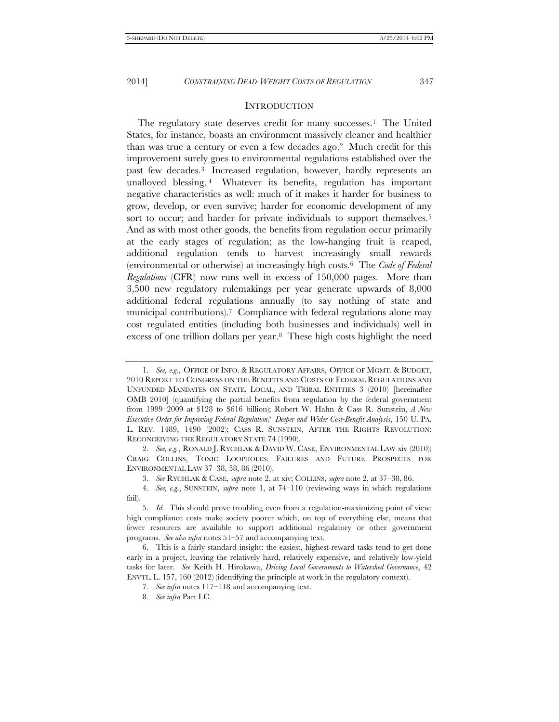#### **INTRODUCTION**

The regulatory state deserves credit for many successes.<sup>1</sup> The United States, for instance, boasts an environment massively cleaner and healthier than was true a century or even a few decades ago[.2](#page-2-1) Much credit for this improvement surely goes to environmental regulations established over the past few decades[.3](#page-2-2) Increased regulation, however, hardly represents an unalloyed blessing. [4](#page-2-3) Whatever its benefits, regulation has important negative characteristics as well: much of it makes it harder for business to grow, develop, or even survive; harder for economic development of any sort to occur; and harder for private individuals to support themselves.<sup>5</sup> And as with most other goods, the benefits from regulation occur primarily at the early stages of regulation; as the low-hanging fruit is reaped, additional regulation tends to harvest increasingly small rewards (environmental or otherwise) at increasingly high costs.[6](#page-2-5) The *Code of Federal Regulations* (CFR) now runs well in excess of 150,000 pages. More than 3,500 new regulatory rulemakings per year generate upwards of 8,000 additional federal regulations annually (to say nothing of state and municipal contributions).<sup>[7](#page-2-6)</sup> Compliance with federal regulations alone may cost regulated entities (including both businesses and individuals) well in excess of one trillion dollars per year.[8](#page-2-7) These high costs highlight the need

<span id="page-2-1"></span>2. *See, e.g.*, RONALD J. RYCHLAK & DAVID W. CASE, ENVIRONMENTAL LAW xiv (2010); CRAIG COLLINS, TOXIC LOOPHOLES: FAILURES AND FUTURE PROSPECTS FOR ENVIRONMENTAL LAW 37–38, 58, 86 (2010).

3. *See* RYCHLAK & CASE, *supra* note 2, at xiv; COLLINS, *supra* note 2, at 37–38, 86.

<span id="page-2-0"></span><sup>1.</sup> *See, e.g.*, OFFICE OF INFO. & REGULATORY AFFAIRS, OFFICE OF MGMT. & BUDGET, 2010 REPORT TO CONGRESS ON THE BENEFITS AND COSTS OF FEDERAL REGULATIONS AND UNFUNDED MANDATES ON STATE, LOCAL, AND TRIBAL ENTITIES 3 (2010) [hereinafter OMB 2010] (quantifying the partial benefits from regulation by the federal government from 1999–2009 at \$128 to \$616 billion); Robert W. Hahn & Cass R. Sunstein, *A New Executive Order for Improving Federal Regulation? Deeper and Wider Cost-Benefit Analysis*, 150 U. PA. L. REV. 1489, 1490 (2002); CASS R. SUNSTEIN, AFTER THE RIGHTS REVOLUTION: RECONCEIVING THE REGULATORY STATE 74 (1990).

<span id="page-2-3"></span><span id="page-2-2"></span><sup>4.</sup> *See, e.g.*, SUNSTEIN, *supra* note 1, at 74–110 (reviewing ways in which regulations fail).

<span id="page-2-4"></span><sup>5.</sup> *Id.* This should prove troubling even from a regulation-maximizing point of view: high compliance costs make society poorer which, on top of everything else, means that fewer resources are available to support additional regulatory or other government programs. *See also infra* notes 51–57 and accompanying text.

<span id="page-2-7"></span><span id="page-2-6"></span><span id="page-2-5"></span><sup>6.</sup> This is a fairly standard insight: the easiest, highest-reward tasks tend to get done early in a project, leaving the relatively hard, relatively expensive, and relatively low-yield tasks for later. *See* Keith H. Hirokawa, *Driving Local Governments to Watershed Governance*, 42 ENVTL. L. 157, 160 (2012) (identifying the principle at work in the regulatory context).

<sup>7.</sup> *See infra* notes 117–118 and accompanying text.

<sup>8.</sup> *See infra* Part I.C.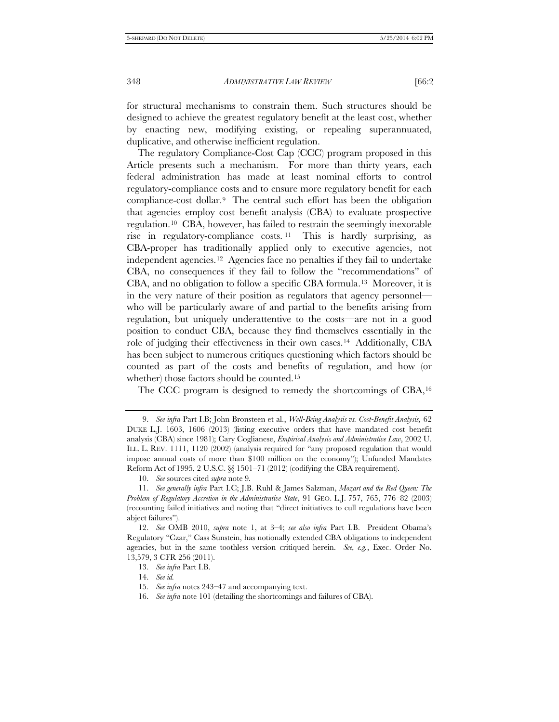for structural mechanisms to constrain them. Such structures should be designed to achieve the greatest regulatory benefit at the least cost, whether by enacting new, modifying existing, or repealing superannuated, duplicative, and otherwise inefficient regulation.

The regulatory Compliance-Cost Cap (CCC) program proposed in this Article presents such a mechanism. For more than thirty years, each federal administration has made at least nominal efforts to control regulatory-compliance costs and to ensure more regulatory benefit for each compliance-cost dollar.[9](#page-3-0) The central such effort has been the obligation that agencies employ cost–benefit analysis (CBA) to evaluate prospective regulation.[10](#page-3-1) CBA, however, has failed to restrain the seemingly inexorable rise in regulatory-compliance costs. [11](#page-3-2) This is hardly surprising, as CBA-proper has traditionally applied only to executive agencies, not independent agencies.[12](#page-3-3) Agencies face no penalties if they fail to undertake CBA, no consequences if they fail to follow the "recommendations" of CBA, and no obligation to follow a specific CBA formula.[13](#page-3-4) Moreover, it is in the very nature of their position as regulators that agency personnel who will be particularly aware of and partial to the benefits arising from regulation, but uniquely underattentive to the costs—are not in a good position to conduct CBA, because they find themselves essentially in the role of judging their effectiveness in their own cases.[14](#page-3-5) Additionally, CBA has been subject to numerous critiques questioning which factors should be counted as part of the costs and benefits of regulation, and how (or whether) those factors should be counted.[15](#page-3-6)

The CCC program is designed to remedy the shortcomings of CBA,[16](#page-3-7)

<span id="page-3-0"></span><sup>9.</sup> *See infra* Part I.B; John Bronsteen et al., *Well-Being Analysis vs. Cost-Benefit Analysis,* 62 DUKE L.J. 1603, 1606 (2013) (listing executive orders that have mandated cost benefit analysis (CBA) since 1981); Cary Coglianese, *Empirical Analysis and Administrative Law*, 2002 U. ILL. L. REV. 1111, 1120 (2002) (analysis required for "any proposed regulation that would impose annual costs of more than \$100 million on the economy"); Unfunded Mandates Reform Act of 1995, 2 U.S.C. §§ 1501–71 (2012) (codifying the CBA requirement).

<sup>10.</sup> *See* sources cited *supra* note 9*.*

<span id="page-3-2"></span><span id="page-3-1"></span><sup>11.</sup> *See generally infra* Part I.C; J.B. Ruhl & James Salzman, *Mozart and the Red Queen: The Problem of Regulatory Accretion in the Administrative State*, 91 GEO. L.J. 757, 765, 776–82 (2003) (recounting failed initiatives and noting that "direct initiatives to cull regulations have been abject failures").

<span id="page-3-5"></span><span id="page-3-4"></span><span id="page-3-3"></span><sup>12.</sup> *See* OMB 2010, *supra* note 1, at 3–4; *see also infra* Part I.B. President Obama's Regulatory "Czar," Cass Sunstein, has notionally extended CBA obligations to independent agencies, but in the same toothless version critiqued herein. *See, e.g.*, Exec. Order No. 13,579, 3 CFR 256 (2011).

<sup>13.</sup> *See infra* Part I.B.

<span id="page-3-6"></span><sup>14.</sup> *See id.*

<sup>15.</sup> *See infra* notes 243–47 and accompanying text.

<span id="page-3-7"></span><sup>16.</sup> *See infra* note 101 (detailing the shortcomings and failures of CBA).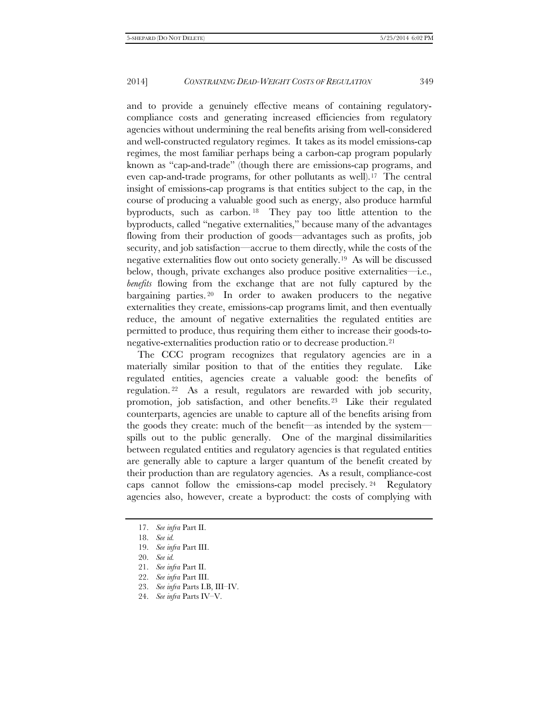and to provide a genuinely effective means of containing regulatorycompliance costs and generating increased efficiencies from regulatory agencies without undermining the real benefits arising from well-considered and well-constructed regulatory regimes. It takes as its model emissions-cap regimes, the most familiar perhaps being a carbon-cap program popularly known as "cap-and-trade" (though there are emissions-cap programs, and even cap-and-trade programs, for other pollutants as well).[17](#page-4-0) The central insight of emissions-cap programs is that entities subject to the cap, in the course of producing a valuable good such as energy, also produce harmful byproducts, such as carbon. [18](#page-4-1) They pay too little attention to the byproducts, called "negative externalities," because many of the advantages flowing from their production of goods—advantages such as profits, job security, and job satisfaction—accrue to them directly, while the costs of the negative externalities flow out onto society generally.[19](#page-4-2) As will be discussed below, though, private exchanges also produce positive externalities—i.e., *benefits* flowing from the exchange that are not fully captured by the bargaining parties.<sup>[20](#page-4-3)</sup> In order to awaken producers to the negative externalities they create, emissions-cap programs limit, and then eventually reduce, the amount of negative externalities the regulated entities are permitted to produce, thus requiring them either to increase their goods-tonegative-externalities production ratio or to decrease production.[21](#page-4-4)

The CCC program recognizes that regulatory agencies are in a materially similar position to that of the entities they regulate. Like regulated entities, agencies create a valuable good: the benefits of regulation. [22](#page-4-5) As a result, regulators are rewarded with job security, promotion, job satisfaction, and other benefits.[23](#page-4-6) Like their regulated counterparts, agencies are unable to capture all of the benefits arising from the goods they create: much of the benefit—as intended by the system spills out to the public generally. One of the marginal dissimilarities between regulated entities and regulatory agencies is that regulated entities are generally able to capture a larger quantum of the benefit created by their production than are regulatory agencies. As a result, compliance-cost caps cannot follow the emissions-cap model precisely. [24](#page-4-7) Regulatory agencies also, however, create a byproduct: the costs of complying with

<span id="page-4-0"></span><sup>17.</sup> *See infra* Part II.

<span id="page-4-1"></span><sup>18.</sup> *See id.*

<span id="page-4-2"></span><sup>19.</sup> *See infra* Part III.

<sup>20.</sup> *See id.*

<span id="page-4-5"></span><span id="page-4-4"></span><span id="page-4-3"></span><sup>21.</sup> *See infra* Part II.

<span id="page-4-6"></span><sup>22.</sup> *See infra* Part III.

<sup>23.</sup> *See infra* Parts I.B, III–IV.

<span id="page-4-7"></span><sup>24.</sup> *See infra* Parts IV–V.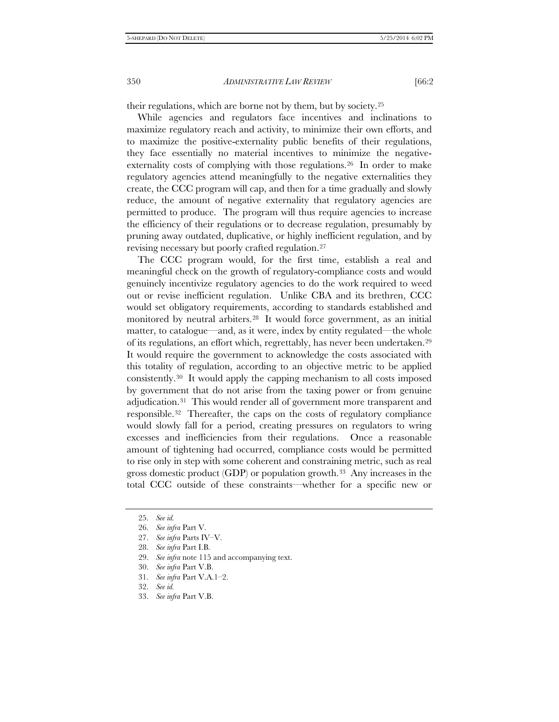their regulations, which are borne not by them, but by society.[25](#page-5-0)

While agencies and regulators face incentives and inclinations to maximize regulatory reach and activity, to minimize their own efforts, and to maximize the positive-externality public benefits of their regulations, they face essentially no material incentives to minimize the negativeexternality costs of complying with those regulations.[26](#page-5-1) In order to make regulatory agencies attend meaningfully to the negative externalities they create, the CCC program will cap, and then for a time gradually and slowly reduce, the amount of negative externality that regulatory agencies are permitted to produce. The program will thus require agencies to increase the efficiency of their regulations or to decrease regulation, presumably by pruning away outdated, duplicative, or highly inefficient regulation, and by revising necessary but poorly crafted regulation.[27](#page-5-2)

The CCC program would, for the first time, establish a real and meaningful check on the growth of regulatory-compliance costs and would genuinely incentivize regulatory agencies to do the work required to weed out or revise inefficient regulation. Unlike CBA and its brethren, CCC would set obligatory requirements, according to standards established and monitored by neutral arbiters.[28](#page-5-3) It would force government, as an initial matter, to catalogue—and, as it were, index by entity regulated—the whole of its regulations, an effort which, regrettably, has never been undertaken.[29](#page-5-4)  It would require the government to acknowledge the costs associated with this totality of regulation, according to an objective metric to be applied consistently.[30](#page-5-5) It would apply the capping mechanism to all costs imposed by government that do not arise from the taxing power or from genuine adjudication.[31](#page-5-6) This would render all of government more transparent and responsible[.32](#page-5-7) Thereafter, the caps on the costs of regulatory compliance would slowly fall for a period, creating pressures on regulators to wring excesses and inefficiencies from their regulations. Once a reasonable amount of tightening had occurred, compliance costs would be permitted to rise only in step with some coherent and constraining metric, such as real gross domestic product  $(GDP)$  or population growth.<sup>33</sup> Any increases in the total CCC outside of these constraints—whether for a specific new or

<span id="page-5-0"></span><sup>25.</sup> *See id.*

<span id="page-5-1"></span><sup>26.</sup> *See infra* Part V.

<span id="page-5-2"></span><sup>27.</sup> *See infra* Parts IV–V.

<span id="page-5-3"></span><sup>28.</sup> *See infra* Part I.B.

<span id="page-5-5"></span><span id="page-5-4"></span><sup>29.</sup> *See infra* note 115 and accompanying text.

<sup>30.</sup> *See infra* Part V.B.

<span id="page-5-6"></span><sup>31.</sup> *See infra* Part V.A.1–2.

<span id="page-5-7"></span><sup>32.</sup> *See id.*

<span id="page-5-8"></span><sup>33.</sup> *See infra* Part V.B.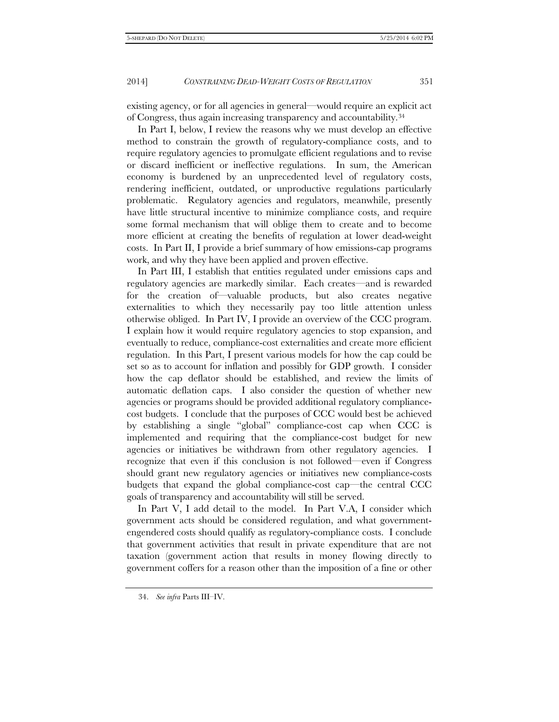existing agency, or for all agencies in general—would require an explicit act of Congress, thus again increasing transparency and accountability.[34](#page-6-0)

In Part I, below, I review the reasons why we must develop an effective method to constrain the growth of regulatory-compliance costs, and to require regulatory agencies to promulgate efficient regulations and to revise or discard inefficient or ineffective regulations. In sum, the American economy is burdened by an unprecedented level of regulatory costs, rendering inefficient, outdated, or unproductive regulations particularly problematic. Regulatory agencies and regulators, meanwhile, presently have little structural incentive to minimize compliance costs, and require some formal mechanism that will oblige them to create and to become more efficient at creating the benefits of regulation at lower dead-weight costs. In Part II, I provide a brief summary of how emissions-cap programs work, and why they have been applied and proven effective.

In Part III, I establish that entities regulated under emissions caps and regulatory agencies are markedly similar. Each creates—and is rewarded for the creation of—valuable products, but also creates negative externalities to which they necessarily pay too little attention unless otherwise obliged. In Part IV, I provide an overview of the CCC program. I explain how it would require regulatory agencies to stop expansion, and eventually to reduce, compliance-cost externalities and create more efficient regulation. In this Part, I present various models for how the cap could be set so as to account for inflation and possibly for GDP growth. I consider how the cap deflator should be established, and review the limits of automatic deflation caps. I also consider the question of whether new agencies or programs should be provided additional regulatory compliancecost budgets. I conclude that the purposes of CCC would best be achieved by establishing a single "global" compliance-cost cap when CCC is implemented and requiring that the compliance-cost budget for new agencies or initiatives be withdrawn from other regulatory agencies. I recognize that even if this conclusion is not followed—even if Congress should grant new regulatory agencies or initiatives new compliance-costs budgets that expand the global compliance-cost cap—the central CCC goals of transparency and accountability will still be served.

In Part V, I add detail to the model. In Part V.A, I consider which government acts should be considered regulation, and what governmentengendered costs should qualify as regulatory-compliance costs. I conclude that government activities that result in private expenditure that are not taxation (government action that results in money flowing directly to government coffers for a reason other than the imposition of a fine or other

<span id="page-6-0"></span><sup>34.</sup> *See infra* Parts III–IV.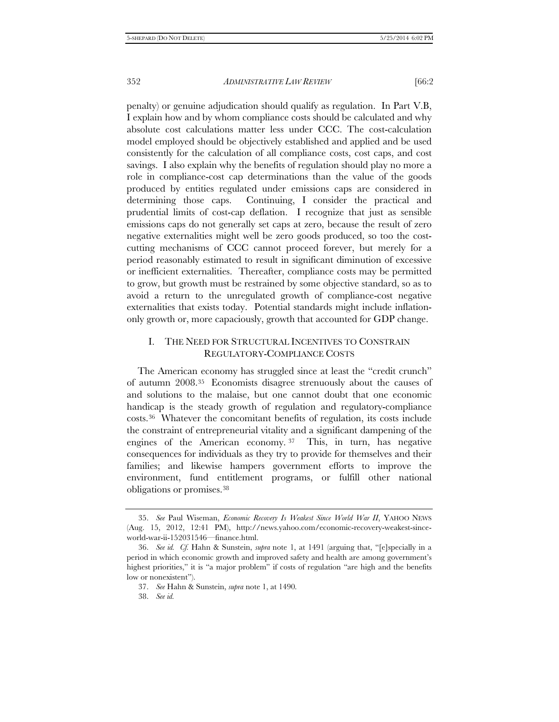penalty) or genuine adjudication should qualify as regulation. In Part V.B, I explain how and by whom compliance costs should be calculated and why absolute cost calculations matter less under CCC. The cost-calculation model employed should be objectively established and applied and be used consistently for the calculation of all compliance costs, cost caps, and cost savings. I also explain why the benefits of regulation should play no more a role in compliance-cost cap determinations than the value of the goods produced by entities regulated under emissions caps are considered in determining those caps. Continuing, I consider the practical and prudential limits of cost-cap deflation. I recognize that just as sensible emissions caps do not generally set caps at zero, because the result of zero negative externalities might well be zero goods produced, so too the costcutting mechanisms of CCC cannot proceed forever, but merely for a period reasonably estimated to result in significant diminution of excessive or inefficient externalities. Thereafter, compliance costs may be permitted to grow, but growth must be restrained by some objective standard, so as to avoid a return to the unregulated growth of compliance-cost negative externalities that exists today. Potential standards might include inflationonly growth or, more capaciously, growth that accounted for GDP change.

### I. THE NEED FOR STRUCTURAL INCENTIVES TO CONSTRAIN REGULATORY-COMPLIANCE COSTS

The American economy has struggled since at least the "credit crunch" of autumn 2008.[35](#page-7-0) Economists disagree strenuously about the causes of and solutions to the malaise, but one cannot doubt that one economic handicap is the steady growth of regulation and regulatory-compliance costs.[36](#page-7-1) Whatever the concomitant benefits of regulation, its costs include the constraint of entrepreneurial vitality and a significant dampening of the engines of the American economy. [37](#page-7-2) This, in turn, has negative consequences for individuals as they try to provide for themselves and their families; and likewise hampers government efforts to improve the environment, fund entitlement programs, or fulfill other national obligations or promises.[38](#page-7-3)

<span id="page-7-0"></span><sup>35.</sup> *See* Paul Wiseman, *Economic Recovery Is Weakest Since World War II*, YAHOO NEWS (Aug. 15, 2012, 12:41 PM), http://news.yahoo.com/economic-recovery-weakest-sinceworld-war-ii-152031546—finance.html.

<span id="page-7-3"></span><span id="page-7-2"></span><span id="page-7-1"></span><sup>36.</sup> *See id. Cf.* Hahn & Sunstein, *supra* note 1, at 1491 (arguing that, "[e]specially in a period in which economic growth and improved safety and health are among government's highest priorities," it is "a major problem" if costs of regulation "are high and the benefits low or nonexistent").

<sup>37.</sup> *See* Hahn & Sunstein, *supra* note 1, at 1490*.*

<sup>38.</sup> *See id.*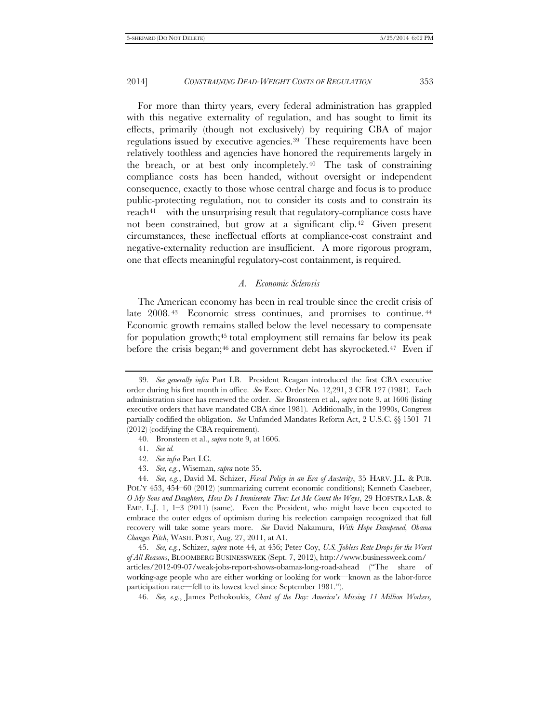For more than thirty years, every federal administration has grappled with this negative externality of regulation, and has sought to limit its effects, primarily (though not exclusively) by requiring CBA of major regulations issued by executive agencies.[39](#page-8-0) These requirements have been relatively toothless and agencies have honored the requirements largely in the breach, or at best only incompletely.[40](#page-8-1) The task of constraining compliance costs has been handed, without oversight or independent consequence, exactly to those whose central charge and focus is to produce public-protecting regulation, not to consider its costs and to constrain its reach<sup>[41](#page-8-2)—with the unsurprising result that regulatory-compliance costs have</sup> not been constrained, but grow at a significant clip.[42](#page-8-3) Given present circumstances, these ineffectual efforts at compliance-cost constraint and negative-externality reduction are insufficient. A more rigorous program, one that effects meaningful regulatory-cost containment, is required.

#### *A. Economic Sclerosis*

<span id="page-8-8"></span>The American economy has been in real trouble since the credit crisis of late 2008.<sup>[43](#page-8-4)</sup> Economic stress continues, and promises to continue.<sup>44</sup> Economic growth remains stalled below the level necessary to compensate for population growth;<sup>[45](#page-8-6)</sup> total employment still remains far below its peak before the crisis began;<sup>[46](#page-8-7)</sup> and government debt has skyrocketed.<sup>[47](#page-8-8)</sup> Even if

40. Bronsteen et al., *supra* note 9, at 1606.

<span id="page-8-0"></span><sup>39.</sup> *See generally infra* Part I.B. President Reagan introduced the first CBA executive order during his first month in office. *See* Exec. Order No. 12,291, 3 CFR 127 (1981). Each administration since has renewed the order. *See* Bronsteen et al., *supra* note 9, at 1606 (listing executive orders that have mandated CBA since 1981). Additionally, in the 1990s, Congress partially codified the obligation. *See* Unfunded Mandates Reform Act, 2 U.S.C. §§ 1501–71 (2012) (codifying the CBA requirement).

<sup>41.</sup> *See id.*

<sup>42.</sup> *See infra* Part I.C.

<sup>43.</sup> *See, e.g.*, Wiseman, *supra* note 35.

<span id="page-8-5"></span><span id="page-8-4"></span><span id="page-8-3"></span><span id="page-8-2"></span><span id="page-8-1"></span><sup>44.</sup> *See, e.g.*, David M. Schizer, *Fiscal Policy in an Era of Austerity*, 35 HARV. J.L. & PUB. POL'Y 453, 454–60 (2012) (summarizing current economic conditions); Kenneth Casebeer, *O My Sons and Daughters, How Do I Immiserate Thee: Let Me Count the Ways*, 29 HOFSTRA LAB. & EMP. L.J. 1,  $1-3$  (2011) (same). Even the President, who might have been expected to embrace the outer edges of optimism during his reelection campaign recognized that full recovery will take some years more. *See* David Nakamura, *With Hope Dampened, Obama Changes Pitch*, WASH. POST, Aug. 27, 2011, at A1.

<span id="page-8-7"></span><span id="page-8-6"></span><sup>45.</sup> *See, e.g.*, Schizer, *supra* note 44, at 456; Peter Coy, *U.S. Jobless Rate Drops for the Worst of All Reasons*, BLOOMBERG BUSINESSWEEK (Sept. 7, 2012), http://www.businessweek.com/ articles/2012-09-07/weak-jobs-report-shows-obamas-long-road-ahead ("The share of working-age people who are either working or looking for work—known as the labor-force participation rate—fell to its lowest level since September 1981.").

<sup>46.</sup> *See, e.g.*, James Pethokoukis, *Chart of the Day: America's Missing 11 Million Workers,*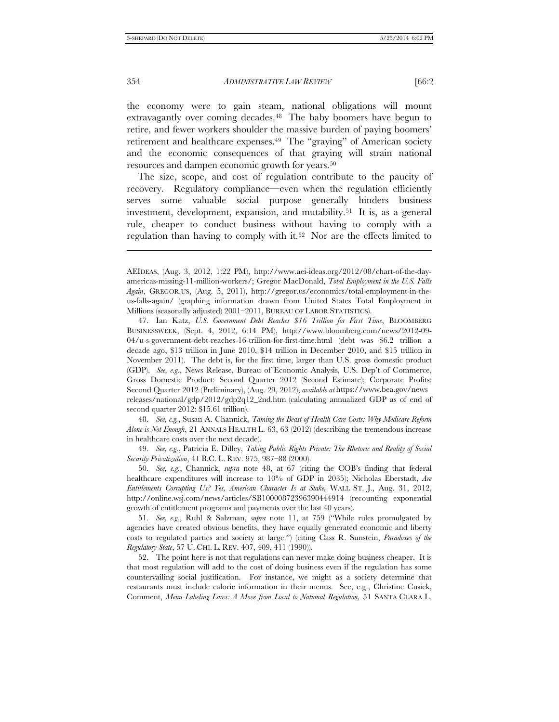the economy were to gain steam, national obligations will mount extravagantly over coming decades.<sup>48</sup> The baby boomers have begun to retire, and fewer workers shoulder the massive burden of paying boomers' retirement and healthcare expenses.[49](#page-9-1) The "graying" of American society and the economic consequences of that graying will strain national resources and dampen economic growth for years[.50](#page-9-2)

The size, scope, and cost of regulation contribute to the paucity of recovery. Regulatory compliance—even when the regulation efficiently serves some valuable social purpose—generally hinders business investment, development, expansion, and mutability.[51](#page-9-3) It is, as a general rule, cheaper to conduct business without having to comply with a regulation than having to comply with it.[52](#page-9-4) Nor are the effects limited to

47. Ian Katz, *U.S. Government Debt Reaches \$16 Trillion for First Time*, BLOOMBERG BUSINESSWEEK, (Sept. 4, 2012, 6:14 PM), http://www.bloomberg.com/news/2012-09- 04/u-s-government-debt-reaches-16-trillion-for-first-time.html (debt was \$6.2 trillion a decade ago, \$13 trillion in June 2010, \$14 trillion in December 2010, and \$15 trillion in November 2011). The debt is, for the first time, larger than U.S. gross domestic product (GDP). *See, e.g.*, News Release, Bureau of Economic Analysis, U.S. Dep't of Commerce, Gross Domestic Product: Second Quarter 2012 (Second Estimate); Corporate Profits: Second Quarter 2012 (Preliminary), (Aug. 29, 2012), *available at* https://www.bea.gov/news releases/national/gdp/2012/gdp2q12\_2nd.htm (calculating annualized GDP as of end of second quarter 2012: \$15.61 trillion).

<span id="page-9-0"></span>48. *See, e.g.*, Susan A. Channick, *Taming the Beast of Health Care Costs: Why Medicare Reform Alone is Not Enough*, 21 ANNALS HEALTH L. 63, 63 (2012) (describing the tremendous increase in healthcare costs over the next decade).

<span id="page-9-1"></span>49. *See, e.g.*, Patricia E. Dilley, *Taking Public Rights Private: The Rhetoric and Reality of Social Security Privatization*, 41 B.C. L. REV. 975, 987–88 (2000).

<span id="page-9-2"></span>50. *See, e.g.*, Channick, *supra* note 48, at 67 (citing the COB's finding that federal healthcare expenditures will increase to 10% of GDP in 2035); Nicholas Eberstadt, *Are Entitlements Corrupting Us? Yes, American Character Is at Stake,* WALL ST. J., Aug. 31, 2012, http://online.wsj.com/news/articles/SB10000872396390444914 (recounting exponential growth of entitlement programs and payments over the last 40 years).

<span id="page-9-3"></span>51. *See, e.g.*, Ruhl & Salzman, *supra* note 11, at 759 ("While rules promulgated by agencies have created obvious benefits, they have equally generated economic and liberty costs to regulated parties and society at large.") (citing Cass R. Sunstein, *Paradoxes of the Regulatory State*, 57 U. CHI. L. REV. 407, 409, 411 (1990)).

<span id="page-9-4"></span>52. The point here is not that regulations can never make doing business cheaper. It is that most regulation will add to the cost of doing business even if the regulation has some countervailing social justification. For instance, we might as a society determine that restaurants must include calorie information in their menus. See, e.g., Christine Cusick, Comment, *Menu-Labeling Laws: A Move from Local to National Regulation,* 51 SANTA CLARA L.

j

AEIDEAS, (Aug. 3, 2012, 1:22 PM), http://www.aei-ideas.org/2012/08/chart-of-the-dayamericas-missing-11-million-workers/; Gregor MacDonald, *Total Employment in the U.S. Falls Again*, GREGOR.US, (Aug. 5, 2011), http://gregor.us/economics/total-employment-in-theus-falls-again/ (graphing information drawn from United States Total Employment in Millions (seasonally adjusted) 2001–2011, BUREAU OF LABOR STATISTICS).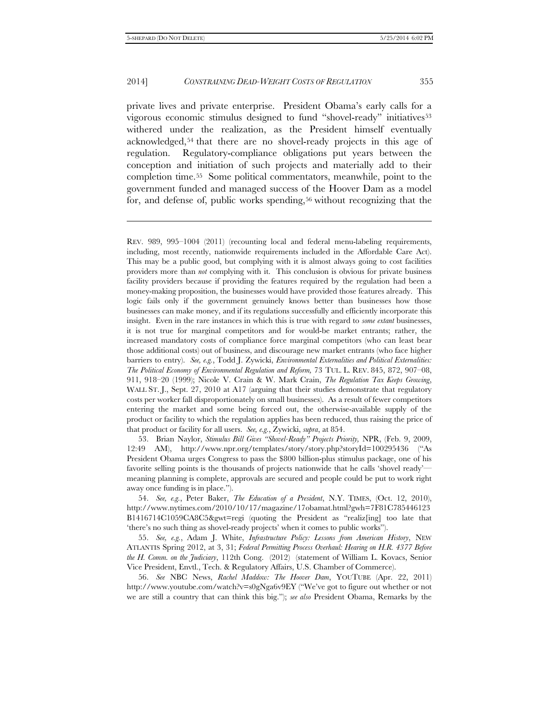-

#### 2014] *CONSTRAINING DEAD-WEIGHT COSTS OF REGULATION* 355

private lives and private enterprise. President Obama's early calls for a vigorous economic stimulus designed to fund "shovel-ready" initiatives[53](#page-10-0) withered under the realization, as the President himself eventually acknowledged,[54](#page-10-1) that there are no shovel-ready projects in this age of regulation. Regulatory-compliance obligations put years between the conception and initiation of such projects and materially add to their completion time.[55](#page-10-2) Some political commentators, meanwhile, point to the government funded and managed success of the Hoover Dam as a model for, and defense of, public works spending,<sup>[56](#page-10-3)</sup> without recognizing that the

<span id="page-10-0"></span>53. Brian Naylor, *Stimulus Bill Gives "Shovel-Ready" Projects Priority,* NPR, (Feb. 9, 2009, 12:49 AM), http://www.npr.org/templates/story/story.php?storyId=100295436 ("As President Obama urges Congress to pass the \$800 billion-plus stimulus package, one of his favorite selling points is the thousands of projects nationwide that he calls 'shovel ready' meaning planning is complete, approvals are secured and people could be put to work right away once funding is in place.").

<span id="page-10-1"></span>54. *See, e.g.*, Peter Baker, *The Education of a President*, N.Y. TIMES, (Oct. 12, 2010), http://www.nytimes.com/2010/10/17/magazine/17obamat.html?gwh=7F81C785446123 B1416714C1059CA8C5&gwt=regi (quoting the President as "realiz[ing] too late that 'there's no such thing as shovel-ready projects' when it comes to public works").

<span id="page-10-2"></span>55. *See, e.g.*, Adam J. White, *Infrastructure Policy: Lessons from American History*, NEW ATLANTIS Spring 2012, at 3, 31; *Federal Permitting Process Overhaul: Hearing on H.R. 4377 Before the H. Comm. on the Judiciary*, 112th Cong. (2012) (statement of William L. Kovacs, Senior Vice President, Envtl., Tech. & Regulatory Affairs, U.S. Chamber of Commerce).

<span id="page-10-3"></span>56. *See* NBC News, *Rachel Maddow: The Hoover Dam*, YOUTUBE (Apr. 22, 2011) http://www.youtube.com/watch?v=s0gNga6v9EY ("We've got to figure out whether or not we are still a country that can think this big."); *see also* President Obama, Remarks by the

REV. 989, 995–1004 (2011) (recounting local and federal menu-labeling requirements, including, most recently, nationwide requirements included in the Affordable Care Act). This may be a public good, but complying with it is almost always going to cost facilities providers more than *not* complying with it. This conclusion is obvious for private business facility providers because if providing the features required by the regulation had been a money-making proposition, the businesses would have provided those features already. This logic fails only if the government genuinely knows better than businesses how those businesses can make money, and if its regulations successfully and efficiently incorporate this insight. Even in the rare instances in which this is true with regard to *some extant* businesses, it is not true for marginal competitors and for would-be market entrants; rather, the increased mandatory costs of compliance force marginal competitors (who can least bear those additional costs) out of business, and discourage new market entrants (who face higher barriers to entry). *See, e.g.*, Todd J. Zywicki, *Environmental Externalities and Political Externalities: The Political Economy of Environmental Regulation and Reform,* 73 TUL. L. REV. 845, 872, 907–08, 911, 918–20 (1999); Nicole V. Crain & W. Mark Crain, *The Regulation Tax Keeps Growing*, WALL ST. J., Sept. 27, 2010 at A17 (arguing that their studies demonstrate that regulatory costs per worker fall disproportionately on small businesses). As a result of fewer competitors entering the market and some being forced out, the otherwise-available supply of the product or facility to which the regulation applies has been reduced, thus raising the price of that product or facility for all users. *See, e.g.*, Zywicki, *supra*, at 854.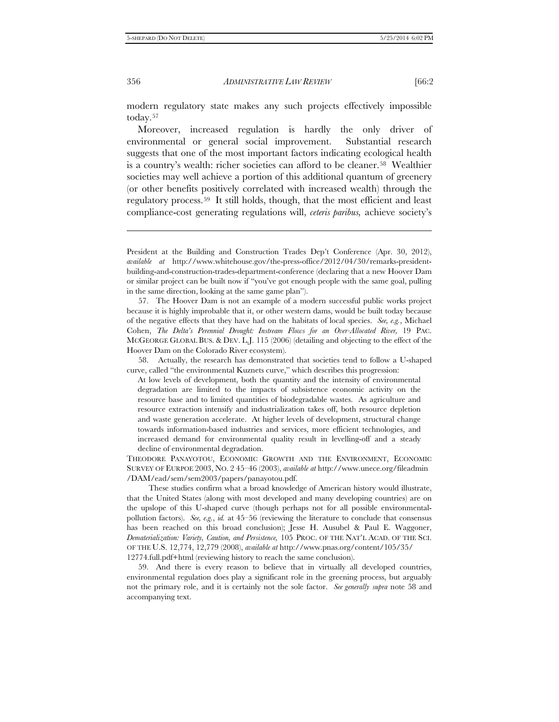modern regulatory state makes any such projects effectively impossible today.[57](#page-11-0)

Moreover, increased regulation is hardly the only driver of environmental or general social improvement. Substantial research suggests that one of the most important factors indicating ecological health is a country's wealth: richer societies can afford to be cleaner.<sup>[58](#page-11-1)</sup> Wealthier societies may well achieve a portion of this additional quantum of greenery (or other benefits positively correlated with increased wealth) through the regulatory process.[59](#page-11-2) It still holds, though, that the most efficient and least compliance-cost generating regulations will, *ceteris paribus,* achieve society's

<span id="page-11-1"></span>58. Actually, the research has demonstrated that societies tend to follow a U-shaped curve, called "the environmental Kuznets curve," which describes this progression:

At low levels of development, both the quantity and the intensity of environmental degradation are limited to the impacts of subsistence economic activity on the resource base and to limited quantities of biodegradable wastes. As agriculture and resource extraction intensify and industrialization takes off, both resource depletion and waste generation accelerate. At higher levels of development, structural change towards information-based industries and services, more efficient technologies, and increased demand for environmental quality result in levelling-off and a steady decline of environmental degradation.

THEODORE PANAYOTOU, ECONOMIC GROWTH AND THE ENVIRONMENT, ECONOMIC SURVEY OF EURPOE 2003, NO. 2 45–46 (2003), *available at* http://www.unece.org/fileadmin /DAM/ead/sem/sem2003/papers/panayotou.pdf.

These studies confirm what a broad knowledge of American history would illustrate, that the United States (along with most developed and many developing countries) are on the upslope of this U-shaped curve (though perhaps not for all possible environmentalpollution factors). *See, e.g.*, *id.* at 45–56 (reviewing the literature to conclude that consensus has been reached on this broad conclusion); Jesse H. Ausubel & Paul E. Waggoner, *Dematerialization: Variety, Caution, and Persistence,* 105 PROC. OF THE NAT'L ACAD. OF THE SCI. OF THE U.S. 12,774, 12,779 (2008), *available at* http://www.pnas.org/content/105/35/ 12774.full.pdf+html (reviewing history to reach the same conclusion).

<span id="page-11-2"></span>59. And there is every reason to believe that in virtually all developed countries, environmental regulation does play a significant role in the greening process, but arguably not the primary role, and it is certainly not the sole factor. *See generally supra* note 58 and accompanying text.

-

President at the Building and Construction Trades Dep't Conference (Apr. 30, 2012), *available at* http://www.whitehouse.gov/the-press-office/2012/04/30/remarks-presidentbuilding-and-construction-trades-department-conference (declaring that a new Hoover Dam or similar project can be built now if "you've got enough people with the same goal, pulling in the same direction, looking at the same game plan").

<span id="page-11-0"></span><sup>57.</sup> The Hoover Dam is not an example of a modern successful public works project because it is highly improbable that it, or other western dams, would be built today because of the negative effects that they have had on the habitats of local species. *See, e.g.*, Michael Cohen, *The Delta's Perennial Drought: Instream Flows for an Over-Allocated River,* 19 PAC. MCGEORGE GLOBAL BUS. & DEV. L.J. 115 (2006) (detailing and objecting to the effect of the Hoover Dam on the Colorado River ecosystem).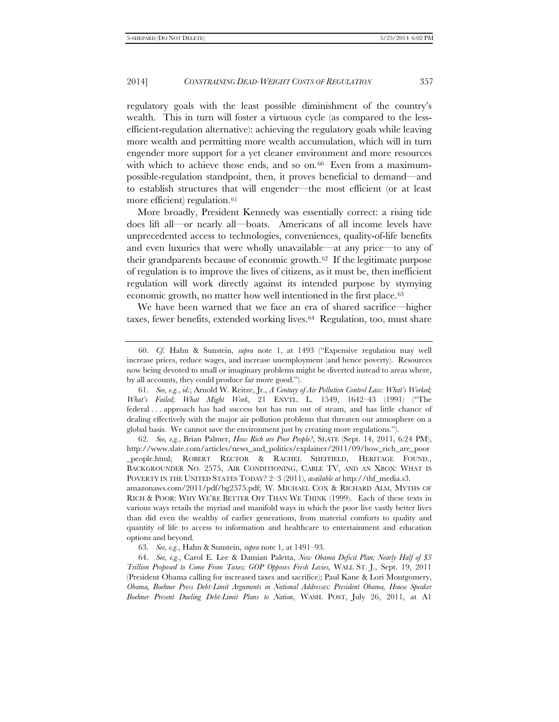regulatory goals with the least possible diminishment of the country's wealth. This in turn will foster a virtuous cycle (as compared to the lessefficient-regulation alternative): achieving the regulatory goals while leaving more wealth and permitting more wealth accumulation, which will in turn engender more support for a yet cleaner environment and more resources with which to achieve those ends, and so on.<sup>60</sup> Even from a maximumpossible-regulation standpoint, then, it proves beneficial to demand—and to establish structures that will engender—the most efficient (or at least more efficient) regulation.<sup>[61](#page-12-1)</sup>

More broadly, President Kennedy was essentially correct: a rising tide does lift all—or nearly all—boats. Americans of all income levels have unprecedented access to technologies, conveniences, quality-of-life benefits and even luxuries that were wholly unavailable—at any price—to any of their grandparents because of economic growth[.62](#page-12-2) If the legitimate purpose of regulation is to improve the lives of citizens, as it must be, then inefficient regulation will work directly against its intended purpose by stymying economic growth, no matter how well intentioned in the first place.<sup>[63](#page-12-3)</sup>

We have been warned that we face an era of shared sacrifice—higher taxes, fewer benefits, extended working lives.[64](#page-12-4) Regulation, too, must share

<span id="page-12-2"></span>62. *See, e.g.*, Brian Palmer, *How Rich are Poor People?*, SLATE (Sept. 14, 2011, 6:24 PM), http://www.slate.com/articles/news\_and\_politics/explainer/2011/09/how\_rich\_are\_poor \_people.html; ROBERT RECTOR & RACHEL SHEFFIELD, HERITAGE FOUND., BACKGROUNDER NO. 2575, AIR CONDITIONING, CABLE TV, AND AN XBOX: WHAT IS POVERTY IN THE UNITED STATES TODAY? 2–3 (2011), *available at* http://thf\_media.s3.

amazonaws.com/2011/pdf/bg2575.pdf; W. MICHAEL COX & RICHARD ALM, MYTHS OF RICH & POOR: WHY WE'RE BETTER OFF THAN WE THINK (1999). Each of these texts in various ways retails the myriad and manifold ways in which the poor live vastly better lives than did even the wealthy of earlier generations, from material comforts to quality and quantity of life to access to information and healthcare to entertainment and education options and beyond.

63. *See, e.g.*, Hahn & Sunstein, *supra* note 1, at 1491–93.

<span id="page-12-4"></span><span id="page-12-3"></span>64. *See, e.g.*, Carol E. Lee & Damian Paletta, *New Obama Deficit Plan; Nearly Half of \$3 Trillion Proposed to Come From Taxes; GOP Opposes Fresh Levies,* WALL ST. J., Sept. 19, 2011 (President Obama calling for increased taxes and sacrifice); Paul Kane & Lori Montgomery, *Obama, Boehner Press Debt-Limit Arguments in National Addresses: President Obama, House Speaker Boehner Present Dueling Debt-Limit Plans to Nation*, WASH. POST, July 26, 2011, at A1

<span id="page-12-0"></span><sup>60.</sup> *Cf.* Hahn & Sunstein, *supra* note 1, at 1493 ("Expensive regulation may well increase prices, reduce wages, and increase unemployment (and hence poverty). Resources now being devoted to small or imaginary problems might be diverted instead to areas where, by all accounts, they could produce far more good.").

<span id="page-12-1"></span><sup>61.</sup> *See, e.g.*, *id.*; Arnold W. Reitze, Jr., *A Century of Air Pollution Control Law: What's Worked; What's Failed; What Might Work*, 21 ENVTL. L. 1549, 1642–43 (1991) ("The federal . . . approach has had success but has run out of steam, and has little chance of dealing effectively with the major air pollution problems that threaten our atmosphere on a global basis. We cannot save the environment just by creating more regulations.").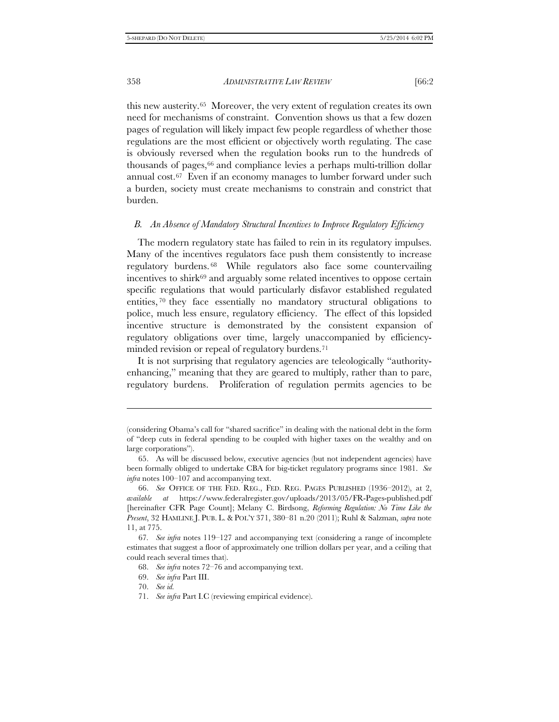this new austerity.[65](#page-13-0) Moreover, the very extent of regulation creates its own need for mechanisms of constraint. Convention shows us that a few dozen pages of regulation will likely impact few people regardless of whether those regulations are the most efficient or objectively worth regulating. The case is obviously reversed when the regulation books run to the hundreds of thousands of pages,<sup>[66](#page-13-1)</sup> and compliance levies a perhaps multi-trillion dollar annual cost.[67](#page-13-2) Even if an economy manages to lumber forward under such a burden, society must create mechanisms to constrain and constrict that burden.

#### *B. An Absence of Mandatory Structural Incentives to Improve Regulatory Efficiency*

The modern regulatory state has failed to rein in its regulatory impulses. Many of the incentives regulators face push them consistently to increase regulatory burdens. [68](#page-13-3) While regulators also face some countervailing incentives to shirk<sup>[69](#page-13-4)</sup> and arguably some related incentives to oppose certain specific regulations that would particularly disfavor established regulated entities, [70](#page-13-5) they face essentially no mandatory structural obligations to police, much less ensure, regulatory efficiency. The effect of this lopsided incentive structure is demonstrated by the consistent expansion of regulatory obligations over time, largely unaccompanied by efficiencyminded revision or repeal of regulatory burdens.[71](#page-13-6)

It is not surprising that regulatory agencies are teleologically "authorityenhancing," meaning that they are geared to multiply, rather than to pare, regulatory burdens. Proliferation of regulation permits agencies to be

j

<sup>(</sup>considering Obama's call for "shared sacrifice" in dealing with the national debt in the form of "deep cuts in federal spending to be coupled with higher taxes on the wealthy and on large corporations").

<span id="page-13-0"></span><sup>65.</sup> As will be discussed below, executive agencies (but not independent agencies) have been formally obliged to undertake CBA for big-ticket regulatory programs since 1981. *See infra* notes 100–107 and accompanying text.

<span id="page-13-1"></span><sup>66.</sup> *See* OFFICE OF THE FED. REG., FED. REG. PAGES PUBLISHED (1936–2012), at 2, *available at* https://www.federalregister.gov/uploads/2013/05/FR-Pages-published.pdf [hereinafter CFR Page Count]; Melany C. Birdsong, *Reforming Regulation: No Time Like the Present*, 32 HAMLINE J. PUB. L. & POL'Y 371, 380–81 n.20 (2011); Ruhl & Salzman, *supra* note 11, at 775.

<span id="page-13-5"></span><span id="page-13-4"></span><span id="page-13-3"></span><span id="page-13-2"></span><sup>67</sup>*. See infra* notes 119–127 and accompanying text (considering a range of incomplete estimates that suggest a floor of approximately one trillion dollars per year, and a ceiling that could reach several times that).

<sup>68.</sup> *See infra* notes 72–76 and accompanying text.

<sup>69.</sup> *See infra* Part III.

<sup>70.</sup> *See id.*

<span id="page-13-6"></span><sup>71.</sup> *See infra* Part I.C (reviewing empirical evidence).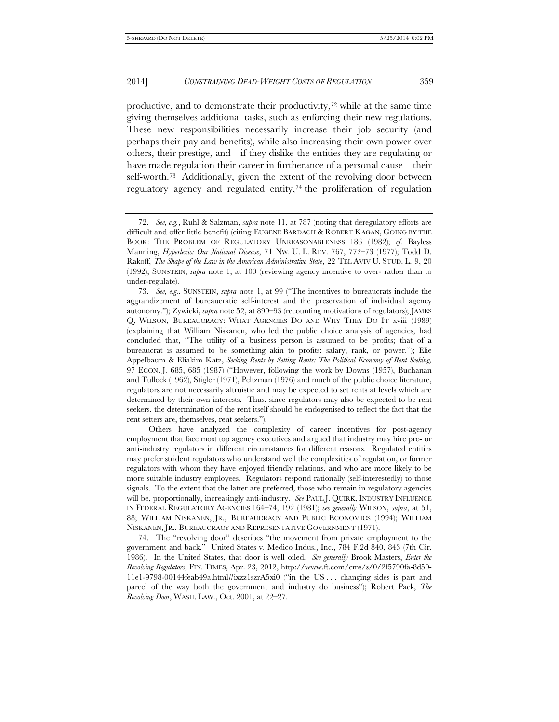productive, and to demonstrate their productivity,[72](#page-14-0) while at the same time giving themselves additional tasks, such as enforcing their new regulations. These new responsibilities necessarily increase their job security (and perhaps their pay and benefits), while also increasing their own power over others, their prestige, and—if they dislike the entities they are regulating or have made regulation their career in furtherance of a personal cause—their self-worth.[73](#page-14-1) Additionally, given the extent of the revolving door between regulatory agency and regulated entity, $74$  the proliferation of regulation

Others have analyzed the complexity of career incentives for post-agency employment that face most top agency executives and argued that industry may hire pro- or anti-industry regulators in different circumstances for different reasons. Regulated entities may prefer strident regulators who understand well the complexities of regulation, or former regulators with whom they have enjoyed friendly relations, and who are more likely to be more suitable industry employees. Regulators respond rationally (self-interestedly) to those signals. To the extent that the latter are preferred, those who remain in regulatory agencies will be, proportionally, increasingly anti-industry. *See* PAUL J. QUIRK, INDUSTRY INFLUENCE IN FEDERAL REGULATORY AGENCIES 164–74, 192 (1981); *see generally* WILSON, *supra*, at 51, 88; WILLIAM NISKANEN, JR., BUREAUCRACY AND PUBLIC ECONOMICS (1994); WILLIAM NISKANEN, JR., BUREAUCRACY AND REPRESENTATIVE GOVERNMENT (1971).

<span id="page-14-2"></span>74. The "revolving door" describes "the movement from private employment to the government and back." United States v. Medico Indus., Inc., 784 F.2d 840, 843 (7th Cir. 1986). In the United States, that door is well oiled. *See generally* Brook Masters, *Enter the Revolving Regulators*, FIN. TIMES, Apr. 23, 2012, http://www.ft.com/cms/s/0/2f5790fa-8d50- 11e1-9798-00144feab49a.html#ixzz1szrA5xi0 ("in the US . . . changing sides is part and parcel of the way both the government and industry do business"); Robert Pack, *The Revolving Door*, WASH. LAW., Oct. 2001, at 22–27.

<span id="page-14-0"></span><sup>72.</sup> *See, e.g.*, Ruhl & Salzman, *supra* note 11, at 787 (noting that deregulatory efforts are difficult and offer little benefit) (citing EUGENE BARDACH & ROBERT KAGAN, GOING BY THE BOOK: THE PROBLEM OF REGULATORY UNREASONABLENESS 186 (1982); *cf.* Bayless Manning, *Hyperlexis: Our National Disease*, 71 NW. U. L. REV. 767, 772–73 (1977); Todd D. Rakoff, *The Shape of the Law in the American Administrative State*, 22 TEL AVIV U. STUD. L. 9, 20 (1992); SUNSTEIN, *supra* note 1, at 100 (reviewing agency incentive to over- rather than to under-regulate).

<span id="page-14-1"></span><sup>73.</sup> *See, e.g.*, SUNSTEIN, *supra* note 1, at 99 ("The incentives to bureaucrats include the aggrandizement of bureaucratic self-interest and the preservation of individual agency autonomy."); Zywicki, *supra* note 52, at 890–93 (recounting motivations of regulators); JAMES Q. WILSON, BUREAUCRACY: WHAT AGENCIES DO AND WHY THEY DO IT xviii (1989) (explaining that William Niskanen, who led the public choice analysis of agencies, had concluded that, "The utility of a business person is assumed to be profits; that of a bureaucrat is assumed to be something akin to profits: salary, rank, or power."); Elie Appelbaum & Eliakim Katz, *Seeking Rents by Setting Rents: The Political Economy of Rent Seeking,* 97 ECON. J. 685, 685 (1987) ("However, following the work by Downs (1957), Buchanan and Tullock (1962), Stigler (1971), Peltzman (1976) and much of the public choice literature, regulators are not necessarily altruistic and may be expected to set rents at levels which are determined by their own interests. Thus, since regulators may also be expected to be rent seekers, the determination of the rent itself should be endogenised to reflect the fact that the rent setters are, themselves, rent seekers.").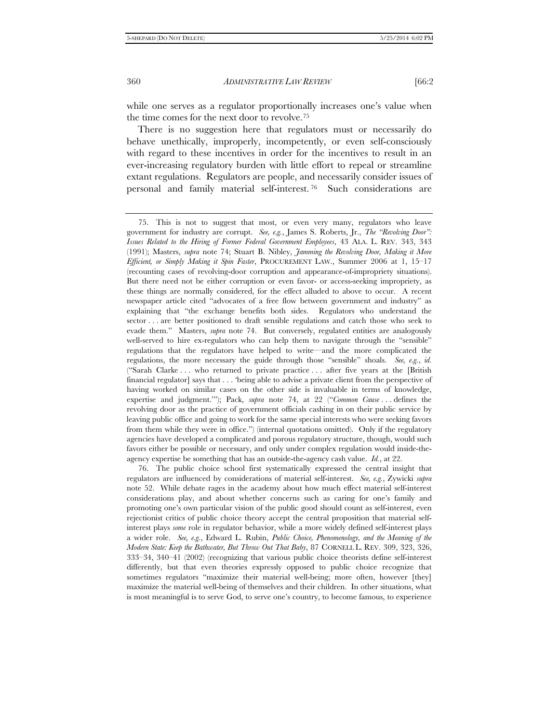while one serves as a regulator proportionally increases one's value when the time comes for the next door to revolve.[75](#page-15-0)

There is no suggestion here that regulators must or necessarily do behave unethically, improperly, incompetently, or even self-consciously with regard to these incentives in order for the incentives to result in an ever-increasing regulatory burden with little effort to repeal or streamline extant regulations. Regulators are people, and necessarily consider issues of personal and family material self-interest. [76](#page-15-1) Such considerations are

<span id="page-15-1"></span>76. The public choice school first systematically expressed the central insight that regulators are influenced by considerations of material self-interest. *See, e.g.*, Zywicki *supra* note 52. While debate rages in the academy about how much effect material self-interest considerations play, and about whether concerns such as caring for one's family and promoting one's own particular vision of the public good should count as self-interest, even rejectionist critics of public choice theory accept the central proposition that material selfinterest plays *some* role in regulator behavior, while a more widely defined self-interest plays a wider role. *See, e.g.*, Edward L. Rubin, *Public Choice, Phenomenology, and the Meaning of the Modern State: Keep the Bathwater, But Throw Out That Baby*, 87 CORNELL L. REV. 309, 323, 326, 333–34, 340–41 (2002) (recognizing that various public choice theorists define self-interest differently, but that even theories expressly opposed to public choice recognize that sometimes regulators "maximize their material well-being; more often, however [they] maximize the material well-being of themselves and their children. In other situations, what is most meaningful is to serve God, to serve one's country, to become famous, to experience

<span id="page-15-0"></span><sup>75.</sup> This is not to suggest that most, or even very many, regulators who leave government for industry are corrupt. *See, e.g.*, James S. Roberts, Jr., *The "Revolving Door": Issues Related to the Hiring of Former Federal Government Employees*, 43 ALA. L. REV. 343, 343 (1991); Masters, *supra* note 74; Stuart B. Nibley, *Jamming the Revolving Door, Making it More Efficient, or Simply Making it Spin Faster*, PROCUREMENT LAW., Summer 2006 at 1, 15–17 (recounting cases of revolving-door corruption and appearance-of-impropriety situations). But there need not be either corruption or even favor- or access-seeking impropriety, as these things are normally considered, for the effect alluded to above to occur. A recent newspaper article cited "advocates of a free flow between government and industry" as explaining that "the exchange benefits both sides. Regulators who understand the sector . . . are better positioned to draft sensible regulations and catch those who seek to evade them." Masters, *supra* note 74. But conversely, regulated entities are analogously well-served to hire ex-regulators who can help them to navigate through the "sensible" regulations that the regulators have helped to write—and the more complicated the regulations, the more necessary the guide through those "sensible" shoals. *See, e.g.*, *id.* ("Sarah Clarke . . . who returned to private practice . . . after five years at the [British financial regulator] says that . . . 'being able to advise a private client from the perspective of having worked on similar cases on the other side is invaluable in terms of knowledge, expertise and judgment.'"); Pack, *supra* note 74, at 22 ("*Common Cause* . . . defines the revolving door as the practice of government officials cashing in on their public service by leaving public office and going to work for the same special interests who were seeking favors from them while they were in office.") (internal quotations omitted). Only if the regulatory agencies have developed a complicated and porous regulatory structure, though, would such favors either be possible or necessary, and only under complex regulation would inside-theagency expertise be something that has an outside-the-agency cash value. *Id.*, at 22.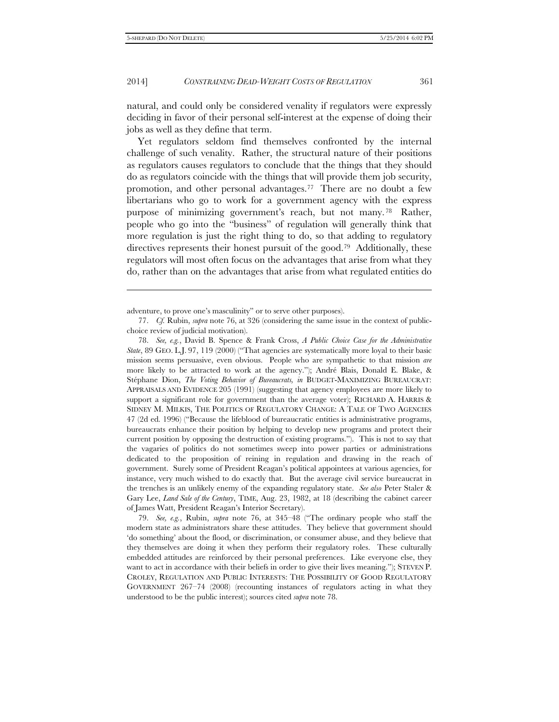-

#### 2014] *CONSTRAINING DEAD-WEIGHT COSTS OF REGULATION* 361

natural, and could only be considered venality if regulators were expressly deciding in favor of their personal self-interest at the expense of doing their jobs as well as they define that term.

Yet regulators seldom find themselves confronted by the internal challenge of such venality. Rather, the structural nature of their positions as regulators causes regulators to conclude that the things that they should do as regulators coincide with the things that will provide them job security, promotion, and other personal advantages.[77](#page-16-0) There are no doubt a few libertarians who go to work for a government agency with the express purpose of minimizing government's reach, but not many. [78](#page-16-1) Rather, people who go into the "business" of regulation will generally think that more regulation is just the right thing to do, so that adding to regulatory directives represents their honest pursuit of the good.[79](#page-16-2) Additionally, these regulators will most often focus on the advantages that arise from what they do, rather than on the advantages that arise from what regulated entities do

adventure, to prove one's masculinity" or to serve other purposes).

<span id="page-16-0"></span><sup>77.</sup> *Cf.* Rubin, *supra* note 76, at 326 (considering the same issue in the context of publicchoice review of judicial motivation).

<span id="page-16-1"></span><sup>78.</sup> *See, e.g.*, David B. Spence & Frank Cross, *A Public Choice Case for the Administrative State*, 89 GEO. L.J. 97, 119 (2000) ("That agencies are systematically more loyal to their basic mission seems persuasive, even obvious. People who are sympathetic to that mission *are* more likely to be attracted to work at the agency."); André Blais, Donald E. Blake, & Stéphane Dion, *The Voting Behavior of Bureaucrats, in* BUDGET-MAXIMIZING BUREAUCRAT: APPRAISALS AND EVIDENCE 205 (1991) (suggesting that agency employees are more likely to support a significant role for government than the average voter); RICHARD A. HARRIS & SIDNEY M. MILKIS, THE POLITICS OF REGULATORY CHANGE: A TALE OF TWO AGENCIES 47 (2d ed. 1996) ("Because the lifeblood of bureaucratic entities is administrative programs, bureaucrats enhance their position by helping to develop new programs and protect their current position by opposing the destruction of existing programs."). This is not to say that the vagaries of politics do not sometimes sweep into power parties or administrations dedicated to the proposition of reining in regulation and drawing in the reach of government. Surely some of President Reagan's political appointees at various agencies, for instance, very much wished to do exactly that. But the average civil service bureaucrat in the trenches is an unlikely enemy of the expanding regulatory state. *See also* Peter Staler & Gary Lee, *Land Sale of the Century*, TIME, Aug. 23, 1982, at 18 (describing the cabinet career of James Watt, President Reagan's Interior Secretary).

<span id="page-16-2"></span><sup>79.</sup> *See, e.g.*, Rubin, *supra* note 76, at 345–48 ("The ordinary people who staff the modern state as administrators share these attitudes. They believe that government should 'do something' about the flood, or discrimination, or consumer abuse, and they believe that they themselves are doing it when they perform their regulatory roles. These culturally embedded attitudes are reinforced by their personal preferences. Like everyone else, they want to act in accordance with their beliefs in order to give their lives meaning."); STEVEN P. CROLEY, REGULATION AND PUBLIC INTERESTS: THE POSSIBILITY OF GOOD REGULATORY GOVERNMENT 267–74 (2008) (recounting instances of regulators acting in what they understood to be the public interest); sources cited *supra* note 78.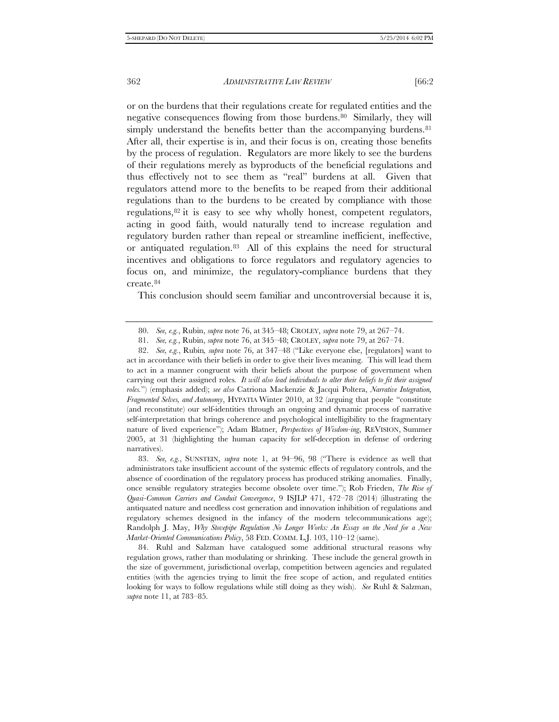or on the burdens that their regulations create for regulated entities and the negative consequences flowing from those burdens.[80](#page-17-0) Similarly, they will simply understand the benefits better than the accompanying burdens.<sup>81</sup> After all, their expertise is in, and their focus is on, creating those benefits by the process of regulation. Regulators are more likely to see the burdens of their regulations merely as byproducts of the beneficial regulations and thus effectively not to see them as "real" burdens at all. Given that regulators attend more to the benefits to be reaped from their additional regulations than to the burdens to be created by compliance with those regulations,[82](#page-17-2) it is easy to see why wholly honest, competent regulators, acting in good faith, would naturally tend to increase regulation and regulatory burden rather than repeal or streamline inefficient, ineffective, or antiquated regulation.[83](#page-17-3) All of this explains the need for structural incentives and obligations to force regulators and regulatory agencies to focus on, and minimize, the regulatory-compliance burdens that they create.[84](#page-17-4)

This conclusion should seem familiar and uncontroversial because it is,

<span id="page-17-3"></span>83. *See, e.g.*, SUNSTEIN, *supra* note 1, at 94–96, 98 ("There is evidence as well that administrators take insufficient account of the systemic effects of regulatory controls, and the absence of coordination of the regulatory process has produced striking anomalies. Finally, once sensible regulatory strategies become obsolete over time."); Rob Frieden, *The Rise of Quasi-Common Carriers and Conduit Convergence*, 9 ISJLP 471, 472–78 (2014) (illustrating the antiquated nature and needless cost generation and innovation inhibition of regulations and regulatory schemes designed in the infancy of the modern telecommunications age); Randolph J. May, *Why Stovepipe Regulation No Longer Works: An Essay on the Need for a New Market-Oriented Communications Policy*, 58 FED. COMM. L.J. 103, 110–12 (same).

<span id="page-17-4"></span>84. Ruhl and Salzman have catalogued some additional structural reasons why regulation grows, rather than modulating or shrinking. These include the general growth in the size of government, jurisdictional overlap, competition between agencies and regulated entities (with the agencies trying to limit the free scope of action, and regulated entities looking for ways to follow regulations while still doing as they wish). *See* Ruhl & Salzman, *supra* note 11, at 783–85.

<sup>80.</sup> *See, e.g.*, Rubin, *supra* note 76, at 345–48; CROLEY, *supra* note 79, at 267–74.

<sup>81.</sup> *See, e.g.*, Rubin, *supra* note 76, at 345–48; CROLEY, *supra* note 79, at 267–74.

<span id="page-17-2"></span><span id="page-17-1"></span><span id="page-17-0"></span><sup>82.</sup> *See, e.g.*, Rubin*, supra* note 76, at 347–48 ("Like everyone else, [regulators] want to act in accordance with their beliefs in order to give their lives meaning. This will lead them to act in a manner congruent with their beliefs about the purpose of government when carrying out their assigned roles*. It will also lead individuals to alter their beliefs to fit their assigned roles.*") (emphasis added); *see also* Catriona Mackenzie & Jacqui Poltera, *Narrative Integration, Fragmented Selves, and Autonomy*, HYPATIA Winter 2010, at 32 (arguing that people "constitute (and reconstitute) our self-identities through an ongoing and dynamic process of narrative self-interpretation that brings coherence and psychological intelligibility to the fragmentary nature of lived experience"); Adam Blatner, *Perspectives of Wisdom-ing*, REVISION, Summer 2005, at 31 (highlighting the human capacity for self-deception in defense of ordering narratives).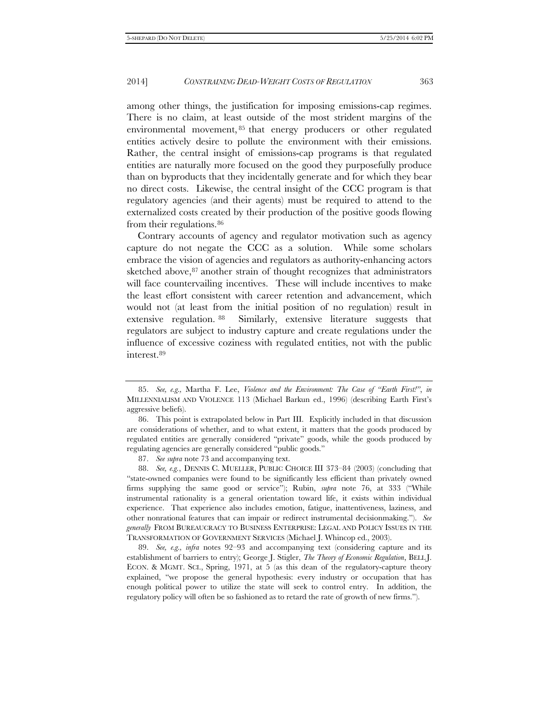among other things, the justification for imposing emissions-cap regimes. There is no claim, at least outside of the most strident margins of the environmental movement, [85](#page-18-0) that energy producers or other regulated entities actively desire to pollute the environment with their emissions. Rather, the central insight of emissions-cap programs is that regulated entities are naturally more focused on the good they purposefully produce than on byproducts that they incidentally generate and for which they bear no direct costs. Likewise, the central insight of the CCC program is that regulatory agencies (and their agents) must be required to attend to the externalized costs created by their production of the positive goods flowing from their regulations.<sup>[86](#page-18-1)</sup>

Contrary accounts of agency and regulator motivation such as agency capture do not negate the CCC as a solution. While some scholars embrace the vision of agencies and regulators as authority-enhancing actors sketched above, <sup>[87](#page-18-2)</sup> another strain of thought recognizes that administrators will face countervailing incentives. These will include incentives to make the least effort consistent with career retention and advancement, which would not (at least from the initial position of no regulation) result in extensive regulation. [88](#page-18-3) Similarly, extensive literature suggests that regulators are subject to industry capture and create regulations under the influence of excessive coziness with regulated entities, not with the public interest[.89](#page-18-4)

87. *See supra* note 73 and accompanying text.

<span id="page-18-3"></span><span id="page-18-2"></span>88. *See, e.g.*, DENNIS C. MUELLER, PUBLIC CHOICE III 373–84 (2003) (concluding that "state-owned companies were found to be significantly less efficient than privately owned firms supplying the same good or service"); Rubin, *supra* note 76, at 333 ("While instrumental rationality is a general orientation toward life, it exists within individual experience. That experience also includes emotion, fatigue, inattentiveness, laziness, and other nonrational features that can impair or redirect instrumental decisionmaking."). *See generally* FROM BUREAUCRACY TO BUSINESS ENTERPRISE: LEGAL AND POLICY ISSUES IN THE TRANSFORMATION OF GOVERNMENT SERVICES (Michael J. Whincop ed., 2003).

<span id="page-18-4"></span>89. *See, e.g., infra* notes 92–93 and accompanying text (considering capture and its establishment of barriers to entry); George J. Stigler, *The Theory of Economic Regulation*, BELL J. ECON. & MGMT. SCI., Spring, 1971, at 5 (as this dean of the regulatory-capture theory explained, "we propose the general hypothesis: every industry or occupation that has enough political power to utilize the state will seek to control entry. In addition, the regulatory policy will often be so fashioned as to retard the rate of growth of new firms.").

<span id="page-18-0"></span><sup>85.</sup> *See, e.g.,* Martha F. Lee, *Violence and the Environment: The Case of "Earth First!"*, *in*  MILLENNIALISM AND VIOLENCE 113 (Michael Barkun ed., 1996) (describing Earth First's aggressive beliefs).

<span id="page-18-1"></span><sup>86.</sup> This point is extrapolated below in Part III. Explicitly included in that discussion are considerations of whether, and to what extent, it matters that the goods produced by regulated entities are generally considered "private" goods, while the goods produced by regulating agencies are generally considered "public goods."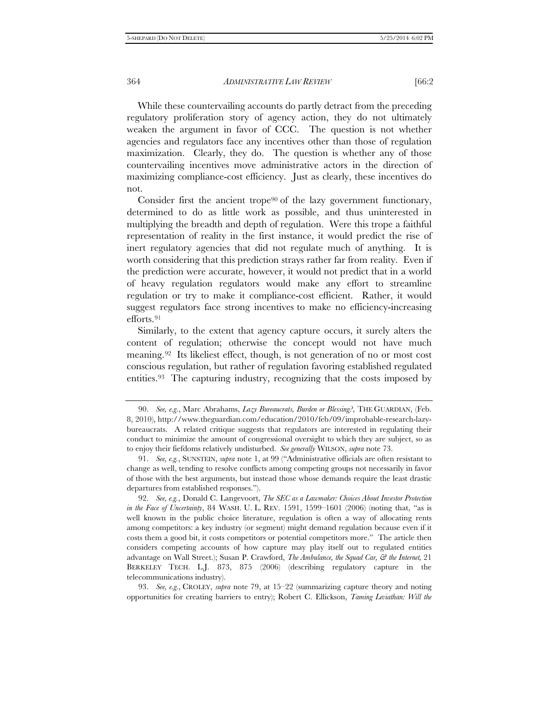While these countervailing accounts do partly detract from the preceding regulatory proliferation story of agency action, they do not ultimately weaken the argument in favor of CCC. The question is not whether agencies and regulators face any incentives other than those of regulation maximization. Clearly, they do. The question is whether any of those countervailing incentives move administrative actors in the direction of maximizing compliance-cost efficiency. Just as clearly, these incentives do not.

Consider first the ancient trope<sup>[90](#page-19-0)</sup> of the lazy government functionary, determined to do as little work as possible, and thus uninterested in multiplying the breadth and depth of regulation. Were this trope a faithful representation of reality in the first instance, it would predict the rise of inert regulatory agencies that did not regulate much of anything. It is worth considering that this prediction strays rather far from reality. Even if the prediction were accurate, however, it would not predict that in a world of heavy regulation regulators would make any effort to streamline regulation or try to make it compliance-cost efficient. Rather, it would suggest regulators face strong incentives to make no efficiency-increasing efforts.[91](#page-19-1)

Similarly, to the extent that agency capture occurs, it surely alters the content of regulation; otherwise the concept would not have much meaning.[92](#page-19-2) Its likeliest effect, though, is not generation of no or most cost conscious regulation, but rather of regulation favoring established regulated entities.[93](#page-19-3) The capturing industry, recognizing that the costs imposed by

<span id="page-19-3"></span>93. *See, e.g.*, CROLEY, *supra* note 79, at 15–22 (summarizing capture theory and noting opportunities for creating barriers to entry); Robert C. Ellickson, *Taming Leviathan: Will the* 

<span id="page-19-0"></span><sup>90.</sup> *See, e.g.*, Marc Abrahams, *Lazy Bureaucrats, Burden or Blessing?*, THE GUARDIAN, (Feb. 8, 2010), http://www.theguardian.com/education/2010/feb/09/improbable-research-lazybureaucrats. A related critique suggests that regulators are interested in regulating their conduct to minimize the amount of congressional oversight to which they are subject, so as to enjoy their fiefdoms relatively undisturbed. *See generally* WILSON, *supra* note 73.

<span id="page-19-1"></span><sup>91.</sup> *See, e.g.*, SUNSTEIN, *supra* note 1, at 99 ("Administrative officials are often resistant to change as well, tending to resolve conflicts among competing groups not necessarily in favor of those with the best arguments, but instead those whose demands require the least drastic departures from established responses.").

<span id="page-19-2"></span><sup>92.</sup> *See, e.g.*, Donald C. Langevoort, *The SEC as a Lawmaker: Choices About Investor Protection in the Face of Uncertainty*, 84 WASH. U. L. REV. 1591, 1599–1601 (2006) (noting that, "as is well known in the public choice literature, regulation is often a way of allocating rents among competitors: a key industry (or segment) might demand regulation because even if it costs them a good bit, it costs competitors or potential competitors more." The article then considers competing accounts of how capture may play itself out to regulated entities advantage on Wall Street.); Susan P. Crawford, *The Ambulance, the Squad Car, & the Internet,* 21 BERKELEY TECH. L.J. 873, 875 (2006) (describing regulatory capture in the telecommunications industry).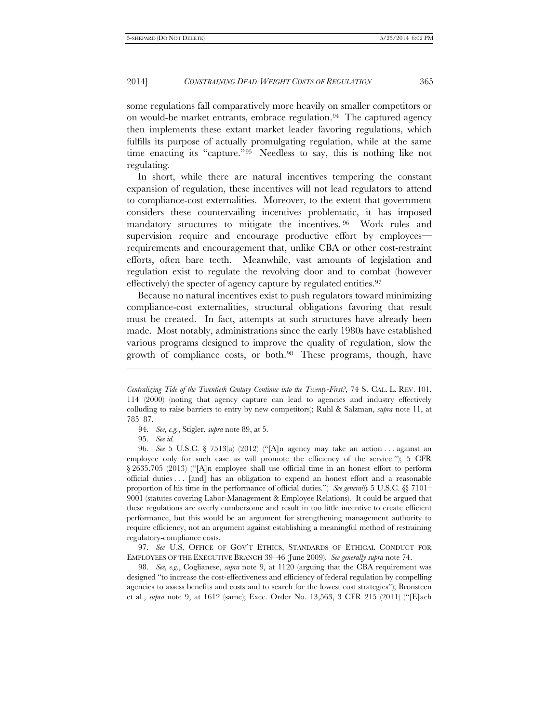some regulations fall comparatively more heavily on smaller competitors or on would-be market entrants, embrace regulation.<sup>94</sup> The captured agency then implements these extant market leader favoring regulations, which fulfills its purpose of actually promulgating regulation, while at the same time enacting its "capture."[95](#page-20-1) Needless to say, this is nothing like not regulating.

In short, while there are natural incentives tempering the constant expansion of regulation, these incentives will not lead regulators to attend to compliance-cost externalities. Moreover, to the extent that government considers these countervailing incentives problematic, it has imposed mandatory structures to mitigate the incentives. [96](#page-20-2) Work rules and supervision require and encourage productive effort by employees requirements and encouragement that, unlike CBA or other cost-restraint efforts, often bare teeth. Meanwhile, vast amounts of legislation and regulation exist to regulate the revolving door and to combat (however effectively) the specter of agency capture by regulated entities.<sup>[97](#page-20-3)</sup>

Because no natural incentives exist to push regulators toward minimizing compliance-cost externalities, structural obligations favoring that result must be created. In fact, attempts at such structures have already been made. Most notably, administrations since the early 1980s have established various programs designed to improve the quality of regulation, slow the growth of compliance costs, or both.[98](#page-20-4) These programs, though, have

95. *See id.*

j

<span id="page-20-3"></span>97. *See* U.S. OFFICE OF GOV'T ETHICS, STANDARDS OF ETHICAL CONDUCT FOR EMPLOYEES OF THE EXECUTIVE BRANCH 39–46 (June 2009). *See generally supra* note 74.

<span id="page-20-4"></span>98. *See, e.g.*, Coglianese, *supra* note 9, at 1120 (arguing that the CBA requirement was designed "to increase the cost-effectiveness and efficiency of federal regulation by compelling agencies to assess benefits and costs and to search for the lowest cost strategies"); Bronsteen et al., *supra* note 9, at 1612 (same); Exec. Order No. 13,563, 3 CFR 215 (2011) ("[E]ach

*Centralizing Tide of the Twentieth Century Continue into the Twenty-First?*, 74 S. CAL. L. REV. 101, 114 (2000) (noting that agency capture can lead to agencies and industry effectively colluding to raise barriers to entry by new competitors); Ruhl & Salzman, *supra* note 11, at 785–87.

<sup>94.</sup> *See, e.g.*, Stigler, *supra* note 89, at 5.

<span id="page-20-2"></span><span id="page-20-1"></span><span id="page-20-0"></span><sup>96.</sup> *See* 5 U.S.C. § 7513(a) (2012) ("[A]n agency may take an action . . . against an employee only for such case as will promote the efficiency of the service."); 5 CFR § 2635.705 (2013) ("[A]n employee shall use official time in an honest effort to perform official duties . . . [and] has an obligation to expend an honest effort and a reasonable proportion of his time in the performance of official duties.") *See generally* 5 U.S.C. §§ 7101– 9001 (statutes covering Labor-Management & Employee Relations). It could be argued that these regulations are overly cumbersome and result in too little incentive to create efficient performance, but this would be an argument for strengthening management authority to require efficiency, not an argument against establishing a meaningful method of restraining regulatory-compliance costs.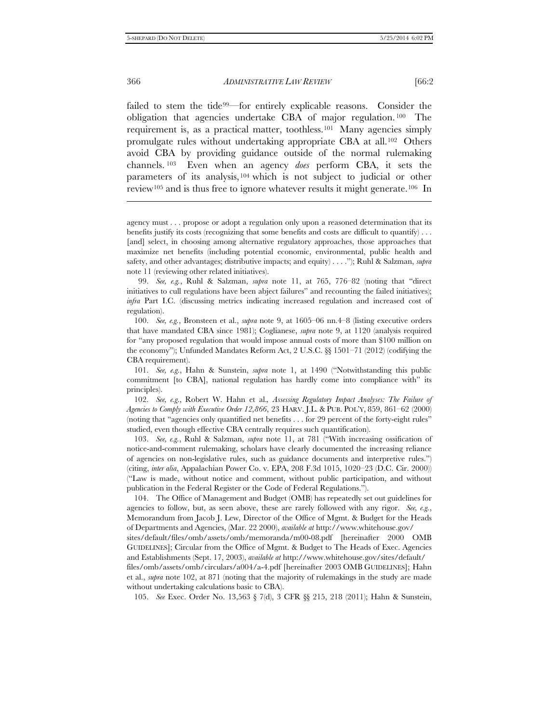j

366 *ADMINISTRATIVE LAW REVIEW* [66:2

failed to stem the tide[99](#page-21-0)—for entirely explicable reasons. Consider the obligation that agencies undertake CBA of major regulation. [100](#page-21-1) The requirement is, as a practical matter, toothless.[101](#page-21-2) Many agencies simply promulgate rules without undertaking appropriate CBA at all.[102](#page-21-3) Others avoid CBA by providing guidance outside of the normal rulemaking channels. [103](#page-21-4) Even when an agency *does* perform CBA, it sets the parameters of its analysis, [104](#page-21-5) which is not subject to judicial or other review[105](#page-21-6) and is thus free to ignore whatever results it might generate.[106](#page-21-7) In

<span id="page-21-7"></span><span id="page-21-0"></span>99. *See, e.g.*, Ruhl & Salzman, *supra* note 11, at 765, 776–82 (noting that "direct initiatives to cull regulations have been abject failures" and recounting the failed initiatives); *infra* Part I.C. (discussing metrics indicating increased regulation and increased cost of regulation).

<span id="page-21-1"></span>100. *See, e.g.*, Bronsteen et al., *supra* note 9, at 1605–06 nn.4–8 (listing executive orders that have mandated CBA since 1981); Coglianese, *supra* note 9, at 1120 (analysis required for "any proposed regulation that would impose annual costs of more than \$100 million on the economy"); Unfunded Mandates Reform Act, 2 U.S.C. §§ 1501–71 (2012) (codifying the CBA requirement).

<span id="page-21-3"></span>102. *See, e.g.*, Robert W. Hahn et al.*, Assessing Regulatory Impact Analyses: The Failure of Agencies to Comply with Executive Order 12,866*, 23 HARV. J.L. & PUB. POL'Y, 859, 861–62 (2000) (noting that "agencies only quantified net benefits . . . for 29 percent of the forty-eight rules" studied, even though effective CBA centrally requires such quantification).

<span id="page-21-4"></span>103. *See, e.g.*, Ruhl & Salzman, *supra* note 11, at 781 ("With increasing ossification of notice-and-comment rulemaking, scholars have clearly documented the increasing reliance of agencies on non-legislative rules, such as guidance documents and interpretive rules.") (citing, *inter alia*, Appalachian Power Co. v. EPA, 208 F.3d 1015, 1020–23 (D.C. Cir. 2000)) ("Law is made, without notice and comment, without public participation, and without publication in the Federal Register or the Code of Federal Regulations.").

<span id="page-21-5"></span>104. The Office of Management and Budget (OMB) has repeatedly set out guidelines for agencies to follow, but, as seen above, these are rarely followed with any rigor. *See, e.g.*, Memorandum from Jacob J. Lew, Director of the Office of Mgmt. & Budget for the Heads of Departments and Agencies, (Mar. 22 2000), *available at* http://www.whitehouse.gov/

sites/default/files/omb/assets/omb/memoranda/m00-08.pdf [hereinafter 2000 OMB GUIDELINES]; Circular from the Office of Mgmt. & Budget to The Heads of Exec. Agencies and Establishments (Sept. 17, 2003), *available at* http://www.whitehouse.gov/sites/default/

<span id="page-21-6"></span>files/omb/assets/omb/circulars/a004/a-4.pdf [hereinafter 2003 OMB GUIDELINES]; Hahn et al., *supra* note 102, at 871 (noting that the majority of rulemakings in the study are made without undertaking calculations basic to CBA).

105. *See* Exec. Order No. 13,563 § 7(d), 3 CFR §§ 215, 218 (2011); Hahn & Sunstein,

agency must . . . propose or adopt a regulation only upon a reasoned determination that its benefits justify its costs (recognizing that some benefits and costs are difficult to quantify) . . . [and] select, in choosing among alternative regulatory approaches, those approaches that maximize net benefits (including potential economic, environmental, public health and safety, and other advantages; distributive impacts; and equity) . . . ."); Ruhl & Salzman, *supra* note 11 (reviewing other related initiatives).

<span id="page-21-2"></span><sup>101.</sup> *See, e.g.*, Hahn & Sunstein, *supra* note 1, at 1490 ("Notwithstanding this public commitment [to CBA], national regulation has hardly come into compliance with" its principles).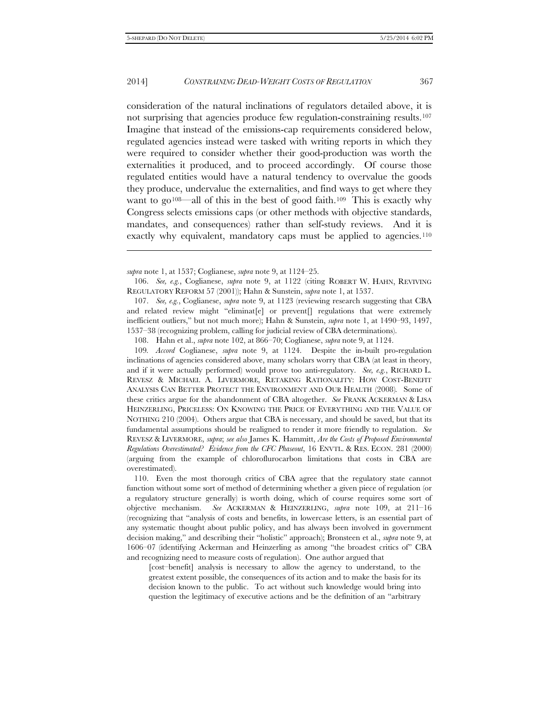j

#### 2014] *CONSTRAINING DEAD-WEIGHT COSTS OF REGULATION* 367

consideration of the natural inclinations of regulators detailed above, it is not surprising that agencies produce few regulation-constraining results[.107](#page-22-0)  Imagine that instead of the emissions-cap requirements considered below, regulated agencies instead were tasked with writing reports in which they were required to consider whether their good-production was worth the externalities it produced, and to proceed accordingly. Of course those regulated entities would have a natural tendency to overvalue the goods they produce, undervalue the externalities, and find ways to get where they want to go<sup>[108—](#page-22-1)</sup>all of this in the best of good faith.<sup>[109](#page-22-2)</sup> This is exactly why Congress selects emissions caps (or other methods with objective standards, mandates, and consequences) rather than self-study reviews. And it is exactly why equivalent, mandatory caps must be applied to agencies.<sup>[110](#page-22-3)</sup>

108. Hahn et al., *supra* note 102, at 866–70; Coglianese, *supra* note 9, at 1124.

<span id="page-22-2"></span><span id="page-22-1"></span>109*. Accord* Coglianese, *supra* note 9, at 1124. Despite the in-built pro-regulation inclinations of agencies considered above, many scholars worry that CBA (at least in theory, and if it were actually performed) would prove too anti-regulatory. *See, e.g.*, RICHARD L. REVESZ & MICHAEL A. LIVERMORE, RETAKING RATIONALITY: HOW COST-BENEFIT ANALYSIS CAN BETTER PROTECT THE ENVIRONMENT AND OUR HEALTH (2008)*.* Some of these critics argue for the abandonment of CBA altogether. *See* FRANK ACKERMAN & LISA HEINZERLING, PRICELESS: ON KNOWING THE PRICE OF EVERYTHING AND THE VALUE OF NOTHING 210 (2004). Others argue that CBA is necessary, and should be saved, but that its fundamental assumptions should be realigned to render it more friendly to regulation. *See*  REVESZ & LIVERMORE, *supra*; *see also* James K. Hammitt, *Are the Costs of Proposed Environmental Regulations Overestimated? Evidence from the CFC Phaseout*, 16 ENVTL. & RES. ECON. 281 (2000) (arguing from the example of chloroflurocarbon limitations that costs in CBA are overestimated).

<span id="page-22-3"></span>110. Even the most thorough critics of CBA agree that the regulatory state cannot function without some sort of method of determining whether a given piece of regulation (or a regulatory structure generally) is worth doing, which of course requires some sort of objective mechanism. *See* ACKERMAN & HEINZERLING, *supra* note 109, at 211–16 (recognizing that "analysis of costs and benefits, in lowercase letters, is an essential part of any systematic thought about public policy, and has always been involved in government decision making," and describing their "holistic" approach); Bronsteen et al., *supra* note 9, at 1606–07 (identifying Ackerman and Heinzerling as among "the broadest critics of" CBA and recognizing need to measure costs of regulation). One author argued that

[cost–benefit] analysis is necessary to allow the agency to understand, to the greatest extent possible, the consequences of its action and to make the basis for its decision known to the public. To act without such knowledge would bring into question the legitimacy of executive actions and be the definition of an "arbitrary

*supra* note 1, at 1537; Coglianese, *supra* note 9, at 1124–25.

<sup>106.</sup> *See, e.g.*, Coglianese, *supra* note 9, at 1122 (citing ROBERT W. HAHN, REVIVING REGULATORY REFORM 57 (2001)); Hahn & Sunstein, *supra* note 1, at 1537.

<span id="page-22-0"></span><sup>107.</sup> *See, e.g.*, Coglianese, *supra* note 9, at 1123 (reviewing research suggesting that CBA and related review might "eliminat[e] or prevent[] regulations that were extremely inefficient outliers," but not much more); Hahn & Sunstein, *supra* note 1, at 1490–93, 1497, 1537–38 (recognizing problem, calling for judicial review of CBA determinations).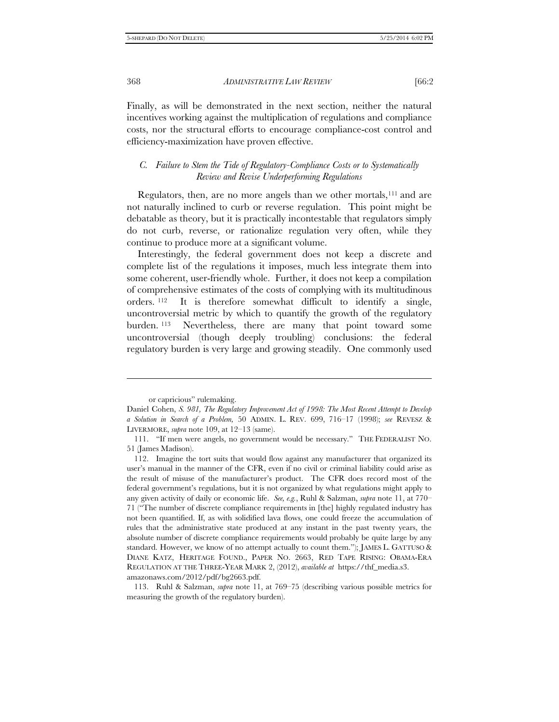Finally, as will be demonstrated in the next section, neither the natural incentives working against the multiplication of regulations and compliance costs, nor the structural efforts to encourage compliance-cost control and efficiency-maximization have proven effective.

#### *C. Failure to Stem the Tide of Regulatory-Compliance Costs or to Systematically Review and Revise Underperforming Regulations*

Regulators, then, are no more angels than we other mortals,<sup>[111](#page-23-0)</sup> and are not naturally inclined to curb or reverse regulation. This point might be debatable as theory, but it is practically incontestable that regulators simply do not curb, reverse, or rationalize regulation very often, while they continue to produce more at a significant volume.

Interestingly, the federal government does not keep a discrete and complete list of the regulations it imposes, much less integrate them into some coherent, user-friendly whole. Further, it does not keep a compilation of comprehensive estimates of the costs of complying with its multitudinous orders. [112](#page-23-1) It is therefore somewhat difficult to identify a single, uncontroversial metric by which to quantify the growth of the regulatory burden. [113](#page-23-2) Nevertheless, there are many that point toward some uncontroversial (though deeply troubling) conclusions: the federal regulatory burden is very large and growing steadily. One commonly used

-

or capricious" rulemaking.

Daniel Cohen, *S. 981, The Regulatory Improvement Act of 1998: The Most Recent Attempt to Develop a Solution in Search of a Problem,* 50 ADMIN. L. REV. 699, 716–17 (1998); *see* REVESZ & LIVERMORE, *supra* note 109, at 12–13 (same).

<span id="page-23-0"></span><sup>111.</sup> "If men were angels, no government would be necessary." THE FEDERALIST NO. 51 (James Madison).

<span id="page-23-1"></span><sup>112.</sup> Imagine the tort suits that would flow against any manufacturer that organized its user's manual in the manner of the CFR, even if no civil or criminal liability could arise as the result of misuse of the manufacturer's product. The CFR does record most of the federal government's regulations, but it is not organized by what regulations might apply to any given activity of daily or economic life. *See, e.g.*, Ruhl & Salzman, *supra* note 11, at 770– 71 ("The number of discrete compliance requirements in [the] highly regulated industry has not been quantified. If, as with solidified lava flows, one could freeze the accumulation of rules that the administrative state produced at any instant in the past twenty years, the absolute number of discrete compliance requirements would probably be quite large by any standard. However, we know of no attempt actually to count them."); JAMES L. GATTUSO & DIANE KATZ, HERITAGE FOUND., PAPER NO. 2663, RED TAPE RISING: OBAMA-ERA REGULATION AT THE THREE-YEAR MARK 2, (2012), *available at* https://thf\_media.s3. amazonaws.com/2012/pdf/bg2663.pdf.

<span id="page-23-2"></span><sup>113.</sup> Ruhl & Salzman, *supra* note 11, at 769–75 (describing various possible metrics for measuring the growth of the regulatory burden).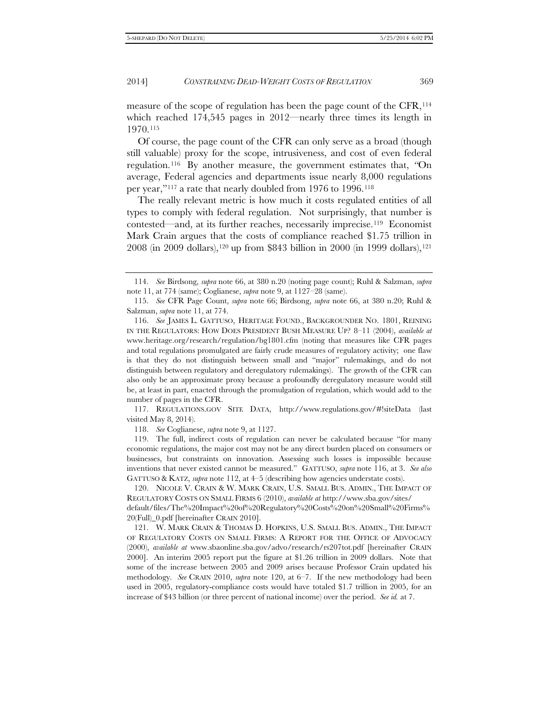measure of the scope of regulation has been the page count of the CFR,<sup>114</sup> which reached 174,545 pages in 2012—nearly three times its length in 1970.[115](#page-24-1)

Of course, the page count of the CFR can only serve as a broad (though still valuable) proxy for the scope, intrusiveness, and cost of even federal regulation.[116](#page-24-2) By another measure, the government estimates that, *"*On average, Federal agencies and departments issue nearly 8,000 regulations per year,"[117](#page-24-3) a rate that nearly doubled from 1976 to 1996.[118](#page-24-4)

The really relevant metric is how much it costs regulated entities of all types to comply with federal regulation. Not surprisingly, that number is contested—and, at its further reaches, necessarily imprecise.[119](#page-24-5) Economist Mark Crain argues that the costs of compliance reached \$1.75 trillion in 2008 (in 2009 dollars),[120](#page-24-6) up from \$843 billion in 2000 (in 1999 dollars)[,121](#page-24-7)

<span id="page-24-3"></span>117. REGULATIONS.GOV SITE DATA, http://www.regulations.gov/#!siteData (last visited May 8, 2014).

118. *See* Coglianese, *supra* note 9, at 1127.

<span id="page-24-5"></span><span id="page-24-4"></span>119. The full, indirect costs of regulation can never be calculated because "for many economic regulations, the major cost may not be any direct burden placed on consumers or businesses, but constraints on innovation. Assessing such losses is impossible because inventions that never existed cannot be measured." GATTUSO, *supra* note 116, at 3. *See also* GATTUSO & KATZ, *supra* note 112, at 4–5 (describing how agencies understate costs).

<span id="page-24-6"></span>120. NICOLE V. CRAIN & W. MARK CRAIN, U.S. SMALL BUS. ADMIN., THE IMPACT OF REGULATORY COSTS ON SMALL FIRMS 6 (2010), *available at* http://www.sba.gov/sites/ default/files/The%20Impact%20of%20Regulatory%20Costs%20on%20Small%20Firms% 20(Full)\_0.pdf [hereinafter CRAIN 2010].

<span id="page-24-0"></span><sup>114.</sup> *See* Birdsong, *supra* note 66, at 380 n.20 (noting page count); Ruhl & Salzman, *supra* note 11, at 774 (same); Coglianese, *supra* note 9, at 1127–28 (same).

<span id="page-24-1"></span><sup>115.</sup> *See* CFR Page Count, *supra* note 66; Birdsong, *supra* note 66, at 380 n.20; Ruhl & Salzman, *supra* note 11, at 774.

<span id="page-24-2"></span><sup>116.</sup> *See* JAMES L. GATTUSO, HERITAGE FOUND., BACKGROUNDER NO. 1801, REINING IN THE REGULATORS: HOW DOES PRESIDENT BUSH MEASURE UP? 8–11 (2004), *available at* www.heritage.org/research/regulation/bg1801.cfm (noting that measures like CFR pages and total regulations promulgated are fairly crude measures of regulatory activity; one flaw is that they do not distinguish between small and "major" rulemakings, and do not distinguish between regulatory and deregulatory rulemakings). The growth of the CFR can also only be an approximate proxy because a profoundly deregulatory measure would still be, at least in part, enacted through the promulgation of regulation, which would add to the number of pages in the CFR.

<span id="page-24-7"></span><sup>121.</sup> W. MARK CRAIN & THOMAS D. HOPKINS, U.S. SMALL BUS. ADMIN., THE IMPACT OF REGULATORY COSTS ON SMALL FIRMS: A REPORT FOR THE OFFICE OF ADVOCACY (2000), *available at* www.sbaonline.sba.gov/advo/research/rs207tot.pdf [hereinafter CRAIN 2000]. An interim 2005 report put the figure at \$1.26 trillion in 2009 dollars. Note that some of the increase between 2005 and 2009 arises because Professor Crain updated his methodology. *See* CRAIN 2010, *supra* note 120, at 6–7. If the new methodology had been used in 2005, regulatory-compliance costs would have totaled \$1.7 trillion in 2005, for an increase of \$43 billion (or three percent of national income) over the period. *See id.* at 7.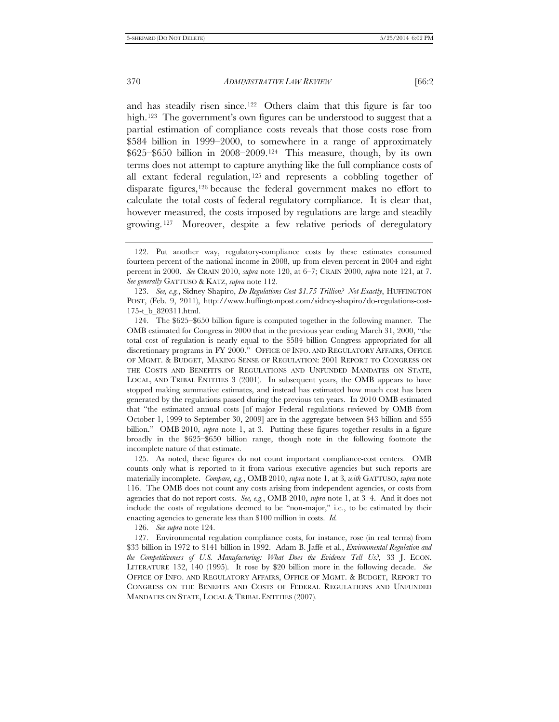and has steadily risen since.[122](#page-25-0) Others claim that this figure is far too high.<sup>[123](#page-25-1)</sup> The government's own figures can be understood to suggest that a partial estimation of compliance costs reveals that those costs rose from \$584 billion in 1999–2000, to somewhere in a range of approximately \$625–\$650 billion in 2008–2009.[124](#page-25-2) This measure, though, by its own terms does not attempt to capture anything like the full compliance costs of all extant federal regulation, [125](#page-25-3) and represents a cobbling together of disparate figures,<sup>[126](#page-25-4)</sup> because the federal government makes no effort to calculate the total costs of federal regulatory compliance. It is clear that, however measured, the costs imposed by regulations are large and steadily growing. [127](#page-25-5) Moreover, despite a few relative periods of deregulatory

<span id="page-25-3"></span>125. As noted, these figures do not count important compliance-cost centers. OMB counts only what is reported to it from various executive agencies but such reports are materially incomplete. *Compare, e.g.*, OMB 2010, *supra* note 1, at 3*, with* GATTUSO, *supra* note 116. The OMB does not count any costs arising from independent agencies, or costs from agencies that do not report costs. *See, e.g.*, OMB 2010, *supra* note 1, at 3–4. And it does not include the costs of regulations deemed to be "non-major," i.e., to be estimated by their enacting agencies to generate less than \$100 million in costs. *Id.*

126. *See supra* note 124.

<span id="page-25-5"></span><span id="page-25-4"></span>127. Environmental regulation compliance costs, for instance, rose (in real terms) from \$33 billion in 1972 to \$141 billion in 1992. Adam B. Jaffe et al., *Environmental Regulation and the Competitiveness of U.S. Manufacturing: What Does the Evidence Tell Us?,* 33 J. ECON. LITERATURE 132, 140 (1995). It rose by \$20 billion more in the following decade. *See*  OFFICE OF INFO. AND REGULATORY AFFAIRS, OFFICE OF MGMT. & BUDGET, REPORT TO CONGRESS ON THE BENEFITS AND COSTS OF FEDERAL REGULATIONS AND UNFUNDED MANDATES ON STATE, LOCAL & TRIBAL ENTITIES (2007).

<span id="page-25-0"></span><sup>122.</sup> Put another way, regulatory-compliance costs by these estimates consumed fourteen percent of the national income in 2008, up from eleven percent in 2004 and eight percent in 2000. *See* CRAIN 2010, *supra* note 120, at 6–7; CRAIN 2000, *supra* note 121, at 7. *See generally* GATTUSO & KATZ, *supra* note 112.

<span id="page-25-1"></span><sup>123.</sup> *See, e.g.*, Sidney Shapiro, *Do Regulations Cost \$1.75 Trillion? Not Exactly*, HUFFINGTON POST, (Feb. 9, 2011), http://www.huffingtonpost.com/sidney-shapiro/do-regulations-cost-175-t\_b\_820311.html.

<span id="page-25-2"></span><sup>124.</sup> The \$625–\$650 billion figure is computed together in the following manner. The OMB estimated for Congress in 2000 that in the previous year ending March 31, 2000, "the total cost of regulation is nearly equal to the \$584 billion Congress appropriated for all discretionary programs in FY 2000." OFFICE OF INFO. AND REGULATORY AFFAIRS, OFFICE OF MGMT. & BUDGET, MAKING SENSE OF REGULATION: 2001 REPORT TO CONGRESS ON THE COSTS AND BENEFITS OF REGULATIONS AND UNFUNDED MANDATES ON STATE, LOCAL, AND TRIBAL ENTITIES 3 (2001). In subsequent years, the OMB appears to have stopped making summative estimates, and instead has estimated how much cost has been generated by the regulations passed during the previous ten years. In 2010 OMB estimated that "the estimated annual costs [of major Federal regulations reviewed by OMB from October 1, 1999 to September 30, 2009] are in the aggregate between \$43 billion and \$55 billion." OMB 2010, *supra* note 1, at 3. Putting these figures together results in a figure broadly in the \$625–\$650 billion range, though note in the following footnote the incomplete nature of that estimate.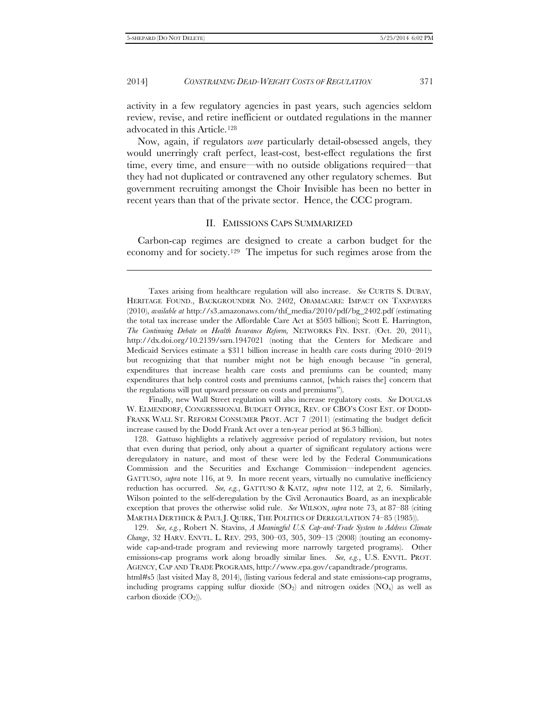-

#### 2014] *CONSTRAINING DEAD-WEIGHT COSTS OF REGULATION* 371

activity in a few regulatory agencies in past years, such agencies seldom review, revise, and retire inefficient or outdated regulations in the manner advocated in this Article.[128](#page-26-0)

Now, again, if regulators *were* particularly detail-obsessed angels, they would unerringly craft perfect, least-cost, best-effect regulations the first time, every time, and ensure—with no outside obligations required—that they had not duplicated or contravened any other regulatory schemes. But government recruiting amongst the Choir Invisible has been no better in recent years than that of the private sector. Hence, the CCC program.

#### II. EMISSIONS CAPS SUMMARIZED

Carbon-cap regimes are designed to create a carbon budget for the economy and for society[.129](#page-26-1) The impetus for such regimes arose from the

Finally, new Wall Street regulation will also increase regulatory costs. *See* DOUGLAS W. ELMENDORF, CONGRESSIONAL BUDGET OFFICE, REV. OF CBO'S COST EST. OF DODD-FRANK WALL ST. REFORM CONSUMER PROT. ACT 7 (2011) (estimating the budget deficit increase caused by the Dodd Frank Act over a ten-year period at \$6.3 billion).

<span id="page-26-0"></span>128. Gattuso highlights a relatively aggressive period of regulatory revision, but notes that even during that period, only about a quarter of significant regulatory actions were deregulatory in nature, and most of these were led by the Federal Communications Commission and the Securities and Exchange Commission—independent agencies. GATTUSO, *supra* note 116, at 9. In more recent years, virtually no cumulative inefficiency reduction has occurred. *See, e.g.*, GATTUSO & KATZ, *supra* note 112, at 2, 6. Similarly, Wilson pointed to the self-deregulation by the Civil Aeronautics Board, as an inexplicable exception that proves the otherwise solid rule. *See* WILSON, *supra* note 73, at 87–88 (citing MARTHA DERTHICK & PAUL J. QUIRK, THE POLITICS OF DEREGULATION 74–85 (1985)).

<span id="page-26-1"></span>129. *See, e.g.*, Robert N. Stavins, *A Meaningful U.S. Cap-and-Trade System to Address Climate Change*, 32 HARV. ENVTL. L. REV. 293, 300–03, 305, 309–13 (2008) (touting an economywide cap-and-trade program and reviewing more narrowly targeted programs). Other emissions-cap programs work along broadly similar lines. *See, e.g.*, U.S. ENVTL. PROT. AGENCY, CAP AND TRADE PROGRAMS, http://www.epa.gov/capandtrade/programs.

html#s5 (last visited May 8, 2014), (listing various federal and state emissions-cap programs, including programs capping sulfur dioxide  $(SO_2)$  and nitrogen oxides  $(NO_x)$  as well as carbon dioxide  $(CO<sub>2</sub>)$ ).

Taxes arising from healthcare regulation will also increase. *See* CURTIS S. DUBAY, HERITAGE FOUND., BACKGROUNDER NO. 2402, OBAMACARE: IMPACT ON TAXPAYERS (2010), *available at* http://s3.amazonaws.com/thf\_media/2010/pdf/bg\_2402.pdf (estimating the total tax increase under the Affordable Care Act at \$503 billion); Scott E. Harrington, *The Continuing Debate on Health Insurance Reform,* NETWORKS FIN. INST. (Oct. 20, 2011), http://dx.doi.org/10.2139/ssrn.1947021 (noting that the Centers for Medicare and Medicaid Services estimate a \$311 billion increase in health care costs during 2010–2019 but recognizing that that number might not be high enough because "in general, expenditures that increase health care costs and premiums can be counted; many expenditures that help control costs and premiums cannot, [which raises the] concern that the regulations will put upward pressure on costs and premiums").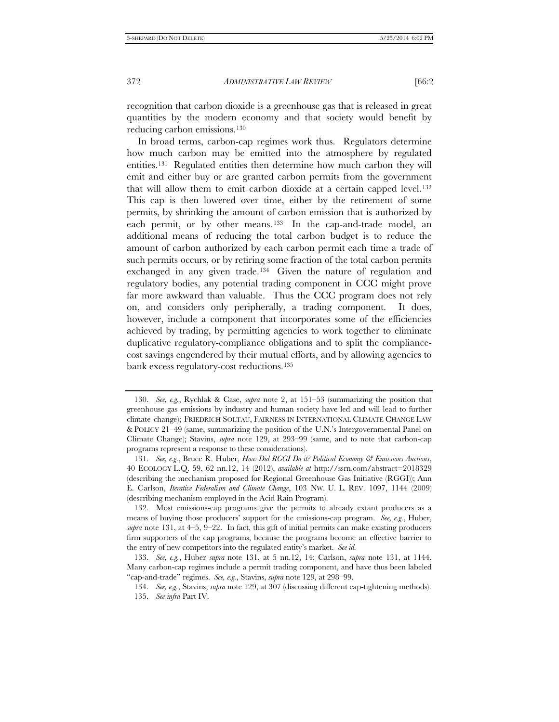recognition that carbon dioxide is a greenhouse gas that is released in great quantities by the modern economy and that society would benefit by reducing carbon emissions.[130](#page-27-0)

In broad terms, carbon-cap regimes work thus. Regulators determine how much carbon may be emitted into the atmosphere by regulated entities.[131](#page-27-1) Regulated entities then determine how much carbon they will emit and either buy or are granted carbon permits from the government that will allow them to emit carbon dioxide at a certain capped level[.132](#page-27-2)  This cap is then lowered over time, either by the retirement of some permits, by shrinking the amount of carbon emission that is authorized by each permit, or by other means.<sup>[133](#page-27-3)</sup> In the cap-and-trade model, an additional means of reducing the total carbon budget is to reduce the amount of carbon authorized by each carbon permit each time a trade of such permits occurs, or by retiring some fraction of the total carbon permits exchanged in any given trade.<sup>[134](#page-27-4)</sup> Given the nature of regulation and regulatory bodies, any potential trading component in CCC might prove far more awkward than valuable. Thus the CCC program does not rely on, and considers only peripherally, a trading component. It does, however, include a component that incorporates some of the efficiencies achieved by trading, by permitting agencies to work together to eliminate duplicative regulatory-compliance obligations and to split the compliancecost savings engendered by their mutual efforts, and by allowing agencies to bank excess regulatory-cost reductions.[135](#page-27-5)

<span id="page-27-0"></span><sup>130.</sup> *See, e.g.*, Rychlak & Case, *supra* note 2, at 151–53 (summarizing the position that greenhouse gas emissions by industry and human society have led and will lead to further climate change); FRIEDRICH SOLTAU, FAIRNESS IN INTERNATIONAL CLIMATE CHANGE LAW & POLICY 21–49 (same, summarizing the position of the U.N.'s Intergovernmental Panel on Climate Change); Stavins, *supra* note 129, at 293–99 (same, and to note that carbon-cap programs represent a response to these considerations).

<span id="page-27-1"></span><sup>131.</sup> *See, e.g.*, Bruce R. Huber, *How Did RGGI Do it? Political Economy & Emissions Auctions*, 40 ECOLOGY L.Q. 59, 62 nn.12, 14 (2012), *available at* http://ssrn.com/abstract=2018329 (describing the mechanism proposed for Regional Greenhouse Gas Initiative (RGGI)); Ann E. Carlson, *Iterative Federalism and Climate Change*, 103 NW. U. L. REV. 1097, 1144 (2009) (describing mechanism employed in the Acid Rain Program).

<span id="page-27-2"></span><sup>132.</sup> Most emissions-cap programs give the permits to already extant producers as a means of buying those producers' support for the emissions-cap program. *See, e.g.*, Huber, *supra* note 131, at 4–5, 9–22. In fact, this gift of initial permits can make existing producers firm supporters of the cap programs, because the programs become an effective barrier to the entry of new competitors into the regulated entity's market. *See id.*

<span id="page-27-5"></span><span id="page-27-4"></span><span id="page-27-3"></span><sup>133.</sup> *See, e.g.*, Huber *supra* note 131, at 5 nn.12, 14; Carlson, *supra* note 131, at 1144. Many carbon-cap regimes include a permit trading component, and have thus been labeled "cap-and-trade" regimes. *See, e.g.*, Stavins, *supra* note 129, at 298–99.

<sup>134.</sup> *See, e.g.*, Stavins, *supra* note 129, at 307 (discussing different cap-tightening methods). 135. *See infra* Part IV.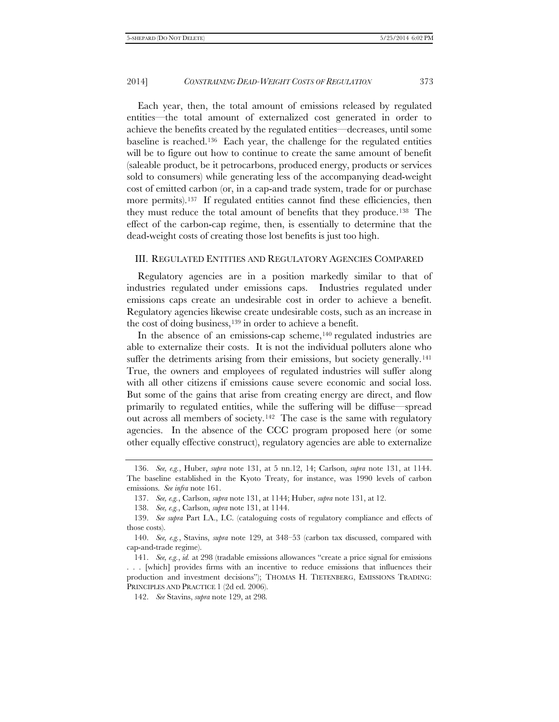Each year, then, the total amount of emissions released by regulated entities—the total amount of externalized cost generated in order to achieve the benefits created by the regulated entities—decreases, until some baseline is reached.[136](#page-28-0) Each year, the challenge for the regulated entities will be to figure out how to continue to create the same amount of benefit (saleable product, be it petrocarbons, produced energy, products or services sold to consumers) while generating less of the accompanying dead-weight cost of emitted carbon (or, in a cap-and trade system, trade for or purchase more permits).<sup>137</sup> If regulated entities cannot find these efficiencies, then they must reduce the total amount of benefits that they produce.[138](#page-28-2) The effect of the carbon-cap regime, then, is essentially to determine that the dead-weight costs of creating those lost benefits is just too high.

#### III. REGULATED ENTITIES AND REGULATORY AGENCIES COMPARED

Regulatory agencies are in a position markedly similar to that of industries regulated under emissions caps. Industries regulated under emissions caps create an undesirable cost in order to achieve a benefit. Regulatory agencies likewise create undesirable costs, such as an increase in the cost of doing business[,139](#page-28-3) in order to achieve a benefit.

In the absence of an emissions-cap scheme,<sup>[140](#page-28-4)</sup> regulated industries are able to externalize their costs. It is not the individual polluters alone who suffer the detriments arising from their emissions, but society generally.<sup>141</sup> True, the owners and employees of regulated industries will suffer along with all other citizens if emissions cause severe economic and social loss. But some of the gains that arise from creating energy are direct, and flow primarily to regulated entities, while the suffering will be diffuse—spread out across all members of society.[142](#page-28-6) The case is the same with regulatory agencies. In the absence of the CCC program proposed here (or some other equally effective construct), regulatory agencies are able to externalize

<span id="page-28-0"></span><sup>136.</sup> *See, e.g.*, Huber, *supra* note 131, at 5 nn.12, 14; Carlson, *supra* note 131, at 1144. The baseline established in the Kyoto Treaty, for instance, was 1990 levels of carbon emissions. *See infra* note 161.

<sup>137.</sup> *See, e.g.*, Carlson, *supra* note 131, at 1144; Huber, *supra* note 131, at 12.

<sup>138.</sup> *See, e.g.*, Carlson, *supra* note 131, at 1144.

<span id="page-28-3"></span><span id="page-28-2"></span><span id="page-28-1"></span><sup>139.</sup> *See supra* Part I.A., I.C. (cataloguing costs of regulatory compliance and effects of those costs).

<span id="page-28-4"></span><sup>140.</sup> *See, e.g.*, Stavins, *supra* note 129, at 348–53 (carbon tax discussed, compared with cap-and-trade regime).

<span id="page-28-5"></span><sup>141.</sup> *See, e.g.*, *id.* at 298 (tradable emissions allowances "create a price signal for emissions . . . [which] provides firms with an incentive to reduce emissions that influences their production and investment decisions"); THOMAS H. TIETENBERG, EMISSIONS TRADING: PRINCIPLES AND PRACTICE 1 (2d ed. 2006).

<span id="page-28-6"></span><sup>142.</sup> *See* Stavins, *supra* note 129, at 298*.*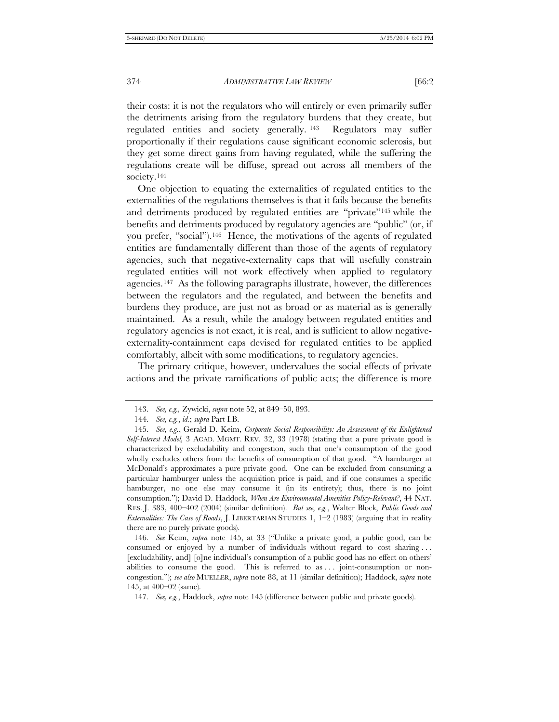their costs: it is not the regulators who will entirely or even primarily suffer the detriments arising from the regulatory burdens that they create, but regulated entities and society generally. [143](#page-29-0) Regulators may suffer proportionally if their regulations cause significant economic sclerosis, but they get some direct gains from having regulated, while the suffering the regulations create will be diffuse, spread out across all members of the society.<sup>[144](#page-29-1)</sup>

One objection to equating the externalities of regulated entities to the externalities of the regulations themselves is that it fails because the benefits and detriments produced by regulated entities are "private["145](#page-29-2) while the benefits and detriments produced by regulatory agencies are "public" (or, if you prefer, "social").[146](#page-29-3) Hence, the motivations of the agents of regulated entities are fundamentally different than those of the agents of regulatory agencies, such that negative-externality caps that will usefully constrain regulated entities will not work effectively when applied to regulatory agencies.[147](#page-29-4) As the following paragraphs illustrate, however, the differences between the regulators and the regulated, and between the benefits and burdens they produce, are just not as broad or as material as is generally maintained. As a result, while the analogy between regulated entities and regulatory agencies is not exact, it is real, and is sufficient to allow negativeexternality-containment caps devised for regulated entities to be applied comfortably, albeit with some modifications, to regulatory agencies.

The primary critique, however, undervalues the social effects of private actions and the private ramifications of public acts; the difference is more

<span id="page-29-3"></span>146. *See* Keim, *supra* note 145, at 33 ("Unlike a private good, a public good, can be consumed or enjoyed by a number of individuals without regard to cost sharing . . . [excludability, and] [o]ne individual's consumption of a public good has no effect on others' abilities to consume the good. This is referred to as  $\dots$  joint-consumption or noncongestion."); *see also* MUELLER, *supra* note 88, at 11 (similar definition); Haddock, *supra* note 145, at 400–02 (same).

<sup>143.</sup> *See, e.g.,* Zywicki, *supra* note 52, at 849–50, 893.

<sup>144.</sup> *See, e.g.*, *id.*; *supra* Part I.B.

<span id="page-29-2"></span><span id="page-29-1"></span><span id="page-29-0"></span><sup>145.</sup> *See, e.g.*, Gerald D. Keim, *Corporate Social Responsibility: An Assessment of the Enlightened Self-Interest Model,* 3 ACAD. MGMT. REV. 32, 33 (1978) (stating that a pure private good is characterized by excludability and congestion, such that one's consumption of the good wholly excludes others from the benefits of consumption of that good. "A hamburger at McDonald's approximates a pure private good. One can be excluded from consuming a particular hamburger unless the acquisition price is paid, and if one consumes a specific hamburger, no one else may consume it (in its entirety); thus, there is no joint consumption."); David D. Haddock, *When Are Environmental Amenities Policy-Relevant?*, 44 NAT. RES. J. 383, 400–402 (2004) (similar definition). *But see, e.g.*, Walter Block, *Public Goods and Externalities: The Case of Roads*, J. LIBERTARIAN STUDIES 1, 1–2 (1983) (arguing that in reality there are no purely private goods).

<span id="page-29-4"></span><sup>147.</sup> *See, e.g.*, Haddock, *supra* note 145 (difference between public and private goods).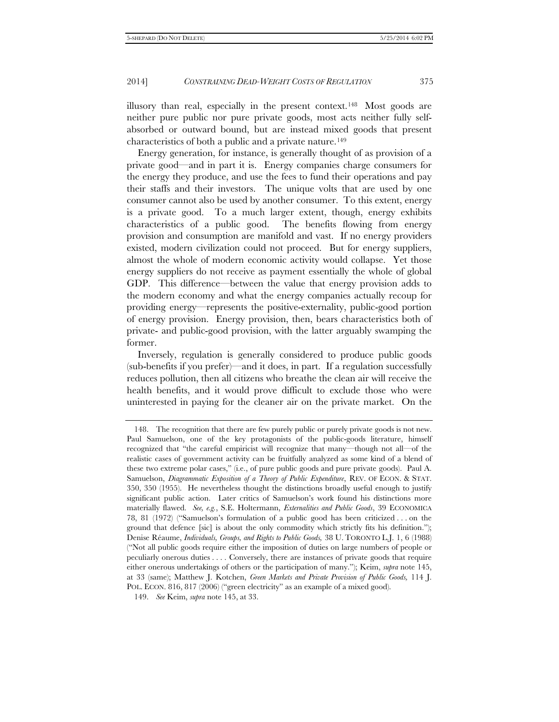illusory than real, especially in the present context.[148](#page-30-0) Most goods are neither pure public nor pure private goods, most acts neither fully selfabsorbed or outward bound, but are instead mixed goods that present characteristics of both a public and a private nature.[149](#page-30-1)

Energy generation, for instance, is generally thought of as provision of a private good—and in part it is. Energy companies charge consumers for the energy they produce, and use the fees to fund their operations and pay their staffs and their investors. The unique volts that are used by one consumer cannot also be used by another consumer. To this extent, energy is a private good. To a much larger extent, though, energy exhibits characteristics of a public good. The benefits flowing from energy provision and consumption are manifold and vast. If no energy providers existed, modern civilization could not proceed. But for energy suppliers, almost the whole of modern economic activity would collapse. Yet those energy suppliers do not receive as payment essentially the whole of global GDP. This difference—between the value that energy provision adds to the modern economy and what the energy companies actually recoup for providing energy—represents the positive-externality, public-good portion of energy provision. Energy provision, then, bears characteristics both of private- and public-good provision, with the latter arguably swamping the former.

Inversely, regulation is generally considered to produce public goods (sub-benefits if you prefer)—and it does, in part. If a regulation successfully reduces pollution, then all citizens who breathe the clean air will receive the health benefits, and it would prove difficult to exclude those who were uninterested in paying for the cleaner air on the private market. On the

<span id="page-30-0"></span><sup>148.</sup> The recognition that there are few purely public or purely private goods is not new. Paul Samuelson, one of the key protagonists of the public-goods literature, himself recognized that "the careful empiricist will recognize that many—though not all—of the realistic cases of government activity can be fruitfully analyzed as some kind of a blend of these two extreme polar cases," (i.e., of pure public goods and pure private goods). Paul A. Samuelson, *Diagrammatic Exposition of a Theory of Public Expenditure*, REV. OF ECON. & STAT. 350, 350 (1955). He nevertheless thought the distinctions broadly useful enough to justify significant public action. Later critics of Samuelson's work found his distinctions more materially flawed. *See, e.g.*, S.E. Holtermann, *Externalities and Public Goods*, 39 ECONOMICA 78, 81 (1972) ("Samuelson's formulation of a public good has been criticized . . . on the ground that defence [sic] is about the only commodity which strictly fits his definition."); Denise Réaume, *Individuals, Groups, and Rights to Public Goods,* 38 U. TORONTO L.J. 1, 6 (1988) ("Not all public goods require either the imposition of duties on large numbers of people or peculiarly onerous duties . . . . Conversely, there are instances of private goods that require either onerous undertakings of others or the participation of many."); Keim, *supra* note 145, at 33 (same); Matthew J. Kotchen, *Green Markets and Private Provision of Public Goods,* 114 J. POL. ECON. 816, 817 (2006) ("green electricity" as an example of a mixed good).

<span id="page-30-1"></span><sup>149.</sup> *See* Keim, *supra* note 145, at 33.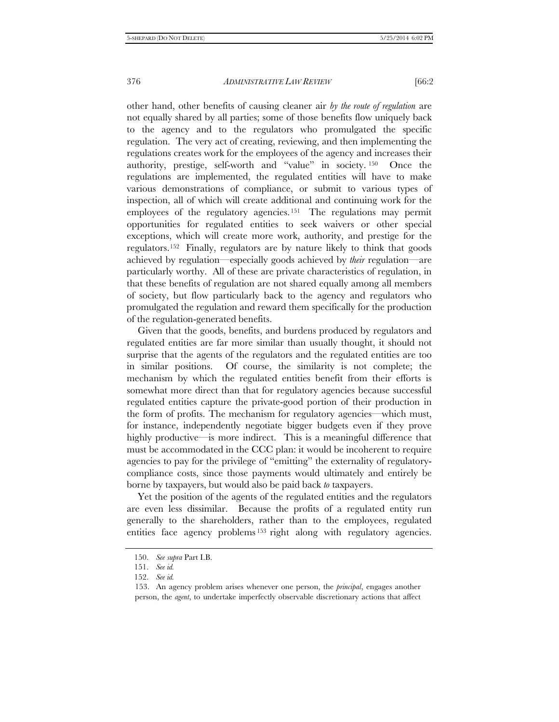other hand, other benefits of causing cleaner air *by the route of regulation* are not equally shared by all parties; some of those benefits flow uniquely back to the agency and to the regulators who promulgated the specific regulation. The very act of creating, reviewing, and then implementing the regulations creates work for the employees of the agency and increases their authority, prestige, self-worth and "value" in society. [150](#page-31-0) Once the regulations are implemented, the regulated entities will have to make various demonstrations of compliance, or submit to various types of inspection, all of which will create additional and continuing work for the employees of the regulatory agencies.[151](#page-31-1) The regulations may permit opportunities for regulated entities to seek waivers or other special exceptions, which will create more work, authority, and prestige for the regulators.[152](#page-31-2) Finally, regulators are by nature likely to think that goods achieved by regulation—especially goods achieved by *their* regulation—are particularly worthy. All of these are private characteristics of regulation, in that these benefits of regulation are not shared equally among all members of society, but flow particularly back to the agency and regulators who promulgated the regulation and reward them specifically for the production of the regulation-generated benefits.

Given that the goods, benefits, and burdens produced by regulators and regulated entities are far more similar than usually thought, it should not surprise that the agents of the regulators and the regulated entities are too in similar positions. Of course, the similarity is not complete; the mechanism by which the regulated entities benefit from their efforts is somewhat more direct than that for regulatory agencies because successful regulated entities capture the private-good portion of their production in the form of profits. The mechanism for regulatory agencies—which must, for instance, independently negotiate bigger budgets even if they prove highly productive—is more indirect. This is a meaningful difference that must be accommodated in the CCC plan: it would be incoherent to require agencies to pay for the privilege of "emitting" the externality of regulatorycompliance costs, since those payments would ultimately and entirely be borne by taxpayers, but would also be paid back *to* taxpayers.

Yet the position of the agents of the regulated entities and the regulators are even less dissimilar. Because the profits of a regulated entity run generally to the shareholders, rather than to the employees, regulated entities face agency problems [153](#page-31-3) right along with regulatory agencies.

<span id="page-31-0"></span><sup>150.</sup> *See supra* Part I.B.

<sup>151.</sup> *See id.*

<span id="page-31-3"></span><span id="page-31-2"></span><span id="page-31-1"></span><sup>152.</sup> *See id.*

<sup>153.</sup> An agency problem arises whenever one person, the *principal*, engages another person, the *agent*, to undertake imperfectly observable discretionary actions that affect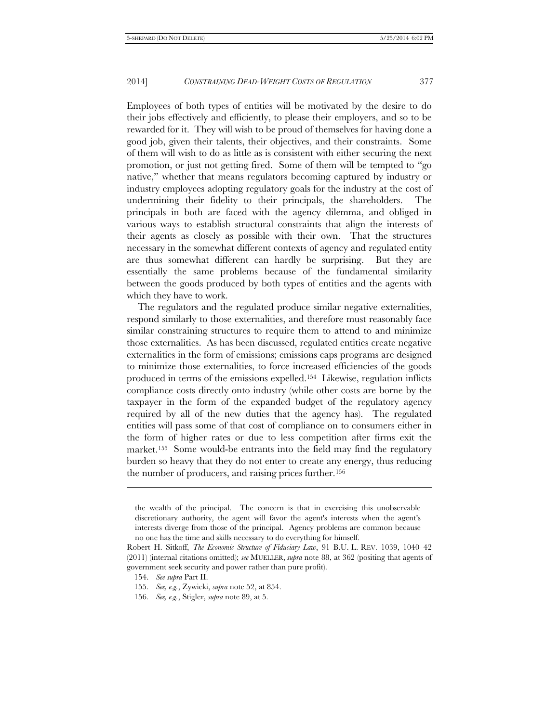Employees of both types of entities will be motivated by the desire to do their jobs effectively and efficiently, to please their employers, and so to be rewarded for it. They will wish to be proud of themselves for having done a good job, given their talents, their objectives, and their constraints. Some of them will wish to do as little as is consistent with either securing the next promotion, or just not getting fired. Some of them will be tempted to "go native," whether that means regulators becoming captured by industry or industry employees adopting regulatory goals for the industry at the cost of undermining their fidelity to their principals, the shareholders. The principals in both are faced with the agency dilemma, and obliged in various ways to establish structural constraints that align the interests of their agents as closely as possible with their own. That the structures necessary in the somewhat different contexts of agency and regulated entity are thus somewhat different can hardly be surprising. But they are essentially the same problems because of the fundamental similarity between the goods produced by both types of entities and the agents with which they have to work.

The regulators and the regulated produce similar negative externalities, respond similarly to those externalities, and therefore must reasonably face similar constraining structures to require them to attend to and minimize those externalities. As has been discussed, regulated entities create negative externalities in the form of emissions; emissions caps programs are designed to minimize those externalities, to force increased efficiencies of the goods produced in terms of the emissions expelled.[154](#page-32-0) Likewise, regulation inflicts compliance costs directly onto industry (while other costs are borne by the taxpayer in the form of the expanded budget of the regulatory agency required by all of the new duties that the agency has). The regulated entities will pass some of that cost of compliance on to consumers either in the form of higher rates or due to less competition after firms exit the market.[155](#page-32-1) Some would-be entrants into the field may find the regulatory burden so heavy that they do not enter to create any energy, thus reducing the number of producers, and raising prices further.[156](#page-32-2)

j

the wealth of the principal. The concern is that in exercising this unobservable discretionary authority, the agent will favor the agent's interests when the agent's interests diverge from those of the principal. Agency problems are common because no one has the time and skills necessary to do everything for himself.

<span id="page-32-1"></span><span id="page-32-0"></span>Robert H. Sitkoff, *The Economic Structure of Fiduciary Law*, 91 B.U. L. REV. 1039, 1040–42 (2011) (internal citations omitted); *see* MUELLER, *supra* note 88, at 362 (positing that agents of government seek security and power rather than pure profit).

<sup>154.</sup> *See supra* Part II.

<sup>155.</sup> *See, e.g.*, Zywicki, *supra* note 52, at 854.

<span id="page-32-2"></span><sup>156.</sup> *See, e.g.*, Stigler, *supra* note 89, at 5.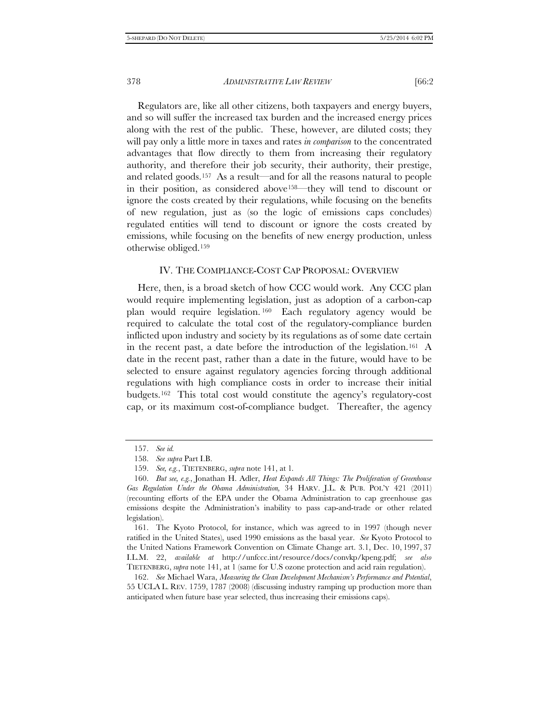Regulators are, like all other citizens, both taxpayers and energy buyers, and so will suffer the increased tax burden and the increased energy prices along with the rest of the public. These, however, are diluted costs; they will pay only a little more in taxes and rates *in comparison* to the concentrated advantages that flow directly to them from increasing their regulatory authority, and therefore their job security, their authority, their prestige, and related goods.[157](#page-33-0) As a result—and for all the reasons natural to people in their position, as considered abov[e158—](#page-33-1)they will tend to discount or ignore the costs created by their regulations, while focusing on the benefits of new regulation, just as (so the logic of emissions caps concludes) regulated entities will tend to discount or ignore the costs created by emissions, while focusing on the benefits of new energy production, unless otherwise obliged.[159](#page-33-2)

#### IV. THE COMPLIANCE-COST CAP PROPOSAL: OVERVIEW

Here, then, is a broad sketch of how CCC would work. Any CCC plan would require implementing legislation, just as adoption of a carbon-cap plan would require legislation. [160](#page-33-3) Each regulatory agency would be required to calculate the total cost of the regulatory-compliance burden inflicted upon industry and society by its regulations as of some date certain in the recent past, a date before the introduction of the legislation.[161](#page-33-4) A date in the recent past, rather than a date in the future, would have to be selected to ensure against regulatory agencies forcing through additional regulations with high compliance costs in order to increase their initial budgets.[162](#page-33-5) This total cost would constitute the agency's regulatory-cost cap, or its maximum cost-of-compliance budget. Thereafter, the agency

<sup>157.</sup> *See id.*

<sup>158.</sup> *See supra* Part I.B.

<sup>159.</sup> *See, e.g.*, TIETENBERG, *supra* note 141, at 1*.*

<span id="page-33-3"></span><span id="page-33-2"></span><span id="page-33-1"></span><span id="page-33-0"></span><sup>160.</sup> *But see, e.g.*, Jonathan H. Adler, *Heat Expands All Things: The Proliferation of Greenhouse Gas Regulation Under the Obama Administration,* 34 HARV. J.L. & PUB. POL'Y 421 (2011) (recounting efforts of the EPA under the Obama Administration to cap greenhouse gas emissions despite the Administration's inability to pass cap-and-trade or other related legislation).

<span id="page-33-4"></span><sup>161.</sup> The Kyoto Protocol, for instance, which was agreed to in 1997 (though never ratified in the United States), used 1990 emissions as the basal year. *See* Kyoto Protocol to the United Nations Framework Convention on Climate Change art. 3.1, Dec. 10, 1997, 37 I.L.M. 22, *available at* http://unfccc.int/resource/docs/convkp/kpeng.pdf; *see also* TIETENBERG, *supra* note 141, at 1 (same for U.S ozone protection and acid rain regulation).

<span id="page-33-5"></span><sup>162.</sup> *See* Michael Wara, *Measuring the Clean Development Mechanism's Performance and Potential*, 55 UCLA L. REV. 1759, 1787 (2008) (discussing industry ramping up production more than anticipated when future base year selected, thus increasing their emissions caps).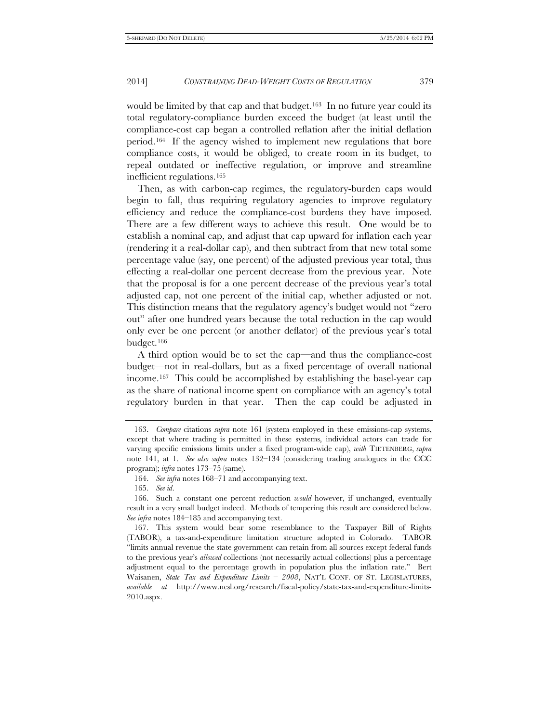would be limited by that cap and that budget.<sup>[163](#page-34-0)</sup> In no future year could its total regulatory-compliance burden exceed the budget (at least until the compliance-cost cap began a controlled reflation after the initial deflation period.[164](#page-34-1) If the agency wished to implement new regulations that bore compliance costs, it would be obliged, to create room in its budget, to repeal outdated or ineffective regulation, or improve and streamline inefficient regulations.[165](#page-34-2)

Then, as with carbon-cap regimes, the regulatory-burden caps would begin to fall, thus requiring regulatory agencies to improve regulatory efficiency and reduce the compliance-cost burdens they have imposed. There are a few different ways to achieve this result. One would be to establish a nominal cap, and adjust that cap upward for inflation each year (rendering it a real-dollar cap), and then subtract from that new total some percentage value (say, one percent) of the adjusted previous year total, thus effecting a real-dollar one percent decrease from the previous year. Note that the proposal is for a one percent decrease of the previous year's total adjusted cap, not one percent of the initial cap, whether adjusted or not. This distinction means that the regulatory agency's budget would not "zero out" after one hundred years because the total reduction in the cap would only ever be one percent (or another deflator) of the previous year's total budget.[166](#page-34-3)

A third option would be to set the cap—and thus the compliance-cost budget—not in real-dollars, but as a fixed percentage of overall national income.[167](#page-34-4) This could be accomplished by establishing the basel-year cap as the share of national income spent on compliance with an agency's total regulatory burden in that year. Then the cap could be adjusted in

<span id="page-34-0"></span><sup>163.</sup> *Compare* citations *supra* note 161 (system employed in these emissions-cap systems, except that where trading is permitted in these systems, individual actors can trade for varying specific emissions limits under a fixed program-wide cap), *with* TIETENBERG, *supra* note 141, at 1. *See also supra* notes 132–134 (considering trading analogues in the CCC program); *infra* notes 173–75 (same).

<sup>164.</sup> *See infra* notes 168–71 and accompanying text.

<sup>165.</sup> *See id*.

<span id="page-34-3"></span><span id="page-34-2"></span><span id="page-34-1"></span><sup>166.</sup> Such a constant one percent reduction *would* however, if unchanged, eventually result in a very small budget indeed. Methods of tempering this result are considered below. *See infra* notes 184–185 and accompanying text.

<span id="page-34-4"></span><sup>167.</sup> This system would bear some resemblance to the Taxpayer Bill of Rights (TABOR), a tax-and-expenditure limitation structure adopted in Colorado. TABOR "limits annual revenue the state government can retain from all sources except federal funds to the previous year's *allowed* collections (not necessarily actual collections) plus a percentage adjustment equal to the percentage growth in population plus the inflation rate." Bert Waisanen, *State Tax and Expenditure Limits – 2008*, NAT'L CONF. OF ST. LEGISLATURES, *available at* http://www.ncsl.org/research/fiscal-policy/state-tax-and-expenditure-limits-2010.aspx.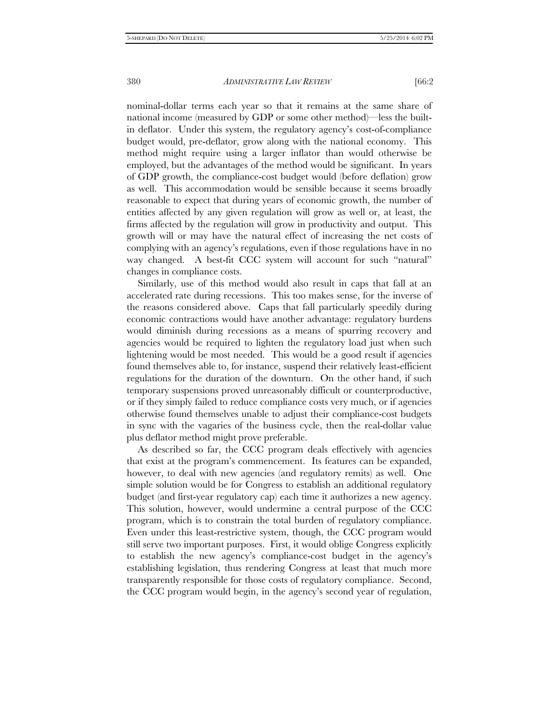nominal-dollar terms each year so that it remains at the same share of national income (measured by GDP or some other method)—less the builtin deflator. Under this system, the regulatory agency's cost-of-compliance budget would, pre-deflator, grow along with the national economy. This method might require using a larger inflator than would otherwise be employed, but the advantages of the method would be significant. In years of GDP growth, the compliance-cost budget would (before deflation) grow as well. This accommodation would be sensible because it seems broadly reasonable to expect that during years of economic growth, the number of entities affected by any given regulation will grow as well or, at least, the firms affected by the regulation will grow in productivity and output. This growth will or may have the natural effect of increasing the net costs of complying with an agency's regulations, even if those regulations have in no way changed. A best-fit CCC system will account for such "natural" changes in compliance costs.

Similarly, use of this method would also result in caps that fall at an accelerated rate during recessions. This too makes sense, for the inverse of the reasons considered above. Caps that fall particularly speedily during economic contractions would have another advantage: regulatory burdens would diminish during recessions as a means of spurring recovery and agencies would be required to lighten the regulatory load just when such lightening would be most needed. This would be a good result if agencies found themselves able to, for instance, suspend their relatively least-efficient regulations for the duration of the downturn. On the other hand, if such temporary suspensions proved unreasonably difficult or counterproductive, or if they simply failed to reduce compliance costs very much, or if agencies otherwise found themselves unable to adjust their compliance-cost budgets in sync with the vagaries of the business cycle, then the real-dollar value plus deflator method might prove preferable.

As described so far, the CCC program deals effectively with agencies that exist at the program's commencement. Its features can be expanded, however, to deal with new agencies (and regulatory remits) as well. One simple solution would be for Congress to establish an additional regulatory budget (and first-year regulatory cap) each time it authorizes a new agency. This solution, however, would undermine a central purpose of the CCC program, which is to constrain the total burden of regulatory compliance. Even under this least-restrictive system, though, the CCC program would still serve two important purposes. First, it would oblige Congress explicitly to establish the new agency's compliance-cost budget in the agency's establishing legislation, thus rendering Congress at least that much more transparently responsible for those costs of regulatory compliance. Second, the CCC program would begin, in the agency's second year of regulation,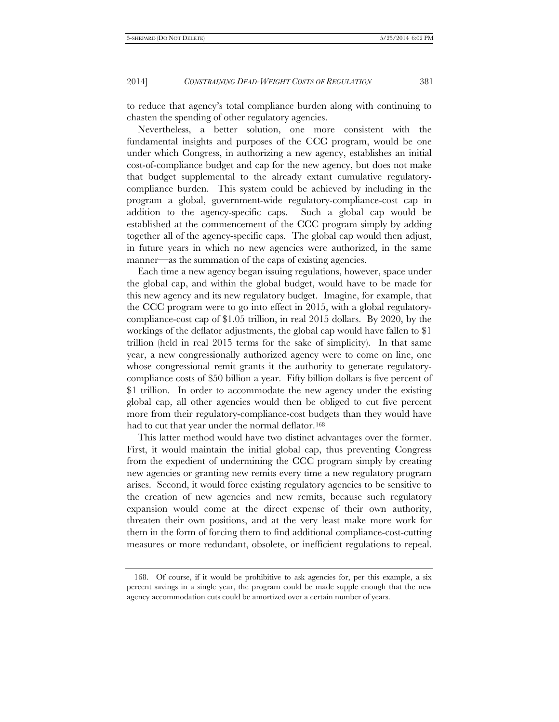to reduce that agency's total compliance burden along with continuing to chasten the spending of other regulatory agencies.

Nevertheless, a better solution, one more consistent with the fundamental insights and purposes of the CCC program, would be one under which Congress, in authorizing a new agency, establishes an initial cost-of-compliance budget and cap for the new agency, but does not make that budget supplemental to the already extant cumulative regulatorycompliance burden. This system could be achieved by including in the program a global, government-wide regulatory-compliance-cost cap in addition to the agency-specific caps. Such a global cap would be established at the commencement of the CCC program simply by adding together all of the agency-specific caps. The global cap would then adjust, in future years in which no new agencies were authorized, in the same manner—as the summation of the caps of existing agencies.

Each time a new agency began issuing regulations, however, space under the global cap, and within the global budget, would have to be made for this new agency and its new regulatory budget. Imagine, for example, that the CCC program were to go into effect in 2015, with a global regulatorycompliance-cost cap of \$1.05 trillion, in real 2015 dollars. By 2020, by the workings of the deflator adjustments, the global cap would have fallen to \$1 trillion (held in real 2015 terms for the sake of simplicity). In that same year, a new congressionally authorized agency were to come on line, one whose congressional remit grants it the authority to generate regulatorycompliance costs of \$50 billion a year. Fifty billion dollars is five percent of \$1 trillion. In order to accommodate the new agency under the existing global cap, all other agencies would then be obliged to cut five percent more from their regulatory-compliance-cost budgets than they would have had to cut that year under the normal deflator.<sup>[168](#page-36-0)</sup>

This latter method would have two distinct advantages over the former. First, it would maintain the initial global cap, thus preventing Congress from the expedient of undermining the CCC program simply by creating new agencies or granting new remits every time a new regulatory program arises. Second, it would force existing regulatory agencies to be sensitive to the creation of new agencies and new remits, because such regulatory expansion would come at the direct expense of their own authority, threaten their own positions, and at the very least make more work for them in the form of forcing them to find additional compliance-cost-cutting measures or more redundant, obsolete, or inefficient regulations to repeal.

<span id="page-36-0"></span><sup>168.</sup> Of course, if it would be prohibitive to ask agencies for, per this example, a six percent savings in a single year, the program could be made supple enough that the new agency accommodation cuts could be amortized over a certain number of years.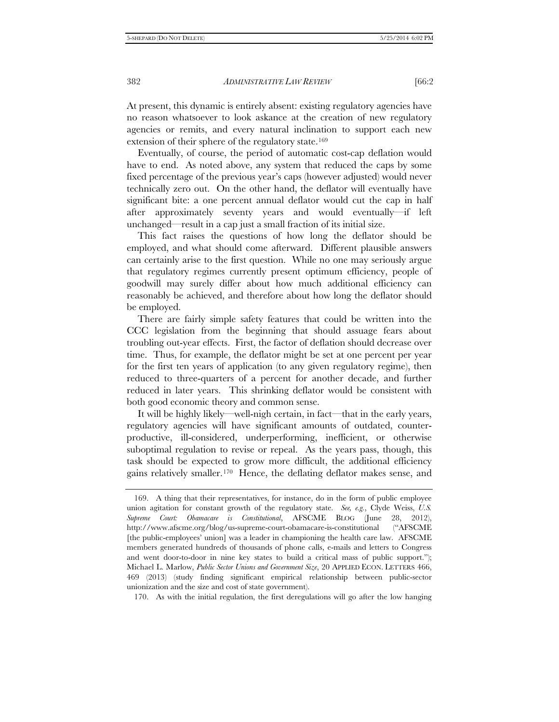At present, this dynamic is entirely absent: existing regulatory agencies have no reason whatsoever to look askance at the creation of new regulatory agencies or remits, and every natural inclination to support each new extension of their sphere of the regulatory state.[169](#page-37-0)

Eventually, of course, the period of automatic cost-cap deflation would have to end. As noted above, any system that reduced the caps by some fixed percentage of the previous year's caps (however adjusted) would never technically zero out. On the other hand, the deflator will eventually have significant bite: a one percent annual deflator would cut the cap in half after approximately seventy years and would eventually—if left unchanged—result in a cap just a small fraction of its initial size.

This fact raises the questions of how long the deflator should be employed, and what should come afterward. Different plausible answers can certainly arise to the first question. While no one may seriously argue that regulatory regimes currently present optimum efficiency, people of goodwill may surely differ about how much additional efficiency can reasonably be achieved, and therefore about how long the deflator should be employed.

There are fairly simple safety features that could be written into the CCC legislation from the beginning that should assuage fears about troubling out-year effects. First, the factor of deflation should decrease over time. Thus, for example, the deflator might be set at one percent per year for the first ten years of application (to any given regulatory regime), then reduced to three-quarters of a percent for another decade, and further reduced in later years. This shrinking deflator would be consistent with both good economic theory and common sense.

It will be highly likely—well-nigh certain, in fact—that in the early years, regulatory agencies will have significant amounts of outdated, counterproductive, ill-considered, underperforming, inefficient, or otherwise suboptimal regulation to revise or repeal. As the years pass, though, this task should be expected to grow more difficult, the additional efficiency gains relatively smaller.[170](#page-37-1) Hence, the deflating deflator makes sense, and

<span id="page-37-1"></span>170. As with the initial regulation, the first deregulations will go after the low hanging

<span id="page-37-0"></span><sup>169.</sup> A thing that their representatives, for instance, do in the form of public employee union agitation for constant growth of the regulatory state. *See, e.g.*, Clyde Weiss, *U.S. Supreme Court: Obamacare is Constitutional*, AFSCME BLOG (June 28, 2012), http://www.afscme.org/blog/us-supreme-court-obamacare-is-constitutional ("AFSCME [the public-employees' union] was a leader in championing the health care law. AFSCME members generated hundreds of thousands of phone calls, e-mails and letters to Congress and went door-to-door in nine key states to build a critical mass of public support."); Michael L. Marlow, *Public Sector Unions and Government Size*, 20 APPLIED ECON. LETTERS 466, 469 (2013) (study finding significant empirical relationship between public-sector unionization and the size and cost of state government).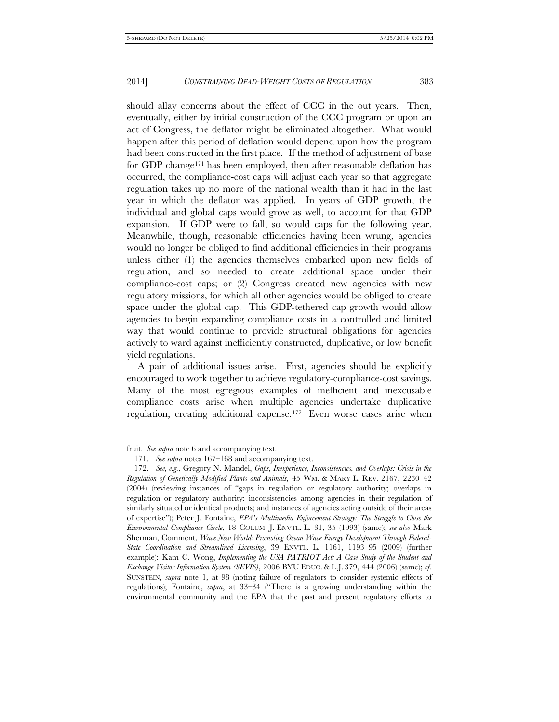should allay concerns about the effect of CCC in the out years. Then, eventually, either by initial construction of the CCC program or upon an act of Congress, the deflator might be eliminated altogether. What would happen after this period of deflation would depend upon how the program had been constructed in the first place. If the method of adjustment of base for GDP chang[e171](#page-38-0) has been employed, then after reasonable deflation has occurred, the compliance-cost caps will adjust each year so that aggregate regulation takes up no more of the national wealth than it had in the last year in which the deflator was applied. In years of GDP growth, the individual and global caps would grow as well, to account for that GDP expansion. If GDP were to fall, so would caps for the following year. Meanwhile, though, reasonable efficiencies having been wrung, agencies would no longer be obliged to find additional efficiencies in their programs unless either (1) the agencies themselves embarked upon new fields of regulation, and so needed to create additional space under their compliance-cost caps; or (2) Congress created new agencies with new regulatory missions, for which all other agencies would be obliged to create space under the global cap. This GDP-tethered cap growth would allow agencies to begin expanding compliance costs in a controlled and limited way that would continue to provide structural obligations for agencies actively to ward against inefficiently constructed, duplicative, or low benefit yield regulations.

A pair of additional issues arise. First, agencies should be explicitly encouraged to work together to achieve regulatory-compliance-cost savings. Many of the most egregious examples of inefficient and inexcusable compliance costs arise when multiple agencies undertake duplicative regulation, creating additional expense.[172](#page-38-1) Even worse cases arise when

j

<span id="page-38-0"></span>fruit. *See supra* note 6 and accompanying text.

<sup>171.</sup> *See supra* notes 167–168 and accompanying text.

<span id="page-38-1"></span><sup>172.</sup> *See, e.g.*, Gregory N. Mandel, *Gaps, Inexperience, Inconsistencies, and Overlaps: Crisis in the Regulation of Genetically Modified Plants and Animals,* 45 WM. & MARY L. REV. 2167, 2230–42 (2004) (reviewing instances of "gaps in regulation or regulatory authority; overlaps in regulation or regulatory authority; inconsistencies among agencies in their regulation of similarly situated or identical products; and instances of agencies acting outside of their areas of expertise"); Peter J. Fontaine, *EPA's Multimedia Enforcement Strategy: The Struggle to Close the Environmental Compliance Circle*, 18 COLUM. J. ENVTL. L. 31, 35 (1993) (same); *see also* Mark Sherman, Comment, *Wave New World: Promoting Ocean Wave Energy Development Through Federal-State Coordination and Streamlined Licensing*, 39 ENVTL. L. 1161, 1193–95 (2009) (further example); Kam C. Wong, *Implementing the USA PATRIOT Act: A Case Study of the Student and Exchange Visitor Information System (SEVIS)*, 2006 BYU EDUC. & L.J. 379, 444 (2006) (same); *cf.*  SUNSTEIN, *supra* note 1, at 98 (noting failure of regulators to consider systemic effects of regulations); Fontaine, *supra*, at 33–34 ("There is a growing understanding within the environmental community and the EPA that the past and present regulatory efforts to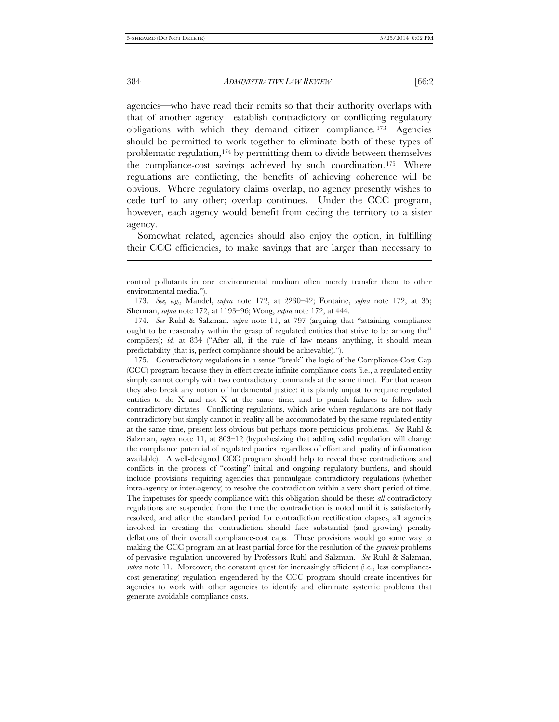j

384 *ADMINISTRATIVE LAW REVIEW* [66:2

agencies—who have read their remits so that their authority overlaps with that of another agency—establish contradictory or conflicting regulatory obligations with which they demand citizen compliance. [173](#page-39-0) Agencies should be permitted to work together to eliminate both of these types of problematic regulation,<sup>[174](#page-39-1)</sup> by permitting them to divide between themselves the compliance-cost savings achieved by such coordination.[175](#page-39-2) Where regulations are conflicting, the benefits of achieving coherence will be obvious. Where regulatory claims overlap, no agency presently wishes to cede turf to any other; overlap continues. Under the CCC program, however, each agency would benefit from ceding the territory to a sister agency.

Somewhat related, agencies should also enjoy the option, in fulfilling their CCC efficiencies, to make savings that are larger than necessary to

<span id="page-39-2"></span>175. Contradictory regulations in a sense "break" the logic of the Compliance-Cost Cap (CCC) program because they in effect create infinite compliance costs (i.e., a regulated entity simply cannot comply with two contradictory commands at the same time). For that reason they also break any notion of fundamental justice: it is plainly unjust to require regulated entities to do  $X$  and not  $X$  at the same time, and to punish failures to follow such contradictory dictates. Conflicting regulations, which arise when regulations are not flatly contradictory but simply cannot in reality all be accommodated by the same regulated entity at the same time, present less obvious but perhaps more pernicious problems. *See* Ruhl & Salzman, *supra* note 11, at 803–12 (hypothesizing that adding valid regulation will change the compliance potential of regulated parties regardless of effort and quality of information available). A well-designed CCC program should help to reveal these contradictions and conflicts in the process of "costing" initial and ongoing regulatory burdens, and should include provisions requiring agencies that promulgate contradictory regulations (whether intra-agency or inter-agency) to resolve the contradiction within a very short period of time. The impetuses for speedy compliance with this obligation should be these: *all* contradictory regulations are suspended from the time the contradiction is noted until it is satisfactorily resolved, and after the standard period for contradiction rectification elapses, all agencies involved in creating the contradiction should face substantial (and growing) penalty deflations of their overall compliance-cost caps. These provisions would go some way to making the CCC program an at least partial force for the resolution of the *systemic* problems of pervasive regulation uncovered by Professors Ruhl and Salzman. *See* Ruhl & Salzman, *supra* note 11. Moreover, the constant quest for increasingly efficient (i.e., less compliancecost generating) regulation engendered by the CCC program should create incentives for agencies to work with other agencies to identify and eliminate systemic problems that generate avoidable compliance costs.

control pollutants in one environmental medium often merely transfer them to other environmental media.").

<span id="page-39-0"></span><sup>173.</sup> *See, e.g.,* Mandel, *supra* note 172, at 2230–42; Fontaine, *supra* note 172, at 35; Sherman, *supra* note 172, at 1193–96; Wong, *supra* note 172, at 444.

<span id="page-39-1"></span><sup>174.</sup> *See* Ruhl & Salzman, *supra* note 11, at 797 (arguing that "attaining compliance ought to be reasonably within the grasp of regulated entities that strive to be among the" compliers); *id.* at 834 ("After all, if the rule of law means anything, it should mean predictability (that is, perfect compliance should be achievable).").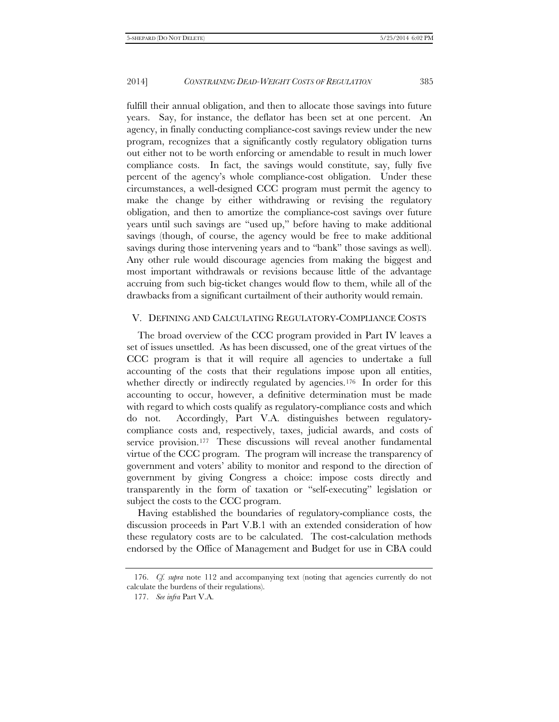fulfill their annual obligation, and then to allocate those savings into future years. Say, for instance, the deflator has been set at one percent. An agency, in finally conducting compliance-cost savings review under the new program, recognizes that a significantly costly regulatory obligation turns out either not to be worth enforcing or amendable to result in much lower compliance costs. In fact, the savings would constitute, say, fully five percent of the agency's whole compliance-cost obligation. Under these circumstances, a well-designed CCC program must permit the agency to make the change by either withdrawing or revising the regulatory obligation, and then to amortize the compliance-cost savings over future years until such savings are "used up," before having to make additional savings (though, of course, the agency would be free to make additional savings during those intervening years and to "bank" those savings as well). Any other rule would discourage agencies from making the biggest and most important withdrawals or revisions because little of the advantage accruing from such big-ticket changes would flow to them, while all of the drawbacks from a significant curtailment of their authority would remain.

#### V. DEFINING AND CALCULATING REGULATORY-COMPLIANCE COSTS

The broad overview of the CCC program provided in Part IV leaves a set of issues unsettled. As has been discussed, one of the great virtues of the CCC program is that it will require all agencies to undertake a full accounting of the costs that their regulations impose upon all entities, whether directly or indirectly regulated by agencies.<sup>176</sup> In order for this accounting to occur, however, a definitive determination must be made with regard to which costs qualify as regulatory-compliance costs and which do not. Accordingly, Part V.A. distinguishes between regulatorycompliance costs and, respectively, taxes, judicial awards, and costs of service provision.[177](#page-40-1) These discussions will reveal another fundamental virtue of the CCC program. The program will increase the transparency of government and voters' ability to monitor and respond to the direction of government by giving Congress a choice: impose costs directly and transparently in the form of taxation or "self-executing" legislation or subject the costs to the CCC program.

Having established the boundaries of regulatory-compliance costs, the discussion proceeds in Part V.B.1 with an extended consideration of how these regulatory costs are to be calculated. The cost-calculation methods endorsed by the Office of Management and Budget for use in CBA could

<span id="page-40-1"></span><span id="page-40-0"></span><sup>176.</sup> *Cf. supra* note 112 and accompanying text (noting that agencies currently do not calculate the burdens of their regulations).

<sup>177.</sup> *See infra* Part V.A.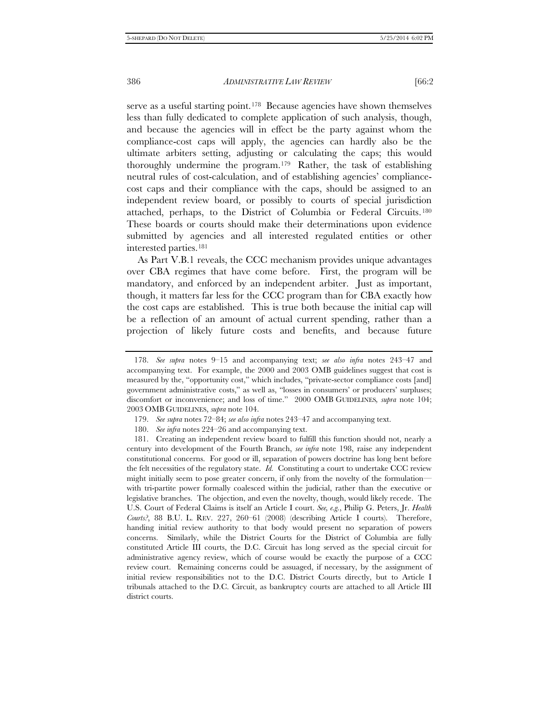serve as a useful starting point.<sup>178</sup> Because agencies have shown themselves less than fully dedicated to complete application of such analysis, though, and because the agencies will in effect be the party against whom the compliance-cost caps will apply, the agencies can hardly also be the ultimate arbiters setting, adjusting or calculating the caps; this would thoroughly undermine the program.[179](#page-41-1) Rather, the task of establishing neutral rules of cost-calculation, and of establishing agencies' compliancecost caps and their compliance with the caps, should be assigned to an independent review board, or possibly to courts of special jurisdiction attached, perhaps, to the District of Columbia or Federal Circuits. [180](#page-41-2)  These boards or courts should make their determinations upon evidence submitted by agencies and all interested regulated entities or other interested parties.[181](#page-41-3)

As Part V.B.1 reveals, the CCC mechanism provides unique advantages over CBA regimes that have come before. First, the program will be mandatory, and enforced by an independent arbiter. Just as important, though, it matters far less for the CCC program than for CBA exactly how the cost caps are established. This is true both because the initial cap will be a reflection of an amount of actual current spending, rather than a projection of likely future costs and benefits, and because future

- 179. *See supra* notes 72–84; *see also infra* notes 243–47 and accompanying text.
- 180. *See infra* notes 224–26 and accompanying text.

<span id="page-41-0"></span><sup>178.</sup> *See supra* notes 9–15 and accompanying text; *see also infra* notes 243–47 and accompanying text. For example, the 2000 and 2003 OMB guidelines suggest that cost is measured by the, "opportunity cost," which includes, "private-sector compliance costs [and] government administrative costs," as well as, "losses in consumers' or producers' surpluses; discomfort or inconvenience; and loss of time." 2000 OMB GUIDELINES*, supra* note 104; 2003 OMB GUIDELINES, *supra* note 104.

<span id="page-41-3"></span><span id="page-41-2"></span><span id="page-41-1"></span><sup>181.</sup> Creating an independent review board to fulfill this function should not, nearly a century into development of the Fourth Branch, *see infra* note 198, raise any independent constitutional concerns. For good or ill, separation of powers doctrine has long bent before the felt necessities of the regulatory state. *Id.* Constituting a court to undertake CCC review might initially seem to pose greater concern, if only from the novelty of the formulation with tri-partite power formally coalesced within the judicial, rather than the executive or legislative branches. The objection, and even the novelty, though, would likely recede. The U.S. Court of Federal Claims is itself an Article I court. *See, e.g.*, Philip G. Peters, Jr. *Health Courts?*, 88 B.U. L. REV. 227, 260–61 (2008) (describing Article I courts). Therefore, handing initial review authority to that body would present no separation of powers concerns. Similarly, while the District Courts for the District of Columbia are fully constituted Article III courts, the D.C. Circuit has long served as the special circuit for administrative agency review, which of course would be exactly the purpose of a CCC review court. Remaining concerns could be assuaged, if necessary, by the assignment of initial review responsibilities not to the D.C. District Courts directly, but to Article I tribunals attached to the D.C. Circuit, as bankruptcy courts are attached to all Article III district courts.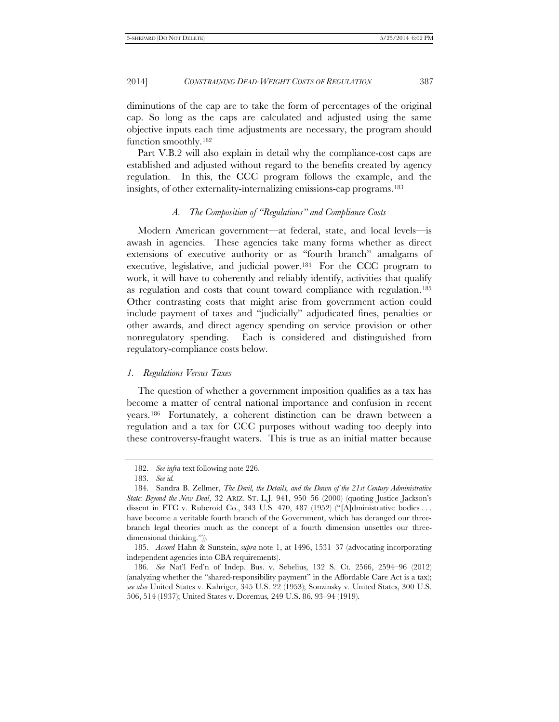diminutions of the cap are to take the form of percentages of the original cap. So long as the caps are calculated and adjusted using the same objective inputs each time adjustments are necessary, the program should function smoothly.[182](#page-42-0)

Part V.B.2 will also explain in detail why the compliance-cost caps are established and adjusted without regard to the benefits created by agency regulation. In this, the CCC program follows the example, and the insights, of other externality-internalizing emissions-cap programs.[183](#page-42-1)

#### *A. The Composition of "Regulations" and Compliance Costs*

Modern American government—at federal, state, and local levels—is awash in agencies. These agencies take many forms whether as direct extensions of executive authority or as "fourth branch" amalgams of executive, legislative, and judicial power.[184](#page-42-2) For the CCC program to work, it will have to coherently and reliably identify, activities that qualify as regulation and costs that count toward compliance with regulation.[185](#page-42-3)  Other contrasting costs that might arise from government action could include payment of taxes and "judicially" adjudicated fines, penalties or other awards, and direct agency spending on service provision or other nonregulatory spending. Each is considered and distinguished from regulatory-compliance costs below.

#### *1. Regulations Versus Taxes*

The question of whether a government imposition qualifies as a tax has become a matter of central national importance and confusion in recent years.[186](#page-42-4) Fortunately, a coherent distinction can be drawn between a regulation and a tax for CCC purposes without wading too deeply into these controversy-fraught waters. This is true as an initial matter because

<sup>182.</sup> *See infra* text following note 226.

<sup>183.</sup> *See id.*

<span id="page-42-2"></span><span id="page-42-1"></span><span id="page-42-0"></span><sup>184.</sup> Sandra B. Zellmer, *The Devil, the Details, and the Dawn of the 21st Century Administrative State: Beyond the New Deal*, 32 ARIZ. ST. L.J. 941, 950–56 (2000) (quoting Justice Jackson's dissent in FTC v. Ruberoid Co., 343 U.S. 470, 487 (1952) ("[A]dministrative bodies ... have become a veritable fourth branch of the Government, which has deranged our threebranch legal theories much as the concept of a fourth dimension unsettles our threedimensional thinking.")).

<span id="page-42-3"></span><sup>185.</sup> *Accord* Hahn & Sunstein, *supra* note 1, at 1496, 1531–37 (advocating incorporating independent agencies into CBA requirements).

<span id="page-42-4"></span><sup>186.</sup> *See* Nat'l Fed'n of Indep. Bus. v. Sebelius, 132 S. Ct. 2566, 2594–96 (2012) (analyzing whether the "shared-responsibility payment" in the Affordable Care Act is a tax); *see also* United States v. Kahriger, 345 U.S. 22 (1953); Sonzinsky v. United States, 300 U.S. 506, 514 (1937); United States v. Doremus*,* 249 U.S. 86, 93–94 (1919).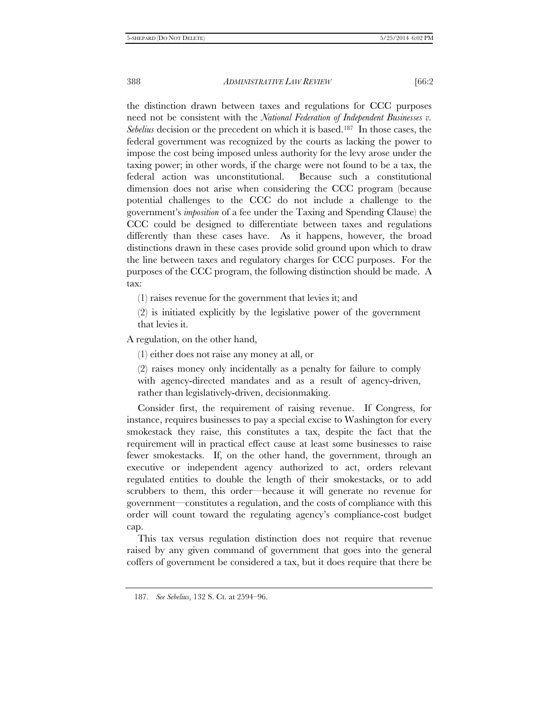the distinction drawn between taxes and regulations for CCC purposes need not be consistent with the *National Federation of Independent Businesses v. Sebelius* decision or the precedent on which it is based.[187](#page-43-0) In those cases, the federal government was recognized by the courts as lacking the power to impose the cost being imposed unless authority for the levy arose under the taxing power; in other words, if the charge were not found to be a tax, the federal action was unconstitutional. Because such a constitutional dimension does not arise when considering the CCC program (because potential challenges to the CCC do not include a challenge to the government's *imposition* of a fee under the Taxing and Spending Clause) the CCC could be designed to differentiate between taxes and regulations differently than these cases have. As it happens, however, the broad distinctions drawn in these cases provide solid ground upon which to draw the line between taxes and regulatory charges for CCC purposes. For the purposes of the CCC program, the following distinction should be made. A tax:

(1) raises revenue for the government that levies it; and

(2) is initiated explicitly by the legislative power of the government that levies it.

A regulation, on the other hand,

(1) either does not raise any money at all, or

(2) raises money only incidentally as a penalty for failure to comply with agency-directed mandates and as a result of agency-driven, rather than legislatively-driven, decisionmaking.

Consider first, the requirement of raising revenue. If Congress, for instance, requires businesses to pay a special excise to Washington for every smokestack they raise, this constitutes a tax, despite the fact that the requirement will in practical effect cause at least some businesses to raise fewer smokestacks. If, on the other hand, the government, through an executive or independent agency authorized to act, orders relevant regulated entities to double the length of their smokestacks, or to add scrubbers to them, this order—because it will generate no revenue for government—constitutes a regulation, and the costs of compliance with this order will count toward the regulating agency's compliance-cost budget cap.

This tax versus regulation distinction does not require that revenue raised by any given command of government that goes into the general coffers of government be considered a tax, but it does require that there be

<span id="page-43-0"></span><sup>187.</sup> *See Sebelius*, 132 S. Ct. at 2594–96.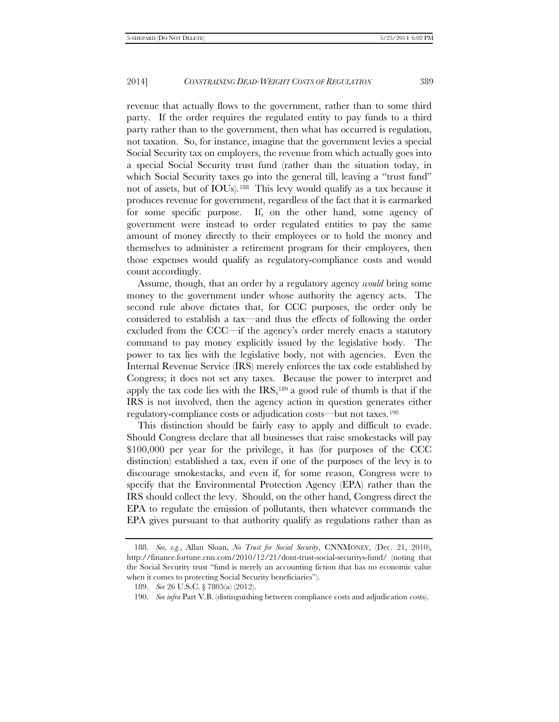revenue that actually flows to the government, rather than to some third party. If the order requires the regulated entity to pay funds to a third party rather than to the government, then what has occurred is regulation, not taxation. So, for instance, imagine that the government levies a special Social Security tax on employers, the revenue from which actually goes into a special Social Security trust fund (rather than the situation today, in which Social Security taxes go into the general till, leaving a "trust fund" not of assets, but of IOUs).[188](#page-44-0) This levy would qualify as a tax because it produces revenue for government, regardless of the fact that it is earmarked for some specific purpose. If, on the other hand, some agency of government were instead to order regulated entities to pay the same amount of money directly to their employees or to hold the money and themselves to administer a retirement program for their employees, then those expenses would qualify as regulatory-compliance costs and would count accordingly.

Assume, though, that an order by a regulatory agency *would* bring some money to the government under whose authority the agency acts. The second rule above dictates that, for CCC purposes, the order only be considered to establish a tax—and thus the effects of following the order excluded from the CCC—if the agency's order merely enacts a statutory command to pay money explicitly issued by the legislative body. The power to tax lies with the legislative body, not with agencies. Even the Internal Revenue Service (IRS) merely enforces the tax code established by Congress; it does not set any taxes. Because the power to interpret and apply the tax code lies with the IRS,[189](#page-44-1) a good rule of thumb is that if the IRS is not involved, then the agency action in question generates either regulatory-compliance costs or adjudication costs—but not taxes.[190](#page-44-2)

This distinction should be fairly easy to apply and difficult to evade. Should Congress declare that all businesses that raise smokestacks will pay \$100,000 per year for the privilege, it has (for purposes of the CCC distinction) established a tax, even if one of the purposes of the levy is to discourage smokestacks, and even if, for some reason, Congress were to specify that the Environmental Protection Agency (EPA) rather than the IRS should collect the levy. Should, on the other hand, Congress direct the EPA to regulate the emission of pollutants, then whatever commands the EPA gives pursuant to that authority qualify as regulations rather than as

<span id="page-44-1"></span><span id="page-44-0"></span><sup>188.</sup> *See, e.g.*, Allan Sloan, *No Trust for Social Security*, CNNMONEY, (Dec. 21, 2010), http://finance.fortune.cnn.com/2010/12/21/dont-trust-social-securitys-fund/ (noting that the Social Security trust "fund is merely an accounting fiction that has no economic value when it comes to protecting Social Security beneficiaries").

<sup>189.</sup> *See* 26 U.S.C. § 7805(a) (2012).

<span id="page-44-2"></span><sup>190.</sup> *See infra* Part V.B. (distinguishing between compliance costs and adjudication costs).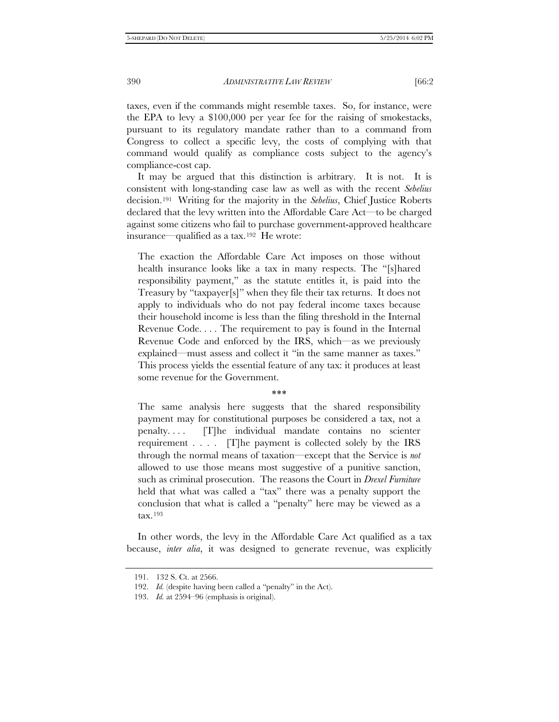taxes, even if the commands might resemble taxes. So, for instance, were the EPA to levy a \$100,000 per year fee for the raising of smokestacks, pursuant to its regulatory mandate rather than to a command from Congress to collect a specific levy, the costs of complying with that command would qualify as compliance costs subject to the agency's compliance-cost cap.

It may be argued that this distinction is arbitrary. It is not. It is consistent with long-standing case law as well as with the recent *Sebelius* decision.[191](#page-45-0) Writing for the majority in the *Sebelius*, Chief Justice Roberts declared that the levy written into the Affordable Care Act—to be charged against some citizens who fail to purchase government-approved healthcare insurance—qualified as a tax.[192](#page-45-1) He wrote:

The exaction the Affordable Care Act imposes on those without health insurance looks like a tax in many respects. The "[s]hared responsibility payment," as the statute entitles it, is paid into the Treasury by "taxpayer[s]" when they file their tax returns. It does not apply to individuals who do not pay federal income taxes because their household income is less than the filing threshold in the Internal Revenue Code. . . . The requirement to pay is found in the Internal Revenue Code and enforced by the IRS, which—as we previously explained—must assess and collect it "in the same manner as taxes." This process yields the essential feature of any tax: it produces at least some revenue for the Government.

∗∗∗

The same analysis here suggests that the shared responsibility payment may for constitutional purposes be considered a tax, not a penalty. . . . [T]he individual mandate contains no scienter requirement . . . . [T]he payment is collected solely by the IRS through the normal means of taxation—except that the Service is *not*  allowed to use those means most suggestive of a punitive sanction, such as criminal prosecution. The reasons the Court in *Drexel Furniture* held that what was called a "tax" there was a penalty support the conclusion that what is called a "penalty" here may be viewed as a tax.[193](#page-45-2)

<span id="page-45-0"></span>In other words, the levy in the Affordable Care Act qualified as a tax because, *inter alia*, it was designed to generate revenue, was explicitly

<span id="page-45-1"></span><sup>191.</sup> 132 S. Ct. at 2566.

<sup>192.</sup> *Id.* (despite having been called a "penalty" in the Act).

<span id="page-45-2"></span><sup>193.</sup> *Id.* at 2594–96 (emphasis is original).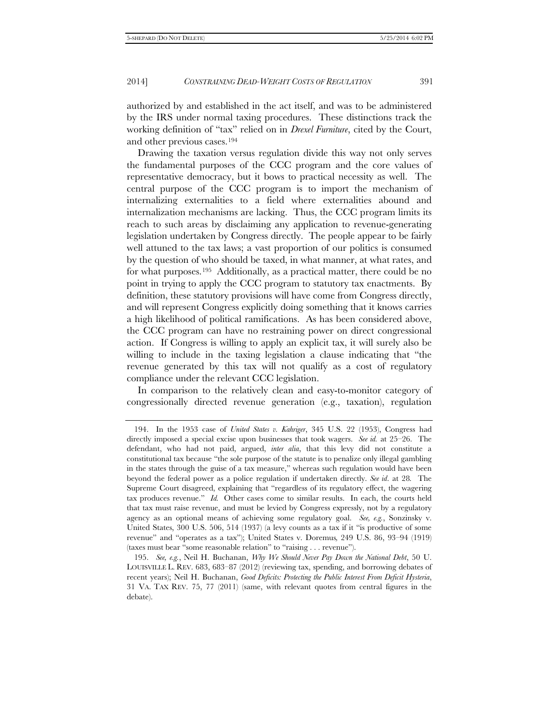authorized by and established in the act itself, and was to be administered by the IRS under normal taxing procedures. These distinctions track the working definition of "tax" relied on in *Drexel Furniture*, cited by the Court, and other previous cases.[194](#page-46-0)

Drawing the taxation versus regulation divide this way not only serves the fundamental purposes of the CCC program and the core values of representative democracy, but it bows to practical necessity as well. The central purpose of the CCC program is to import the mechanism of internalizing externalities to a field where externalities abound and internalization mechanisms are lacking. Thus, the CCC program limits its reach to such areas by disclaiming any application to revenue-generating legislation undertaken by Congress directly. The people appear to be fairly well attuned to the tax laws; a vast proportion of our politics is consumed by the question of who should be taxed, in what manner, at what rates, and for what purposes.[195](#page-46-1) Additionally, as a practical matter, there could be no point in trying to apply the CCC program to statutory tax enactments. By definition, these statutory provisions will have come from Congress directly, and will represent Congress explicitly doing something that it knows carries a high likelihood of political ramifications. As has been considered above, the CCC program can have no restraining power on direct congressional action. If Congress is willing to apply an explicit tax, it will surely also be willing to include in the taxing legislation a clause indicating that "the revenue generated by this tax will not qualify as a cost of regulatory compliance under the relevant CCC legislation.

In comparison to the relatively clean and easy-to-monitor category of congressionally directed revenue generation (e.g., taxation), regulation

<span id="page-46-0"></span><sup>194.</sup> In the 1953 case of *United States v. Kahriger*, 345 U.S. 22 (1953), Congress had directly imposed a special excise upon businesses that took wagers. *See id.* at 25–26. The defendant, who had not paid, argued, *inter alia*, that this levy did not constitute a constitutional tax because "the sole purpose of the statute is to penalize only illegal gambling in the states through the guise of a tax measure," whereas such regulation would have been beyond the federal power as a police regulation if undertaken directly. *See id*. at 28*.* The Supreme Court disagreed, explaining that "regardless of its regulatory effect, the wagering tax produces revenue." *Id.* Other cases come to similar results. In each, the courts held that tax must raise revenue, and must be levied by Congress expressly, not by a regulatory agency as an optional means of achieving some regulatory goal. *See, e.g.*, Sonzinsky v. United States, 300 U.S. 506, 514 (1937) (a levy counts as a tax if it "is productive of some revenue" and "operates as a tax"); United States v. Doremus*,* 249 U.S. 86, 93–94 (1919) (taxes must bear "some reasonable relation" to "raising . . . revenue").

<span id="page-46-1"></span><sup>195.</sup> *See, e.g.*, Neil H. Buchanan, *Why We Should Never Pay Down the National Debt*, 50 U. LOUISVILLE L. REV. 683, 683–87 (2012) (reviewing tax, spending, and borrowing debates of recent years); Neil H. Buchanan, *Good Deficits: Protecting the Public Interest From Deficit Hysteria*, 31 VA. TAX REV. 75, 77 (2011) (same, with relevant quotes from central figures in the debate).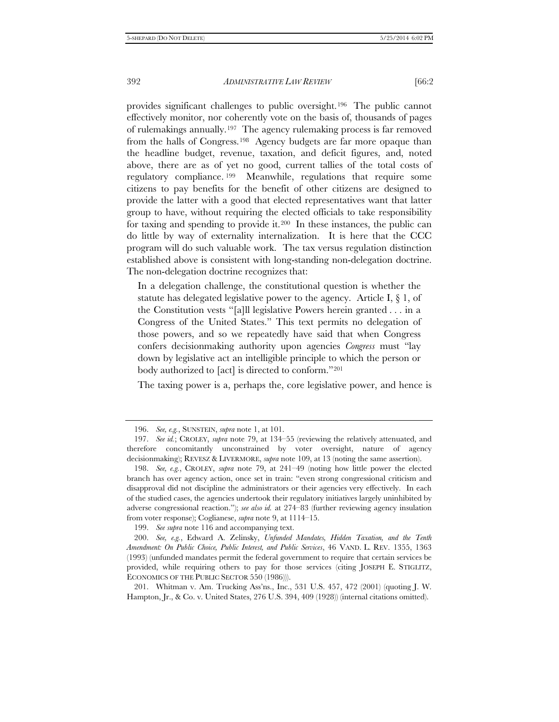provides significant challenges to public oversight.[196](#page-47-0) The public cannot effectively monitor, nor coherently vote on the basis of, thousands of pages of rulemakings annually.[197](#page-47-1) The agency rulemaking process is far removed from the halls of Congress.[198](#page-47-2) Agency budgets are far more opaque than the headline budget, revenue, taxation, and deficit figures, and, noted above, there are as of yet no good, current tallies of the total costs of regulatory compliance. [199](#page-47-3) Meanwhile, regulations that require some citizens to pay benefits for the benefit of other citizens are designed to provide the latter with a good that elected representatives want that latter group to have, without requiring the elected officials to take responsibility for taxing and spending to provide it.[200](#page-47-4) In these instances, the public can do little by way of externality internalization. It is here that the CCC program will do such valuable work. The tax versus regulation distinction established above is consistent with long-standing non-delegation doctrine. The non-delegation doctrine recognizes that:

In a delegation challenge, the constitutional question is whether the statute has delegated legislative power to the agency. Article I,  $\S$  1, of the Constitution vests "[a]ll legislative Powers herein granted . . . in a Congress of the United States." This text permits no delegation of those powers, and so we repeatedly have said that when Congress confers decisionmaking authority upon agencies *Congress* must "lay down by legislative act an intelligible principle to which the person or body authorized to [act] is directed to conform."[201](#page-47-5)

The taxing power is a, perhaps the, core legislative power, and hence is

199. *See supra* note 116 and accompanying text.

<sup>196.</sup> *See, e.g.*, SUNSTEIN, *supra* note 1, at 101.

<span id="page-47-1"></span><span id="page-47-0"></span><sup>197.</sup> *See id.*; CROLEY, *supra* note 79, at 134–55 (reviewing the relatively attenuated, and therefore concomitantly unconstrained by voter oversight, nature of agency decisionmaking); REVESZ & LIVERMORE, *supra* note 109, at 13 (noting the same assertion).

<span id="page-47-2"></span><sup>198.</sup> *See, e.g.*, CROLEY, *supra* note 79, at 241–49 (noting how little power the elected branch has over agency action, once set in train: "even strong congressional criticism and disapproval did not discipline the administrators or their agencies very effectively. In each of the studied cases, the agencies undertook their regulatory initiatives largely uninhibited by adverse congressional reaction."); *see also id.* at 274–83 (further reviewing agency insulation from voter response); Coglianese, *supra* note 9, at 1114–15.

<span id="page-47-4"></span><span id="page-47-3"></span><sup>200.</sup> *See, e.g.*, Edward A. Zelinsky, *Unfunded Mandates, Hidden Taxation, and the Tenth Amendment: On Public Choice, Public Interest, and Public Services*, 46 VAND. L. REV. 1355, 1363 (1993) (unfunded mandates permit the federal government to require that certain services be provided, while requiring others to pay for those services (citing JOSEPH E. STIGLITZ, ECONOMICS OF THE PUBLIC SECTOR 550 (1986))).

<span id="page-47-5"></span><sup>201.</sup> Whitman v. Am. Trucking Ass'ns., Inc., 531 U.S. 457, 472 (2001) (quoting J. W. Hampton, Jr., & Co. v. United States, 276 U.S. 394, 409 (1928)) (internal citations omitted).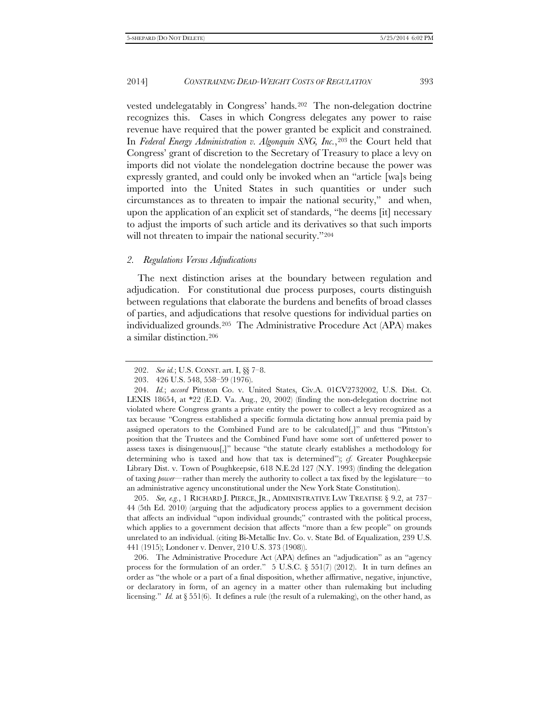vested undelegatably in Congress' hands.[202](#page-48-0) The non-delegation doctrine recognizes this. Cases in which Congress delegates any power to raise revenue have required that the power granted be explicit and constrained. In *Federal Energy Administration v. Algonquin SNG, Inc.*,[203](#page-48-1) the Court held that Congress' grant of discretion to the Secretary of Treasury to place a levy on imports did not violate the nondelegation doctrine because the power was expressly granted, and could only be invoked when an "article [wa]s being imported into the United States in such quantities or under such circumstances as to threaten to impair the national security," and when, upon the application of an explicit set of standards, "he deems [it] necessary to adjust the imports of such article and its derivatives so that such imports will not threaten to impair the national security."[204](#page-48-2)

#### *2. Regulations Versus Adjudications*

The next distinction arises at the boundary between regulation and adjudication. For constitutional due process purposes, courts distinguish between regulations that elaborate the burdens and benefits of broad classes of parties, and adjudications that resolve questions for individual parties on individualized grounds.[205](#page-48-3) The Administrative Procedure Act (APA) makes a similar distinction.[206](#page-48-4)

<span id="page-48-3"></span>205. *See, e.g.*, 1 RICHARD J. PIERCE, JR., ADMINISTRATIVE LAW TREATISE § 9.2, at 737– 44 (5th Ed. 2010) (arguing that the adjudicatory process applies to a government decision that affects an individual "upon individual grounds;" contrasted with the political process, which applies to a government decision that affects "more than a few people" on grounds unrelated to an individual. (citing Bi-Metallic Inv. Co. v. State Bd. of Equalization, 239 U.S. 441 (1915); Londoner v. Denver, 210 U.S. 373 (1908)).

<span id="page-48-4"></span>206. The Administrative Procedure Act (APA) defines an "adjudication" as an "agency process for the formulation of an order." 5 U.S.C. § 551(7) (2012). It in turn defines an order as "the whole or a part of a final disposition, whether affirmative, negative, injunctive, or declaratory in form, of an agency in a matter other than rulemaking but including licensing." *Id.* at § 551(6). It defines a rule (the result of a rulemaking), on the other hand, as

<sup>202.</sup> *See id.*; U.S. CONST. art. I, §§ 7–8.

<sup>203.</sup> 426 U.S. 548, 558–59 (1976).

<span id="page-48-2"></span><span id="page-48-1"></span><span id="page-48-0"></span><sup>204.</sup> *Id.*; *accord* Pittston Co. v. United States, Civ.A. 01CV2732002, U.S. Dist. Ct. LEXIS 18654, at \*22 (E.D. Va. Aug., 20, 2002) (finding the non-delegation doctrine not violated where Congress grants a private entity the power to collect a levy recognized as a tax because "Congress established a specific formula dictating how annual premia paid by assigned operators to the Combined Fund are to be calculated[,]" and thus "Pittston's position that the Trustees and the Combined Fund have some sort of unfettered power to assess taxes is disingenuous[,]" because "the statute clearly establishes a methodology for determining who is taxed and how that tax is determined"); *cf.* Greater Poughkeepsie Library Dist. v. Town of Poughkeepsie, 618 N.E.2d 127 (N.Y. 1993) (finding the delegation of taxing *power*—rather than merely the authority to collect a tax fixed by the legislature—to an administrative agency unconstitutional under the New York State Constitution).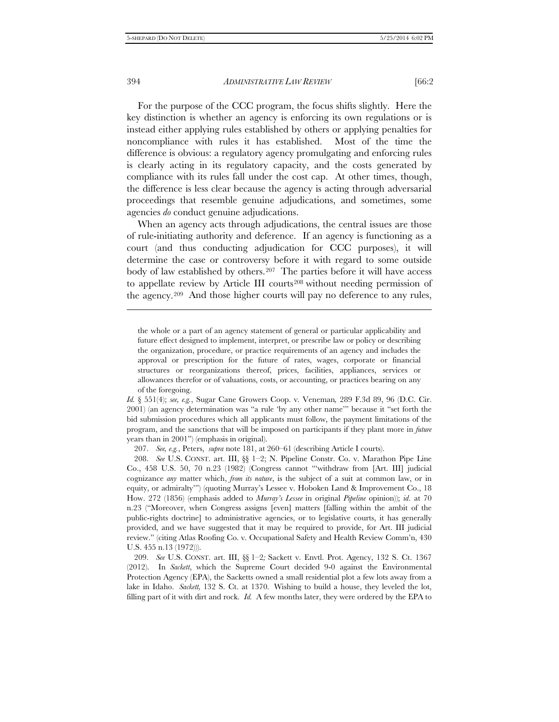j

394 *ADMINISTRATIVE LAW REVIEW* [66:2

For the purpose of the CCC program, the focus shifts slightly. Here the key distinction is whether an agency is enforcing its own regulations or is instead either applying rules established by others or applying penalties for noncompliance with rules it has established. Most of the time the difference is obvious: a regulatory agency promulgating and enforcing rules is clearly acting in its regulatory capacity, and the costs generated by compliance with its rules fall under the cost cap. At other times, though, the difference is less clear because the agency is acting through adversarial proceedings that resemble genuine adjudications, and sometimes, some agencies *do* conduct genuine adjudications.

When an agency acts through adjudications, the central issues are those of rule-initiating authority and deference. If an agency is functioning as a court (and thus conducting adjudication for CCC purposes), it will determine the case or controversy before it with regard to some outside body of law established by others.<sup>207</sup> The parties before it will have access to appellate review by Article III courts[208](#page-49-1) without needing permission of the agency.[209](#page-49-2) And those higher courts will pay no deference to any rules,

207. *See, e.g.*, Peters, *supra* note 181, at 260–61 (describing Article I courts).

the whole or a part of an agency statement of general or particular applicability and future effect designed to implement, interpret, or prescribe law or policy or describing the organization, procedure, or practice requirements of an agency and includes the approval or prescription for the future of rates, wages, corporate or financial structures or reorganizations thereof, prices, facilities, appliances, services or allowances therefor or of valuations, costs, or accounting, or practices bearing on any of the foregoing.

*Id.* § 551(4); *see, e.g.*, Sugar Cane Growers Coop. v. Veneman*,* 289 F.3d 89, 96 (D.C. Cir. 2001) (an agency determination was "a rule 'by any other name'" because it "set forth the bid submission procedures which all applicants must follow, the payment limitations of the program, and the sanctions that will be imposed on participants if they plant more in *future*  years than in 2001") (emphasis in original).

<span id="page-49-1"></span><span id="page-49-0"></span><sup>208.</sup> *See* U.S. CONST. art. III, §§ 1–2; N. Pipeline Constr. Co. v. Marathon Pipe Line Co., 458 U.S. 50, 70 n.23 (1982) (Congress cannot "'withdraw from [Art. III] judicial cognizance *any* matter which, *from its nature*, is the subject of a suit at common law, or in equity, or admiralty'") (quoting Murray's Lessee v. Hoboken Land & Improvement Co., 18 How. 272 (1856) (emphasis added to *Murray's Lessee* in original *Pipeline* opinion)); *id*. at 70 n.23 ("Moreover, when Congress assigns [even] matters [falling within the ambit of the public-rights doctrine] to administrative agencies, or to legislative courts, it has generally provided, and we have suggested that it may be required to provide, for Art. III judicial review." (citing Atlas Roofing Co. v. Occupational Safety and Health Review Comm'n, 430 U.S. 455 n.13 (1972))).

<span id="page-49-2"></span><sup>209.</sup> *See* U.S. CONST. art. III, §§ 1–2*;* Sackett v. Envtl. Prot. Agency, 132 S. Ct. 1367 (2012). In *Sackett*, which the Supreme Court decided 9-0 against the Environmental Protection Agency (EPA), the Sacketts owned a small residential plot a few lots away from a lake in Idaho. *Sackett,* 132 S. Ct. at 1370. Wishing to build a house, they leveled the lot, filling part of it with dirt and rock. *Id.* A few months later, they were ordered by the EPA to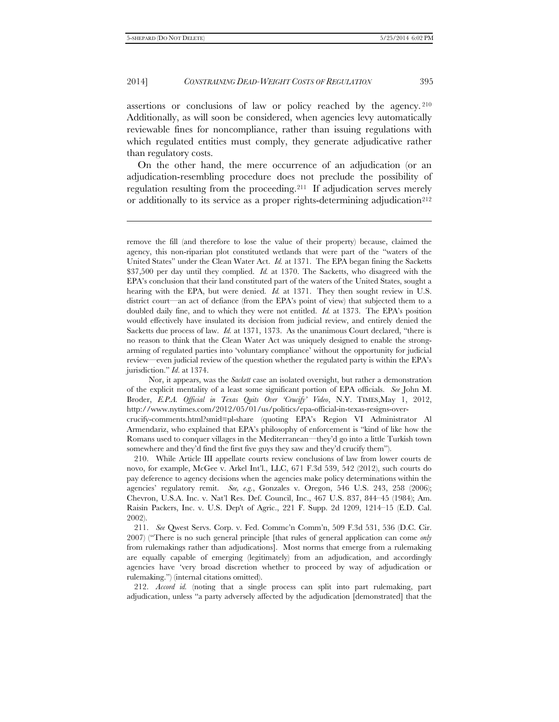-

#### 2014] *CONSTRAINING DEAD-WEIGHT COSTS OF REGULATION* 395

assertions or conclusions of law or policy reached by the agency. [210](#page-50-0)  Additionally, as will soon be considered, when agencies levy automatically reviewable fines for noncompliance, rather than issuing regulations with which regulated entities must comply, they generate adjudicative rather than regulatory costs.

On the other hand, the mere occurrence of an adjudication (or an adjudication-resembling procedure does not preclude the possibility of regulation resulting from the proceeding.[211](#page-50-1) If adjudication serves merely or additionally to its service as a proper rights-determining adjudication<sup>212</sup>

Nor, it appears, was the *Sackett* case an isolated oversight, but rather a demonstration of the explicit mentality of a least some significant portion of EPA officials. *See* John M. Broder, *E.P.A. Official in Texas Quits Over 'Crucify' Video*, N.Y. TIMES,May 1, 2012, http://www.nytimes.com/2012/05/01/us/politics/epa-official-in-texas-resigns-over-

crucify-comments.html?smid=pl-share (quoting EPA's Region VI Administrator Al Armendariz, who explained that EPA's philosophy of enforcement is "kind of like how the Romans used to conquer villages in the Mediterranean—they'd go into a little Turkish town somewhere and they'd find the first five guys they saw and they'd crucify them").

<span id="page-50-0"></span>210. While Article III appellate courts review conclusions of law from lower courts de novo, for example, McGee v. Arkel Int'l., LLC, 671 F.3d 539, 542 (2012), such courts do pay deference to agency decisions when the agencies make policy determinations within the agencies' regulatory remit. *See, e.g.*, Gonzales v. Oregon, 546 U.S. 243, 258 (2006); Chevron, U.S.A. Inc. v. Nat'l Res. Def. Council, Inc., 467 U.S. 837, 844–45 (1984); Am. Raisin Packers, Inc. v. U.S. Dep't of Agric., 221 F. Supp. 2d 1209, 1214–15 (E.D. Cal. 2002).

<span id="page-50-1"></span>211. *See* Qwest Servs. Corp. v. Fed. Commc'n Comm'n, 509 F.3d 531, 536 (D.C. Cir. 2007) ("There is no such general principle [that rules of general application can come *only* from rulemakings rather than adjudications]. Most norms that emerge from a rulemaking are equally capable of emerging (legitimately) from an adjudication, and accordingly agencies have 'very broad discretion whether to proceed by way of adjudication or rulemaking.") (internal citations omitted).

<span id="page-50-2"></span>212. *Accord id.* (noting that a single process can split into part rulemaking, part adjudication, unless "a party adversely affected by the adjudication [demonstrated] that the

remove the fill (and therefore to lose the value of their property) because, claimed the agency, this non-riparian plot constituted wetlands that were part of the "waters of the United States" under the Clean Water Act. *Id.* at 1371. The EPA began fining the Sacketts \$37,500 per day until they complied. *Id.* at 1370. The Sacketts, who disagreed with the EPA's conclusion that their land constituted part of the waters of the United States, sought a hearing with the EPA, but were denied. *Id.* at 1371. They then sought review in U.S. district court—an act of defiance (from the EPA's point of view) that subjected them to a doubled daily fine, and to which they were not entitled. *Id.* at 1373. The EPA's position would effectively have insulated its decision from judicial review, and entirely denied the Sacketts due process of law. *Id.* at 1371, 1373. As the unanimous Court declared, "there is no reason to think that the Clean Water Act was uniquely designed to enable the strongarming of regulated parties into 'voluntary compliance' without the opportunity for judicial review—even judicial review of the question whether the regulated party is within the EPA's jurisdiction." *Id*. at 1374.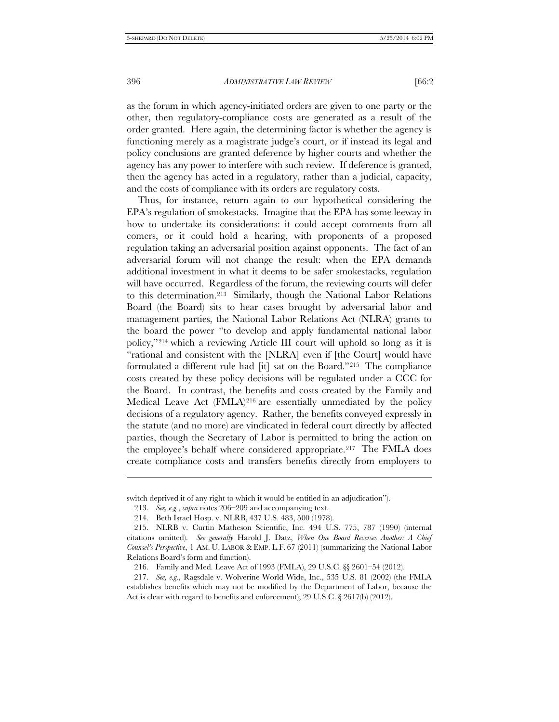as the forum in which agency-initiated orders are given to one party or the other, then regulatory-compliance costs are generated as a result of the order granted. Here again, the determining factor is whether the agency is functioning merely as a magistrate judge's court, or if instead its legal and policy conclusions are granted deference by higher courts and whether the agency has any power to interfere with such review. If deference is granted, then the agency has acted in a regulatory, rather than a judicial, capacity, and the costs of compliance with its orders are regulatory costs.

Thus, for instance, return again to our hypothetical considering the EPA's regulation of smokestacks. Imagine that the EPA has some leeway in how to undertake its considerations: it could accept comments from all comers, or it could hold a hearing, with proponents of a proposed regulation taking an adversarial position against opponents. The fact of an adversarial forum will not change the result: when the EPA demands additional investment in what it deems to be safer smokestacks, regulation will have occurred. Regardless of the forum, the reviewing courts will defer to this determination.[213](#page-51-0) Similarly, though the National Labor Relations Board (the Board) sits to hear cases brought by adversarial labor and management parties, the National Labor Relations Act (NLRA) grants to the board the power "to develop and apply fundamental national labor policy,"[214](#page-51-1) which a reviewing Article III court will uphold so long as it is "rational and consistent with the [NLRA] even if [the Court] would have formulated a different rule had [it] sat on the Board."[215](#page-51-2) The compliance costs created by these policy decisions will be regulated under a CCC for the Board. In contrast, the benefits and costs created by the Family and Medical Leave Act (FMLA)<sup>[216](#page-51-3)</sup> are essentially unmediated by the policy decisions of a regulatory agency. Rather, the benefits conveyed expressly in the statute (and no more) are vindicated in federal court directly by affected parties, though the Secretary of Labor is permitted to bring the action on the employee's behalf where considered appropriate.<sup>[217](#page-51-4)</sup> The FMLA does create compliance costs and transfers benefits directly from employers to

j

<span id="page-51-0"></span>switch deprived it of any right to which it would be entitled in an adjudication").

<sup>213.</sup> *See, e.g.*, *supra* notes 206–209 and accompanying text.

<sup>214.</sup> Beth Israel Hosp. v. NLRB, 437 U.S. 483, 500 (1978).

<span id="page-51-2"></span><span id="page-51-1"></span><sup>215.</sup> NLRB v. Curtin Matheson Scientific, Inc. 494 U.S. 775, 787 (1990) (internal citations omitted). *See generally* Harold J. Datz, *When One Board Reverses Another: A Chief Counsel's Perspective*, 1 AM. U. LABOR & EMP. L.F. 67 (2011) (summarizing the National Labor Relations Board's form and function).

<sup>216.</sup> Family and Med. Leave Act of 1993 (FMLA), 29 U.S.C. §§ 2601*–*54 (2012).

<span id="page-51-4"></span><span id="page-51-3"></span><sup>217.</sup> *See, e.g.*, Ragsdale v. Wolverine World Wide, Inc., 535 U.S. 81 (2002) (the FMLA establishes benefits which may not be modified by the Department of Labor, because the Act is clear with regard to benefits and enforcement); 29 U.S.C. § 2617(b) (2012).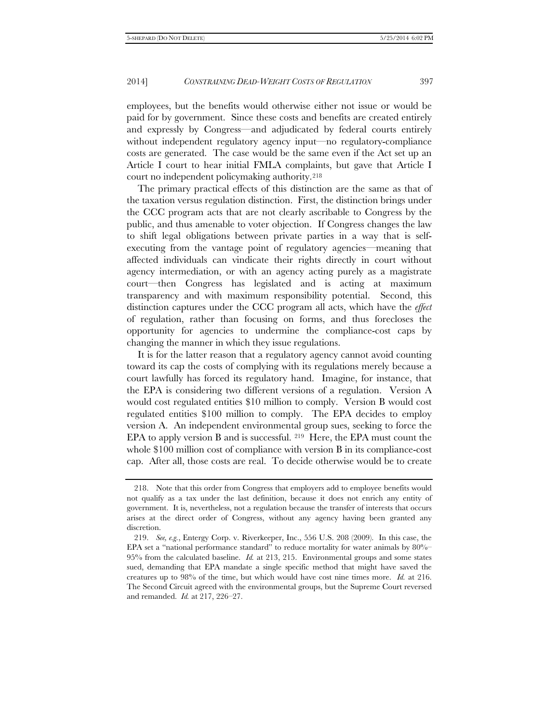employees, but the benefits would otherwise either not issue or would be paid for by government. Since these costs and benefits are created entirely and expressly by Congress—and adjudicated by federal courts entirely without independent regulatory agency input—no regulatory-compliance costs are generated. The case would be the same even if the Act set up an Article I court to hear initial FMLA complaints, but gave that Article I court no independent policymaking authority.[218](#page-52-0)

The primary practical effects of this distinction are the same as that of the taxation versus regulation distinction. First, the distinction brings under the CCC program acts that are not clearly ascribable to Congress by the public, and thus amenable to voter objection. If Congress changes the law to shift legal obligations between private parties in a way that is selfexecuting from the vantage point of regulatory agencies—meaning that affected individuals can vindicate their rights directly in court without agency intermediation, or with an agency acting purely as a magistrate court—then Congress has legislated and is acting at maximum transparency and with maximum responsibility potential. Second, this distinction captures under the CCC program all acts, which have the *effect* of regulation, rather than focusing on forms, and thus forecloses the opportunity for agencies to undermine the compliance-cost caps by changing the manner in which they issue regulations.

It is for the latter reason that a regulatory agency cannot avoid counting toward its cap the costs of complying with its regulations merely because a court lawfully has forced its regulatory hand. Imagine, for instance, that the EPA is considering two different versions of a regulation. Version A would cost regulated entities \$10 million to comply. Version B would cost regulated entities \$100 million to comply. The EPA decides to employ version A. An independent environmental group sues, seeking to force the EPA to apply version B and is successful. [219](#page-52-1) Here, the EPA must count the whole \$100 million cost of compliance with version B in its compliance-cost cap. After all, those costs are real. To decide otherwise would be to create

<span id="page-52-0"></span><sup>218.</sup> Note that this order from Congress that employers add to employee benefits would not qualify as a tax under the last definition, because it does not enrich any entity of government. It is, nevertheless, not a regulation because the transfer of interests that occurs arises at the direct order of Congress, without any agency having been granted any discretion.

<span id="page-52-1"></span><sup>219.</sup> *See, e.g.*, Entergy Corp. v. Riverkeeper, Inc., 556 U.S. 208 (2009). In this case, the EPA set a "national performance standard" to reduce mortality for water animals by  $80\%$ -95% from the calculated baseline. *Id.* at 213, 215. Environmental groups and some states sued, demanding that EPA mandate a single specific method that might have saved the creatures up to 98% of the time, but which would have cost nine times more. *Id.* at 216. The Second Circuit agreed with the environmental groups, but the Supreme Court reversed and remanded. *Id.* at 217, 226–27.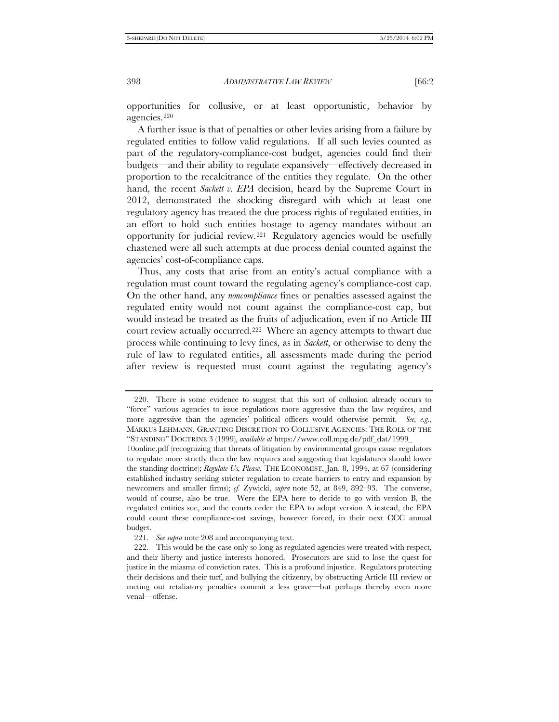opportunities for collusive, or at least opportunistic, behavior by agencies.[220](#page-53-0)

A further issue is that of penalties or other levies arising from a failure by regulated entities to follow valid regulations. If all such levies counted as part of the regulatory-compliance-cost budget, agencies could find their budgets—and their ability to regulate expansively—effectively decreased in proportion to the recalcitrance of the entities they regulate. On the other hand, the recent *Sackett v. EPA* decision, heard by the Supreme Court in 2012, demonstrated the shocking disregard with which at least one regulatory agency has treated the due process rights of regulated entities, in an effort to hold such entities hostage to agency mandates without an opportunity for judicial review.[221](#page-53-1) Regulatory agencies would be usefully chastened were all such attempts at due process denial counted against the agencies' cost-of-compliance caps.

Thus, any costs that arise from an entity's actual compliance with a regulation must count toward the regulating agency's compliance-cost cap. On the other hand, any *noncompliance* fines or penalties assessed against the regulated entity would not count against the compliance-cost cap, but would instead be treated as the fruits of adjudication, even if no Article III court review actually occurred.[222](#page-53-2) Where an agency attempts to thwart due process while continuing to levy fines, as in *Sackett*, or otherwise to deny the rule of law to regulated entities, all assessments made during the period after review is requested must count against the regulating agency's

221. *See supra* note 208 and accompanying text.

<span id="page-53-0"></span><sup>220.</sup> There is some evidence to suggest that this sort of collusion already occurs to "force" various agencies to issue regulations more aggressive than the law requires, and more aggressive than the agencies' political officers would otherwise permit. *See, e.g.*, MARKUS LEHMANN, GRANTING DISCRETION TO COLLUSIVE AGENCIES: THE ROLE OF THE "STANDING" DOCTRINE 3 (1999), *available at* https://www.coll.mpg.de/pdf\_dat/1999\_

<sup>10</sup>online.pdf (recognizing that threats of litigation by environmental groups cause regulators to regulate more strictly then the law requires and suggesting that legislatures should lower the standing doctrine); *Regulate Us, Please*, THE ECONOMIST, Jan. 8, 1994, at 67 (considering established industry seeking stricter regulation to create barriers to entry and expansion by newcomers and smaller firms); *cf.* Zywicki, *supra* note 52, at 849, 892–93. The converse, would of course, also be true. Were the EPA here to decide to go with version B, the regulated entities sue, and the courts order the EPA to adopt version A instead, the EPA could count these compliance-cost savings, however forced, in their next CCC annual budget.

<span id="page-53-2"></span><span id="page-53-1"></span><sup>222.</sup> This would be the case only so long as regulated agencies were treated with respect, and their liberty and justice interests honored. Prosecutors are said to lose the quest for justice in the miasma of conviction rates. This is a profound injustice. Regulators protecting their decisions and their turf, and bullying the citizenry, by obstructing Article III review or meting out retaliatory penalties commit a less grave—but perhaps thereby even more venal—offense.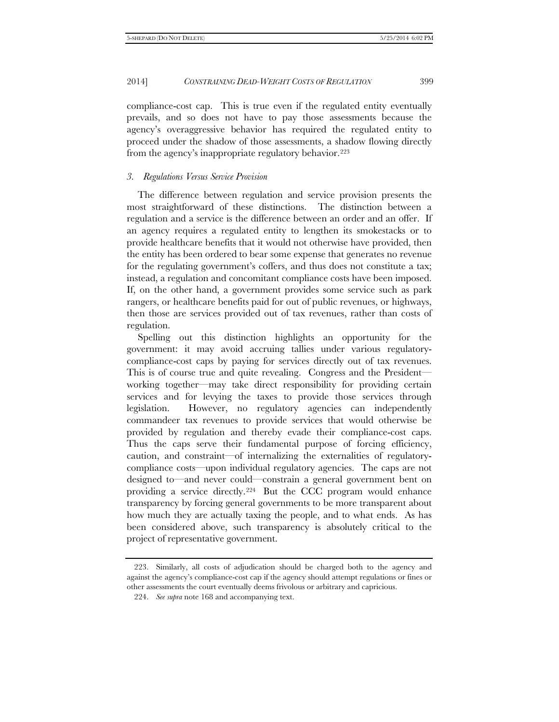compliance-cost cap. This is true even if the regulated entity eventually prevails, and so does not have to pay those assessments because the agency's overaggressive behavior has required the regulated entity to proceed under the shadow of those assessments, a shadow flowing directly from the agency's inappropriate regulatory behavior.<sup>[223](#page-54-0)</sup>

#### *3. Regulations Versus Service Provision*

The difference between regulation and service provision presents the most straightforward of these distinctions. The distinction between a regulation and a service is the difference between an order and an offer. If an agency requires a regulated entity to lengthen its smokestacks or to provide healthcare benefits that it would not otherwise have provided, then the entity has been ordered to bear some expense that generates no revenue for the regulating government's coffers, and thus does not constitute a tax; instead, a regulation and concomitant compliance costs have been imposed. If, on the other hand, a government provides some service such as park rangers, or healthcare benefits paid for out of public revenues, or highways, then those are services provided out of tax revenues, rather than costs of regulation.

Spelling out this distinction highlights an opportunity for the government: it may avoid accruing tallies under various regulatorycompliance-cost caps by paying for services directly out of tax revenues. This is of course true and quite revealing. Congress and the President working together—may take direct responsibility for providing certain services and for levying the taxes to provide those services through legislation. However, no regulatory agencies can independently commandeer tax revenues to provide services that would otherwise be provided by regulation and thereby evade their compliance-cost caps. Thus the caps serve their fundamental purpose of forcing efficiency, caution, and constraint—of internalizing the externalities of regulatorycompliance costs—upon individual regulatory agencies. The caps are not designed to—and never could—constrain a general government bent on providing a service directly.[224](#page-54-1) But the CCC program would enhance transparency by forcing general governments to be more transparent about how much they are actually taxing the people, and to what ends. As has been considered above, such transparency is absolutely critical to the project of representative government.

<span id="page-54-1"></span><span id="page-54-0"></span><sup>223.</sup> Similarly, all costs of adjudication should be charged both to the agency and against the agency's compliance-cost cap if the agency should attempt regulations or fines or other assessments the court eventually deems frivolous or arbitrary and capricious.

<sup>224.</sup> *See supra* note 168 and accompanying text.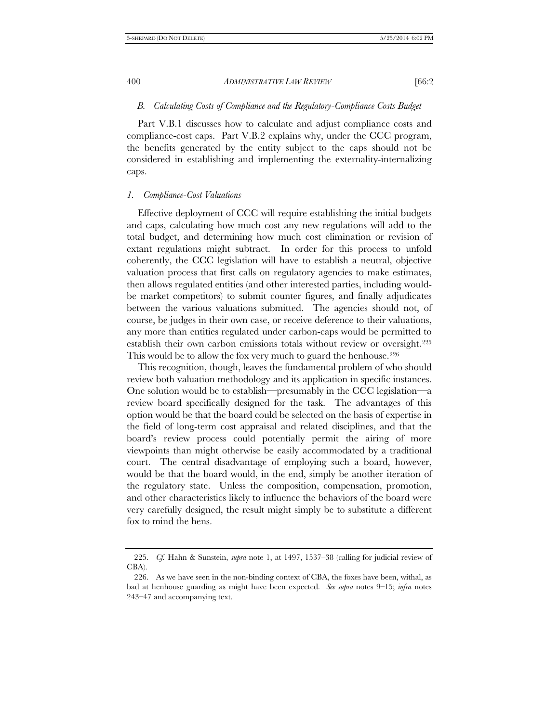### *B. Calculating Costs of Compliance and the Regulatory-Compliance Costs Budget*

Part V.B.1 discusses how to calculate and adjust compliance costs and compliance-cost caps. Part V.B.2 explains why, under the CCC program, the benefits generated by the entity subject to the caps should not be considered in establishing and implementing the externality-internalizing caps.

#### *1. Compliance-Cost Valuations*

Effective deployment of CCC will require establishing the initial budgets and caps, calculating how much cost any new regulations will add to the total budget, and determining how much cost elimination or revision of extant regulations might subtract. In order for this process to unfold coherently, the CCC legislation will have to establish a neutral, objective valuation process that first calls on regulatory agencies to make estimates, then allows regulated entities (and other interested parties, including wouldbe market competitors) to submit counter figures, and finally adjudicates between the various valuations submitted. The agencies should not, of course, be judges in their own case, or receive deference to their valuations, any more than entities regulated under carbon-caps would be permitted to establish their own carbon emissions totals without review or oversight.[225](#page-55-0)  This would be to allow the fox very much to guard the henhouse.<sup>[226](#page-55-1)</sup>

This recognition, though, leaves the fundamental problem of who should review both valuation methodology and its application in specific instances. One solution would be to establish—presumably in the CCC legislation—a review board specifically designed for the task. The advantages of this option would be that the board could be selected on the basis of expertise in the field of long-term cost appraisal and related disciplines, and that the board's review process could potentially permit the airing of more viewpoints than might otherwise be easily accommodated by a traditional court. The central disadvantage of employing such a board, however, would be that the board would, in the end, simply be another iteration of the regulatory state. Unless the composition, compensation, promotion, and other characteristics likely to influence the behaviors of the board were very carefully designed, the result might simply be to substitute a different fox to mind the hens.

<span id="page-55-0"></span><sup>225.</sup> *Cf.* Hahn & Sunstein, *supra* note 1, at 1497, 1537–38 (calling for judicial review of CBA).

<span id="page-55-1"></span><sup>226.</sup> As we have seen in the non-binding context of CBA, the foxes have been, withal, as bad at henhouse guarding as might have been expected. *See supra* notes 9–15; *infra* notes 243–47 and accompanying text.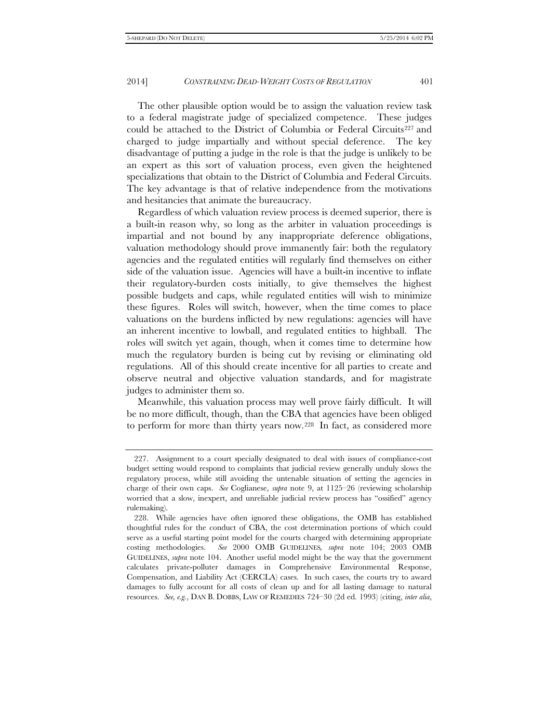The other plausible option would be to assign the valuation review task to a federal magistrate judge of specialized competence. These judges could be attached to the District of Columbia or Federal Circuits<sup>[227](#page-56-0)</sup> and charged to judge impartially and without special deference. The key disadvantage of putting a judge in the role is that the judge is unlikely to be an expert as this sort of valuation process, even given the heightened specializations that obtain to the District of Columbia and Federal Circuits. The key advantage is that of relative independence from the motivations and hesitancies that animate the bureaucracy.

Regardless of which valuation review process is deemed superior, there is a built-in reason why, so long as the arbiter in valuation proceedings is impartial and not bound by any inappropriate deference obligations, valuation methodology should prove immanently fair: both the regulatory agencies and the regulated entities will regularly find themselves on either side of the valuation issue. Agencies will have a built-in incentive to inflate their regulatory-burden costs initially, to give themselves the highest possible budgets and caps, while regulated entities will wish to minimize these figures. Roles will switch, however, when the time comes to place valuations on the burdens inflicted by new regulations: agencies will have an inherent incentive to lowball, and regulated entities to highball. The roles will switch yet again, though, when it comes time to determine how much the regulatory burden is being cut by revising or eliminating old regulations. All of this should create incentive for all parties to create and observe neutral and objective valuation standards, and for magistrate judges to administer them so.

Meanwhile, this valuation process may well prove fairly difficult. It will be no more difficult, though, than the CBA that agencies have been obliged to perform for more than thirty years now[.228](#page-56-1) In fact, as considered more

<span id="page-56-0"></span><sup>227.</sup> Assignment to a court specially designated to deal with issues of compliance-cost budget setting would respond to complaints that judicial review generally unduly slows the regulatory process, while still avoiding the untenable situation of setting the agencies in charge of their own caps. *See* Coglianese, *supra* note 9, at 1125–26 (reviewing scholarship worried that a slow, inexpert, and unreliable judicial review process has "ossified" agency rulemaking).

<span id="page-56-1"></span><sup>228.</sup> While agencies have often ignored these obligations, the OMB has established thoughtful rules for the conduct of CBA, the cost determination portions of which could serve as a useful starting point model for the courts charged with determining appropriate costing methodologies. *See* 2000 OMB GUIDELINES*, supra* note 104; 2003 OMB GUIDELINES, *supra* note 104. Another useful model might be the way that the government calculates private-polluter damages in Comprehensive Environmental Response, Compensation, and Liability Act (CERCLA) cases. In such cases, the courts try to award damages to fully account for all costs of clean up and for all lasting damage to natural resources. *See, e.g.*, DAN B. DOBBS, LAW OF REMEDIES 724–30 (2d ed. 1993) (citing, *inter alia*,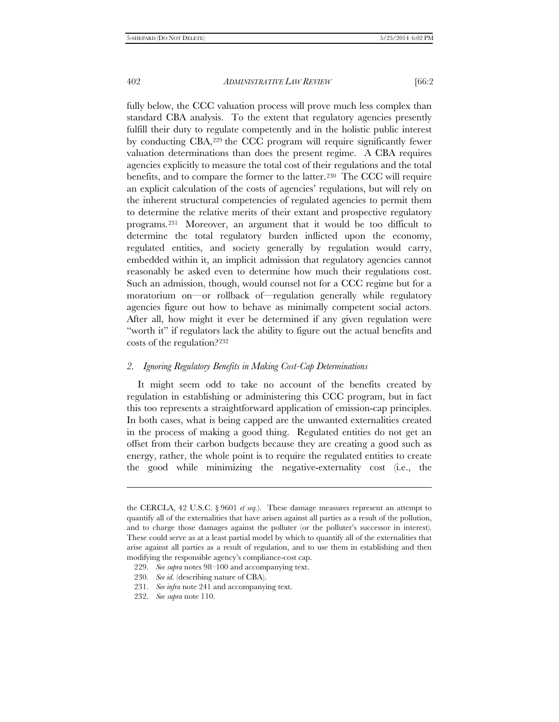fully below, the CCC valuation process will prove much less complex than standard CBA analysis. To the extent that regulatory agencies presently fulfill their duty to regulate competently and in the holistic public interest by conducting CBA,[229](#page-57-0) the CCC program will require significantly fewer valuation determinations than does the present regime. A CBA requires agencies explicitly to measure the total cost of their regulations and the total benefits, and to compare the former to the latter.<sup>[230](#page-57-1)</sup> The CCC will require an explicit calculation of the costs of agencies' regulations, but will rely on the inherent structural competencies of regulated agencies to permit them to determine the relative merits of their extant and prospective regulatory programs.[231](#page-57-2) Moreover, an argument that it would be too difficult to determine the total regulatory burden inflicted upon the economy, regulated entities, and society generally by regulation would carry, embedded within it, an implicit admission that regulatory agencies cannot reasonably be asked even to determine how much their regulations cost. Such an admission, though, would counsel not for a CCC regime but for a moratorium on—or rollback of—regulation generally while regulatory agencies figure out how to behave as minimally competent social actors. After all, how might it ever be determined if any given regulation were "worth it" if regulators lack the ability to figure out the actual benefits and costs of the regulation?[232](#page-57-3)

#### *2. Ignoring Regulatory Benefits in Making Cost-Cap Determinations*

It might seem odd to take no account of the benefits created by regulation in establishing or administering this CCC program, but in fact this too represents a straightforward application of emission-cap principles. In both cases, what is being capped are the unwanted externalities created in the process of making a good thing. Regulated entities do not get an offset from their carbon budgets because they are creating a good such as energy, rather, the whole point is to require the regulated entities to create the good while minimizing the negative-externality cost (i.e., the

j

the CERCLA, 42 U.S.C. § 9601 *et seq.*). These damage measures represent an attempt to quantify all of the externalities that have arisen against all parties as a result of the pollution, and to charge those damages against the polluter (or the polluter's successor in interest). These could serve as at a least partial model by which to quantify all of the externalities that arise against all parties as a result of regulation, and to use them in establishing and then modifying the responsible agency's compliance-cost cap.

<span id="page-57-1"></span><span id="page-57-0"></span><sup>229.</sup> *See supra* notes 98–100 and accompanying text.

<sup>230.</sup> *See id.* (describing nature of CBA).

<span id="page-57-2"></span><sup>231.</sup> *See infra* note 241 and accompanying text.

<span id="page-57-3"></span><sup>232.</sup> *See supra* note 110.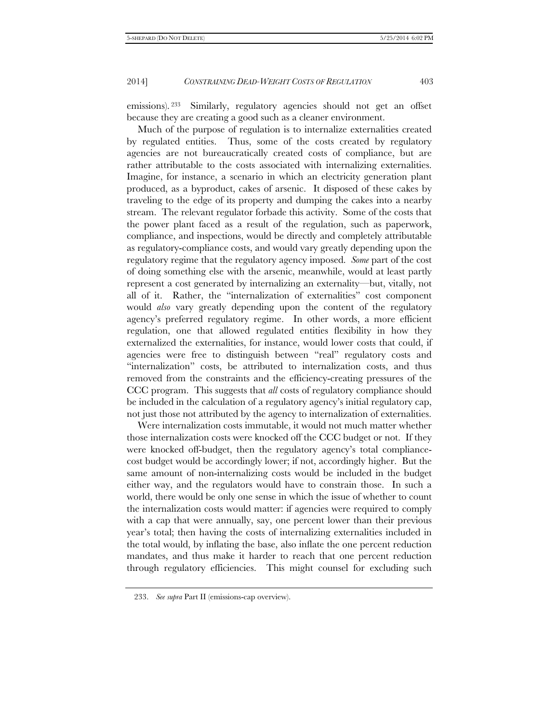emissions). [233](#page-58-0) Similarly, regulatory agencies should not get an offset because they are creating a good such as a cleaner environment.

Much of the purpose of regulation is to internalize externalities created by regulated entities. Thus, some of the costs created by regulatory agencies are not bureaucratically created costs of compliance, but are rather attributable to the costs associated with internalizing externalities. Imagine, for instance, a scenario in which an electricity generation plant produced, as a byproduct, cakes of arsenic. It disposed of these cakes by traveling to the edge of its property and dumping the cakes into a nearby stream. The relevant regulator forbade this activity. Some of the costs that the power plant faced as a result of the regulation, such as paperwork, compliance, and inspections, would be directly and completely attributable as regulatory-compliance costs, and would vary greatly depending upon the regulatory regime that the regulatory agency imposed. *Some* part of the cost of doing something else with the arsenic, meanwhile, would at least partly represent a cost generated by internalizing an externality—but, vitally, not all of it. Rather, the "internalization of externalities" cost component would *also* vary greatly depending upon the content of the regulatory agency's preferred regulatory regime. In other words, a more efficient regulation, one that allowed regulated entities flexibility in how they externalized the externalities, for instance, would lower costs that could, if agencies were free to distinguish between "real" regulatory costs and "internalization" costs, be attributed to internalization costs, and thus removed from the constraints and the efficiency-creating pressures of the CCC program. This suggests that *all* costs of regulatory compliance should be included in the calculation of a regulatory agency's initial regulatory cap, not just those not attributed by the agency to internalization of externalities.

Were internalization costs immutable, it would not much matter whether those internalization costs were knocked off the CCC budget or not. If they were knocked off-budget, then the regulatory agency's total compliancecost budget would be accordingly lower; if not, accordingly higher. But the same amount of non-internalizing costs would be included in the budget either way, and the regulators would have to constrain those. In such a world, there would be only one sense in which the issue of whether to count the internalization costs would matter: if agencies were required to comply with a cap that were annually, say, one percent lower than their previous year's total; then having the costs of internalizing externalities included in the total would, by inflating the base, also inflate the one percent reduction mandates, and thus make it harder to reach that one percent reduction through regulatory efficiencies. This might counsel for excluding such

<span id="page-58-0"></span><sup>233.</sup> *See supra* Part II (emissions-cap overview).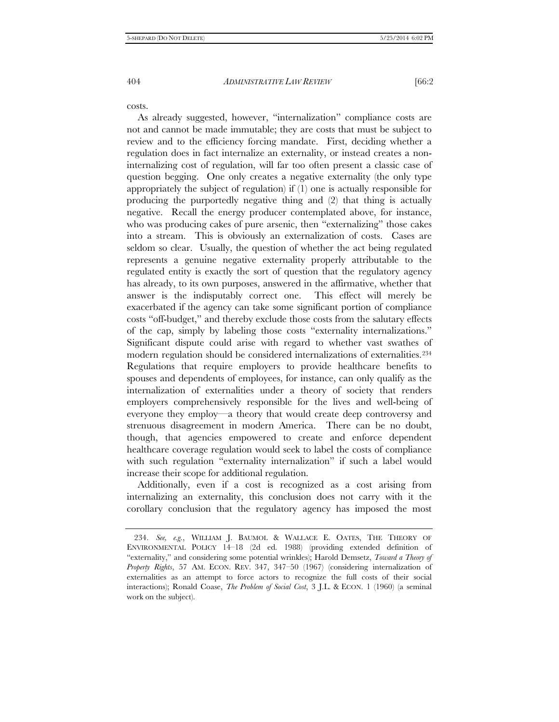costs.

As already suggested, however, "internalization" compliance costs are not and cannot be made immutable; they are costs that must be subject to review and to the efficiency forcing mandate. First, deciding whether a regulation does in fact internalize an externality, or instead creates a noninternalizing cost of regulation, will far too often present a classic case of question begging. One only creates a negative externality (the only type appropriately the subject of regulation) if (1) one is actually responsible for producing the purportedly negative thing and (2) that thing is actually negative. Recall the energy producer contemplated above, for instance, who was producing cakes of pure arsenic, then "externalizing" those cakes into a stream. This is obviously an externalization of costs. Cases are seldom so clear. Usually, the question of whether the act being regulated represents a genuine negative externality properly attributable to the regulated entity is exactly the sort of question that the regulatory agency has already, to its own purposes, answered in the affirmative, whether that answer is the indisputably correct one. This effect will merely be exacerbated if the agency can take some significant portion of compliance costs "off-budget," and thereby exclude those costs from the salutary effects of the cap, simply by labeling those costs "externality internalizations." Significant dispute could arise with regard to whether vast swathes of modern regulation should be considered internalizations of externalities[.234](#page-59-0)  Regulations that require employers to provide healthcare benefits to spouses and dependents of employees, for instance, can only qualify as the internalization of externalities under a theory of society that renders employers comprehensively responsible for the lives and well-being of everyone they employ—a theory that would create deep controversy and strenuous disagreement in modern America. There can be no doubt, though, that agencies empowered to create and enforce dependent healthcare coverage regulation would seek to label the costs of compliance with such regulation "externality internalization" if such a label would increase their scope for additional regulation.

Additionally, even if a cost is recognized as a cost arising from internalizing an externality, this conclusion does not carry with it the corollary conclusion that the regulatory agency has imposed the most

<span id="page-59-0"></span><sup>234.</sup> *See, e.g.*, WILLIAM J. BAUMOL & WALLACE E. OATES, THE THEORY OF ENVIRONMENTAL POLICY 14–18 (2d ed. 1988) (providing extended definition of "externality," and considering some potential wrinkles); Harold Demsetz, *Toward a Theory of Property Rights*, 57 AM. ECON. REV. 347, 347–50 (1967) (considering internalization of externalities as an attempt to force actors to recognize the full costs of their social interactions); Ronald Coase, *The Problem of Social Cost*, 3 J.L. & ECON. 1 (1960) (a seminal work on the subject).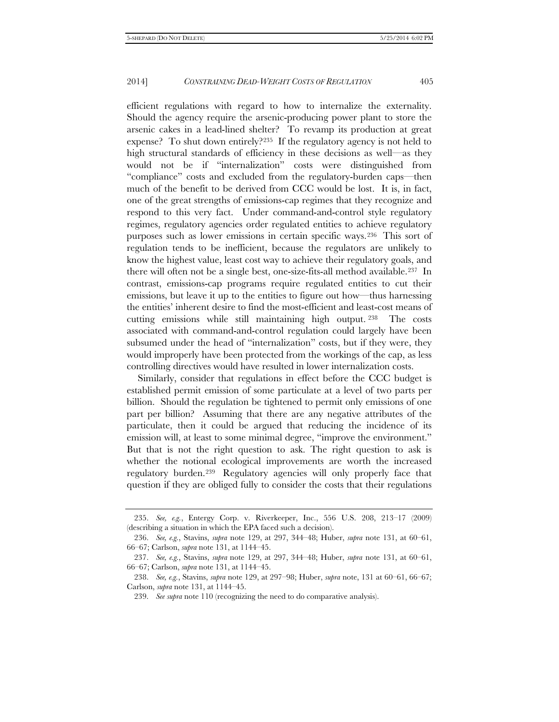efficient regulations with regard to how to internalize the externality. Should the agency require the arsenic-producing power plant to store the arsenic cakes in a lead-lined shelter? To revamp its production at great expense? To shut down entirely[?235](#page-60-0) If the regulatory agency is not held to high structural standards of efficiency in these decisions as well—as they would not be if "internalization" costs were distinguished from "compliance" costs and excluded from the regulatory-burden caps—then much of the benefit to be derived from CCC would be lost. It is, in fact, one of the great strengths of emissions-cap regimes that they recognize and respond to this very fact. Under command-and-control style regulatory regimes, regulatory agencies order regulated entities to achieve regulatory purposes such as lower emissions in certain specific ways.[236](#page-60-1) This sort of regulation tends to be inefficient, because the regulators are unlikely to know the highest value, least cost way to achieve their regulatory goals, and there will often not be a single best, one-size-fits-all method available.[237](#page-60-2) In contrast, emissions-cap programs require regulated entities to cut their emissions, but leave it up to the entities to figure out how—thus harnessing the entities' inherent desire to find the most-efficient and least-cost means of cutting emissions while still maintaining high output. [238](#page-60-3) The costs associated with command-and-control regulation could largely have been subsumed under the head of "internalization" costs, but if they were, they would improperly have been protected from the workings of the cap, as less controlling directives would have resulted in lower internalization costs.

Similarly, consider that regulations in effect before the CCC budget is established permit emission of some particulate at a level of two parts per billion. Should the regulation be tightened to permit only emissions of one part per billion? Assuming that there are any negative attributes of the particulate, then it could be argued that reducing the incidence of its emission will, at least to some minimal degree, "improve the environment." But that is not the right question to ask. The right question to ask is whether the notional ecological improvements are worth the increased regulatory burden.[239](#page-60-4) Regulatory agencies will only properly face that question if they are obliged fully to consider the costs that their regulations

<span id="page-60-0"></span><sup>235.</sup> *See, e.g.*, Entergy Corp. v. Riverkeeper, Inc., 556 U.S. 208, 213–17 (2009) (describing a situation in which the EPA faced such a decision).

<span id="page-60-1"></span><sup>236.</sup> *See, e.g.*, Stavins, *supra* note 129, at 297, 344–48; Huber, *supra* note 131, at 60–61, 66–67; Carlson, *supra* note 131, at 1144–45.

<span id="page-60-2"></span><sup>237.</sup> *See, e.g.*, Stavins, *supra* note 129, at 297, 344–48; Huber, *supra* note 131, at 60–61, 66–67; Carlson, *supra* note 131, at 1144–45.

<span id="page-60-4"></span><span id="page-60-3"></span><sup>238.</sup> *See, e.g.*, Stavins, *supra* note 129, at 297–98; Huber, *supra* note, 131 at 60–61, 66–67; Carlson, *supra* note 131, at 1144–45.

<sup>239.</sup> *See supra* note 110 (recognizing the need to do comparative analysis).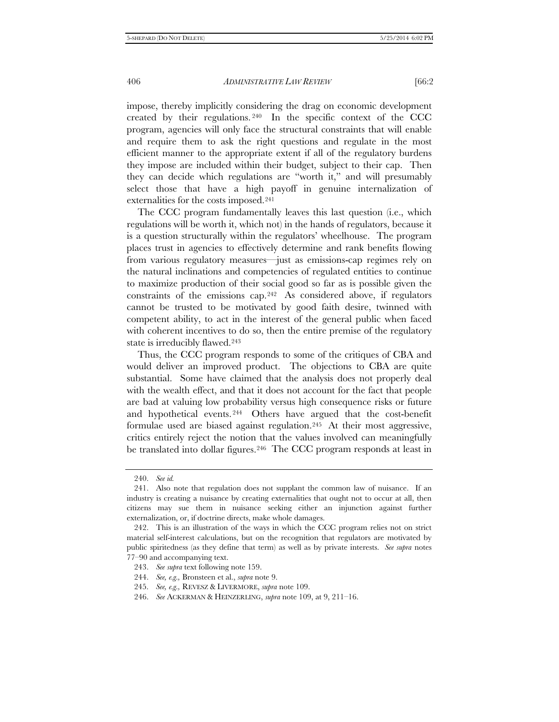impose, thereby implicitly considering the drag on economic development created by their regulations. [240](#page-61-0) In the specific context of the CCC program, agencies will only face the structural constraints that will enable and require them to ask the right questions and regulate in the most efficient manner to the appropriate extent if all of the regulatory burdens they impose are included within their budget, subject to their cap. Then they can decide which regulations are "worth it," and will presumably select those that have a high payoff in genuine internalization of externalities for the costs imposed.[241](#page-61-1)

The CCC program fundamentally leaves this last question (i.e., which regulations will be worth it, which not) in the hands of regulators, because it is a question structurally within the regulators' wheelhouse. The program places trust in agencies to effectively determine and rank benefits flowing from various regulatory measures—just as emissions-cap regimes rely on the natural inclinations and competencies of regulated entities to continue to maximize production of their social good so far as is possible given the constraints of the emissions cap.[242](#page-61-2) As considered above, if regulators cannot be trusted to be motivated by good faith desire, twinned with competent ability, to act in the interest of the general public when faced with coherent incentives to do so, then the entire premise of the regulatory state is irreducibly flawed.<sup>[243](#page-61-3)</sup>

Thus, the CCC program responds to some of the critiques of CBA and would deliver an improved product. The objections to CBA are quite substantial. Some have claimed that the analysis does not properly deal with the wealth effect, and that it does not account for the fact that people are bad at valuing low probability versus high consequence risks or future and hypothetical events. [244](#page-61-4) Others have argued that the cost-benefit formulae used are biased against regulation.[245](#page-61-5) At their most aggressive, critics entirely reject the notion that the values involved can meaningfully be translated into dollar figures.<sup>246</sup> The CCC program responds at least in

<sup>240.</sup> *See id.*

<span id="page-61-1"></span><span id="page-61-0"></span><sup>241.</sup> Also note that regulation does not supplant the common law of nuisance. If an industry is creating a nuisance by creating externalities that ought not to occur at all, then citizens may sue them in nuisance seeking either an injunction against further externalization, or, if doctrine directs, make whole damages.

<span id="page-61-3"></span><span id="page-61-2"></span><sup>242.</sup> This is an illustration of the ways in which the CCC program relies not on strict material self-interest calculations, but on the recognition that regulators are motivated by public spiritedness (as they define that term) as well as by private interests. *See supra* notes 77–90 and accompanying text.

<sup>243.</sup> *See supra* text following note 159.

<span id="page-61-4"></span><sup>244.</sup> *See, e.g.,* Bronsteen et al., *supra* note 9.

<sup>245.</sup> *See, e.g.,* REVESZ & LIVERMORE, *supra* note 109.

<span id="page-61-6"></span><span id="page-61-5"></span><sup>246.</sup> *See* ACKERMAN & HEINZERLING, *supra* note 109, at 9, 211–16.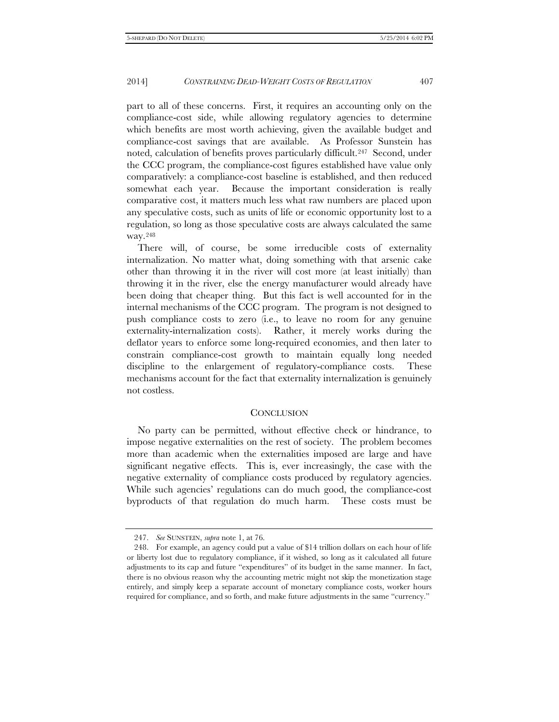part to all of these concerns. First, it requires an accounting only on the compliance-cost side, while allowing regulatory agencies to determine which benefits are most worth achieving, given the available budget and compliance-cost savings that are available. As Professor Sunstein has noted, calculation of benefits proves particularly difficult.<sup>247</sup> Second, under the CCC program, the compliance-cost figures established have value only comparatively: a compliance-cost baseline is established, and then reduced somewhat each year. Because the important consideration is really comparative cost, it matters much less what raw numbers are placed upon any speculative costs, such as units of life or economic opportunity lost to a regulation, so long as those speculative costs are always calculated the same way.[248](#page-62-1)

There will, of course, be some irreducible costs of externality internalization. No matter what, doing something with that arsenic cake other than throwing it in the river will cost more (at least initially) than throwing it in the river, else the energy manufacturer would already have been doing that cheaper thing. But this fact is well accounted for in the internal mechanisms of the CCC program. The program is not designed to push compliance costs to zero (i.e., to leave no room for any genuine externality-internalization costs). Rather, it merely works during the deflator years to enforce some long-required economies, and then later to constrain compliance-cost growth to maintain equally long needed discipline to the enlargement of regulatory-compliance costs. These mechanisms account for the fact that externality internalization is genuinely not costless.

#### **CONCLUSION**

No party can be permitted, without effective check or hindrance, to impose negative externalities on the rest of society. The problem becomes more than academic when the externalities imposed are large and have significant negative effects. This is, ever increasingly, the case with the negative externality of compliance costs produced by regulatory agencies. While such agencies' regulations can do much good, the compliance-cost byproducts of that regulation do much harm. These costs must be

<sup>247.</sup> *See* SUNSTEIN, *supra* note 1, at 76.

<span id="page-62-1"></span><span id="page-62-0"></span><sup>248.</sup> For example, an agency could put a value of \$14 trillion dollars on each hour of life or liberty lost due to regulatory compliance, if it wished, so long as it calculated all future adjustments to its cap and future "expenditures" of its budget in the same manner. In fact, there is no obvious reason why the accounting metric might not skip the monetization stage entirely, and simply keep a separate account of monetary compliance costs, worker hours required for compliance, and so forth, and make future adjustments in the same "currency."